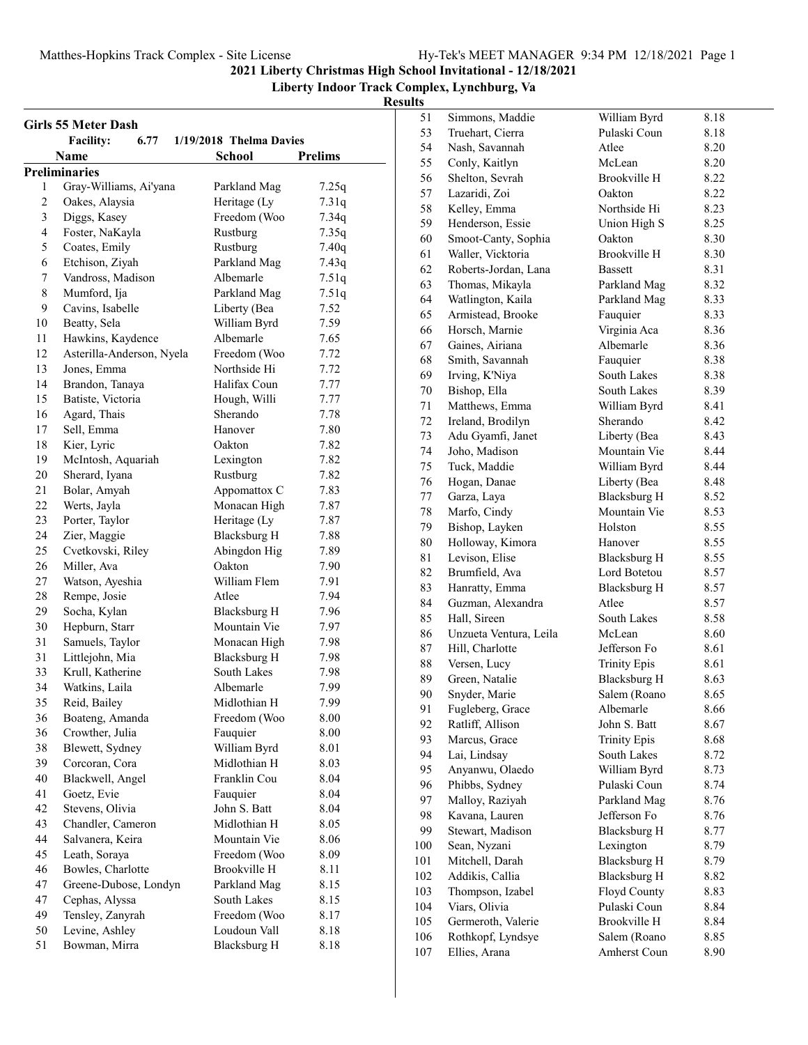#### **Liberty Indoor Track Complex, Lynchburg, Va**

|        | Girls 55 Meter Dash       |                         |                |
|--------|---------------------------|-------------------------|----------------|
|        | 6.77<br><b>Facility:</b>  | 1/19/2018 Thelma Davies |                |
|        | Name                      | <b>School</b>           | <b>Prelims</b> |
|        | Preliminaries             |                         |                |
| 1<br>2 | Gray-Williams, Ai'yana    | Parkland Mag            | 7.25q          |
|        | Oakes, Alaysia            | Heritage (Ly            | 7.31q          |
| 3      | Diggs, Kasey              | Freedom (Woo            | 7.34q          |
| 4      | Foster, NaKayla           | Rustburg                | 7.35q          |
| 5      | Coates, Emily             | Rustburg                | 7.40q          |
| 6      | Etchison, Ziyah           | Parkland Mag            | 7.43q          |
| 7      | Vandross, Madison         | Albemarle               | 7.51q          |
| 8      | Mumford, Ija              | Parkland Mag            | 7.51q          |
| 9      | Cavins, Isabelle          | Liberty (Bea            | 7.52           |
| 10     | Beatty, Sela              | William Byrd            | 7.59           |
| 11     | Hawkins, Kaydence         | Albemarle               | 7.65           |
| 12     | Asterilla-Anderson, Nyela | Freedom (Woo            | 7.72           |
| 13     | Jones, Emma               | Northside Hi            | 7.72           |
| 14     | Brandon, Tanaya           | Halifax Coun            | 7.77           |
| 15     | Batiste, Victoria         | Hough, Willi            | 7.77           |
| 16     | Agard, Thais              | Sherando                | 7.78           |
| 17     | Sell, Emma                | Hanover                 | 7.80           |
| 18     | Kier, Lyric               | Oakton                  | 7.82           |
| 19     | McIntosh, Aquariah        | Lexington               | 7.82           |
| 20     | Sherard, Iyana            | Rustburg                | 7.82           |
| 21     | Bolar, Amyah              | Appomattox C            | 7.83           |
| 22     | Werts, Jayla              | Monacan High            | 7.87           |
| 23     | Porter, Taylor            | Heritage (Ly            | 7.87           |
| 24     | Zier, Maggie              | <b>Blacksburg H</b>     | 7.88           |
| 25     | Cvetkovski, Riley         | Abingdon Hig            | 7.89           |
| 26     | Miller, Ava               | Oakton                  | 7.90           |
| 27     | Watson, Ayeshia           | William Flem            | 7.91           |
| 28     | Rempe, Josie              | Atlee                   | 7.94           |
| 29     | Socha, Kylan              | <b>Blacksburg H</b>     | 7.96           |
| 30     | Hepburn, Starr            | Mountain Vie            | 7.97           |
| 31     | Samuels, Taylor           | Monacan High            | 7.98           |
| 31     | Littlejohn, Mia           | <b>Blacksburg H</b>     | 7.98           |
| 33     | Krull, Katherine          | South Lakes             | 7.98           |
| 34     | Watkins, Laila            | Albemarle               | 7.99           |
| 35     | Reid, Bailey              | Midlothian H            | 7.99           |
| 36     | Boateng, Amanda           | Freedom (Woo            | 8.00           |
| 36     | Crowther, Julia           | Fauquier                | 8.00           |
| 38     | Blewett, Sydney           | William Byrd            | 8.01           |
| 39     | Corcoran, Cora            | Midlothian H            | 8.03           |
| 40     | Blackwell, Angel          | Franklin Cou            | 8.04           |
| 41     | Goetz, Evie               | Fauquier                | 8.04           |
| 42     | Stevens, Olivia           | John S. Batt            | 8.04           |
| 43     | Chandler, Cameron         | Midlothian H            | 8.05           |
| 44     | Salvanera, Keira          | Mountain Vie            | 8.06           |
| 45     | Leath, Soraya             | Freedom (Woo            | 8.09           |
| 46     | Bowles, Charlotte         | Brookville H            | 8.11           |
| 47     | Greene-Dubose, Londyn     | Parkland Mag            | 8.15           |
| 47     | Cephas, Alyssa            | South Lakes             | 8.15           |
| 49     | Tensley, Zanyrah          | Freedom (Woo            | 8.17           |
| 50     | Levine, Ashley            | Loudoun Vall            | 8.18           |
| 51     | Bowman, Mirra             | <b>Blacksburg H</b>     | 8.18           |
|        |                           |                         |                |

| 51      | Simmons, Maddie                   | William Byrd                     | 8.18 |
|---------|-----------------------------------|----------------------------------|------|
| 53      | Truehart, Cierra                  | Pulaski Coun                     | 8.18 |
| 54      | Nash, Savannah                    | Atlee                            | 8.20 |
| 55      | Conly, Kaitlyn                    | McLean                           | 8.20 |
| 56      | Shelton, Sevrah                   | <b>Brookville H</b>              | 8.22 |
| 57      | Lazaridi, Zoi                     | Oakton                           | 8.22 |
| 58      | Kelley, Emma                      | Northside Hi                     | 8.23 |
| 59      | Henderson, Essie                  | Union High S                     | 8.25 |
| 60      | Smoot-Canty, Sophia               | Oakton                           | 8.30 |
| 61      | Waller, Vicktoria                 | <b>Brookville H</b>              | 8.30 |
| 62      | Roberts-Jordan, Lana              | <b>Bassett</b>                   | 8.31 |
| 63      | Thomas, Mikayla                   | Parkland Mag                     | 8.32 |
| 64      | Watlington, Kaila                 | Parkland Mag                     | 8.33 |
| 65      | Armistead, Brooke                 | Fauquier                         | 8.33 |
| 66      | Horsch, Marnie                    | Virginia Aca                     | 8.36 |
| 67      | Gaines, Airiana                   | Albemarle                        | 8.36 |
| 68      | Smith, Savannah                   | Fauquier                         | 8.38 |
| 69      | Irving, K'Niya                    | South Lakes                      | 8.38 |
| 70      | Bishop, Ella                      | South Lakes                      | 8.39 |
| 71      | Matthews, Emma                    | William Byrd                     | 8.41 |
| 72      | Ireland, Brodilyn                 | Sherando                         | 8.42 |
| 73      | Adu Gyamfi, Janet                 | Liberty (Bea                     | 8.43 |
| 74      | Joho, Madison                     | Mountain Vie                     | 8.44 |
| 75      | Tuck, Maddie                      | William Byrd                     | 8.44 |
| 76      | Hogan, Danae                      | Liberty (Bea                     | 8.48 |
| $77 \,$ | Garza, Laya                       | <b>Blacksburg H</b>              | 8.52 |
| 78      | Marfo, Cindy                      | Mountain Vie                     | 8.53 |
| 79      | Bishop, Layken                    | Holston                          | 8.55 |
| 80      | Holloway, Kimora                  | Hanover                          | 8.55 |
| 81      | Levison, Elise                    | Blacksburg H                     | 8.55 |
| 82      | Brumfield, Ava                    | Lord Botetou                     | 8.57 |
| 83      | Hanratty, Emma                    | <b>Blacksburg H</b>              | 8.57 |
| 84      | Guzman, Alexandra                 | Atlee                            | 8.57 |
| 85      | Hall, Sireen                      | South Lakes                      | 8.58 |
| 86      | Unzueta Ventura, Leila            | McLean                           | 8.60 |
| 87      | Hill, Charlotte                   | Jefferson Fo                     | 8.61 |
| 88      | Versen, Lucy                      | <b>Trinity Epis</b>              | 8.61 |
| 89      | Green, Natalie                    | <b>Blacksburg H</b>              | 8.63 |
| 90      | Snyder, Marie                     | Salem (Roano                     | 8.65 |
| 91      | Fugleberg, Grace                  | Albemarle                        | 8.66 |
| 92      | Ratliff, Allison                  | John S. Batt                     | 8.67 |
| 93      | Marcus, Grace                     | <b>Trinity Epis</b>              | 8.68 |
| 94      | Lai, Lindsay                      | South Lakes                      | 8.72 |
| 95      | Anyanwu, Olaedo                   | William Byrd                     | 8.73 |
| 96      | Phibbs, Sydney                    | Pulaski Coun                     | 8.74 |
| 97      | Malloy, Raziyah                   | Parkland Mag                     | 8.76 |
| 98      | Kavana, Lauren                    | Jefferson Fo                     | 8.76 |
| 99      |                                   |                                  |      |
| 100     | Stewart, Madison<br>Sean, Nyzani  | <b>Blacksburg H</b><br>Lexington | 8.77 |
|         | Mitchell, Darah                   |                                  | 8.79 |
| 101     |                                   | <b>Blacksburg H</b>              | 8.79 |
| 102     | Addikis, Callia                   | Blacksburg H                     | 8.82 |
| 103     | Thompson, Izabel<br>Viars, Olivia | Floyd County<br>Pulaski Coun     | 8.83 |
| 104     |                                   | Brookville H                     | 8.84 |
| 105     | Germeroth, Valerie                |                                  | 8.84 |
| 106     | Rothkopf, Lyndsye                 | Salem (Roano                     | 8.85 |
| 107     | Ellies, Arana                     | Amherst Coun                     | 8.90 |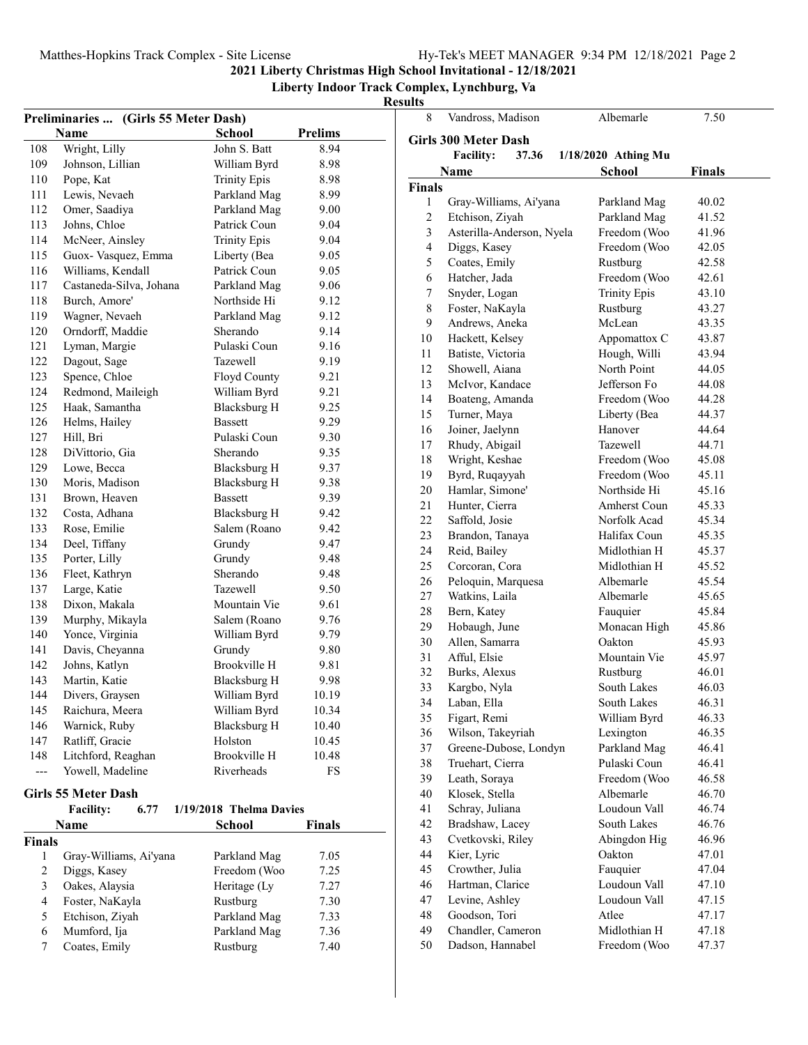### **Liberty Indoor Track Complex, Lynchburg, Va**

**Results**<sub>8</sub>

|                         | Preliminaries  (Girls 55 Meter Dash) |                         |                |
|-------------------------|--------------------------------------|-------------------------|----------------|
|                         | Name                                 | <b>School</b>           | <b>Prelims</b> |
| 108                     | Wright, Lilly                        | John S. Batt            | 8.94           |
| 109                     | Johnson, Lillian                     | William Byrd            | 8.98           |
| 110                     | Pope, Kat                            | <b>Trinity Epis</b>     | 8.98           |
| 111                     | Lewis, Nevaeh                        | Parkland Mag            | 8.99           |
| 112                     | Omer, Saadiya                        | Parkland Mag            | 9.00           |
| 113                     | Johns, Chloe                         | Patrick Coun            | 9.04           |
| 114                     | McNeer, Ainsley                      | <b>Trinity Epis</b>     | 9.04           |
| 115                     | Guox- Vasquez, Emma                  | Liberty (Bea            | 9.05           |
| 116                     | Williams, Kendall                    | Patrick Coun            | 9.05           |
| 117                     | Castaneda-Silva, Johana              | Parkland Mag            | 9.06           |
| 118                     | Burch, Amore'                        | Northside Hi            | 9.12           |
| 119                     | Wagner, Nevaeh                       | Parkland Mag            | 9.12           |
| 120                     | Orndorff, Maddie                     | Sherando                | 9.14           |
| 121                     | Lyman, Margie                        | Pulaski Coun            | 9.16           |
| 122                     | Dagout, Sage                         | Tazewell                | 9.19           |
| 123                     | Spence, Chloe                        | Floyd County            | 9.21           |
| 124                     | Redmond, Maileigh                    | William Byrd            | 9.21           |
| 125                     | Haak, Samantha                       | <b>Blacksburg H</b>     | 9.25           |
| 126                     | Helms, Hailey                        | <b>Bassett</b>          | 9.29           |
| 127                     | Hill, Bri                            | Pulaski Coun            | 9.30           |
| 128                     | DiVittorio, Gia                      | Sherando                | 9.35           |
| 129                     | Lowe, Becca                          | <b>Blacksburg H</b>     | 9.37           |
| 130                     | Moris, Madison                       | Blacksburg H            | 9.38           |
| 131                     | Brown, Heaven                        | <b>Bassett</b>          | 9.39           |
| 132                     | Costa, Adhana                        | Blacksburg H            | 9.42           |
| 133                     | Rose, Emilie                         | Salem (Roano            | 9.42           |
| 134                     | Deel, Tiffany                        | Grundy                  | 9.47           |
| 135                     | Porter, Lilly                        | Grundy                  | 9.48           |
| 136                     | Fleet, Kathryn                       | Sherando                | 9.48           |
| 137                     | Large, Katie                         | <b>Tazewell</b>         | 9.50           |
| 138                     | Dixon, Makala                        | Mountain Vie            | 9.61           |
| 139                     | Murphy, Mikayla                      | Salem (Roano            | 9.76           |
| 140                     | Yonce, Virginia                      | William Byrd            | 9.79           |
| 141                     | Davis, Cheyanna                      | Grundy                  | 9.80           |
| 142                     | Johns, Katlyn                        | <b>Brookville H</b>     | 9.81           |
| 143                     | Martin, Katie                        | <b>Blacksburg H</b>     | 9.98           |
| 144                     | Divers, Graysen                      | William Byrd            | 10.19          |
| 145                     | Raichura, Meera                      | William Byrd            | 10.34          |
| 146                     | Warnick, Ruby                        | <b>Blacksburg H</b>     | 10.40          |
| 147                     | Ratliff, Gracie                      | Holston                 | 10.45          |
| 148                     | Litchford, Reaghan                   | Brookville H            | 10.48          |
| $---$                   | Yowell, Madeline                     | Riverheads              | FS             |
|                         |                                      |                         |                |
|                         | <b>Girls 55 Meter Dash</b>           |                         |                |
|                         | <b>Facility:</b><br>6.77             | 1/19/2018 Thelma Davies |                |
|                         | Name                                 | School                  | Finals         |
| Finals                  |                                      |                         |                |
| $\mathbf{1}$            | Gray-Williams, Ai'yana               | Parkland Mag            | 7.05           |
| $\sqrt{2}$              | Diggs, Kasey                         | Freedom (Woo            | 7.25           |
| $\mathfrak{Z}$          | Oakes, Alaysia                       | Heritage (Ly            | 7.27           |
| $\overline{\mathbf{4}}$ | Foster, NaKayla                      | Rustburg                | 7.30           |
| 5                       | Etchison, Ziyah                      | Parkland Mag            | 7.33           |
| 6                       | Mumford, Ija                         | Parkland Mag            | 7.36           |
| $\tau$                  | Coates, Emily                        | Rustburg                | 7.40           |
|                         |                                      |                         |                |

| 8              | Vandross, Madison           | Albemarle           | 7.50   |  |
|----------------|-----------------------------|---------------------|--------|--|
|                |                             |                     |        |  |
|                | <b>Girls 300 Meter Dash</b> |                     |        |  |
|                | <b>Facility:</b><br>37.36   | 1/18/2020 Athing Mu |        |  |
|                | Name                        | <b>School</b>       | Finals |  |
| <b>Finals</b>  |                             |                     |        |  |
| 1              | Gray-Williams, Ai'yana      | Parkland Mag        | 40.02  |  |
| $\overline{c}$ | Etchison, Ziyah             | Parkland Mag        | 41.52  |  |
| 3              | Asterilla-Anderson, Nyela   | Freedom (Woo        | 41.96  |  |
| 4              | Diggs, Kasey                | Freedom (Woo        | 42.05  |  |
| 5              | Coates, Emily               | Rustburg            | 42.58  |  |
| 6              | Hatcher, Jada               | Freedom (Woo        | 42.61  |  |
| 7              | Snyder, Logan               | <b>Trinity Epis</b> | 43.10  |  |
| 8              | Foster, NaKayla             | Rustburg            | 43.27  |  |
| 9              | Andrews, Aneka              | McLean              | 43.35  |  |
| 10             | Hackett, Kelsey             | Appomattox C        | 43.87  |  |
| 11             | Batiste, Victoria           | Hough, Willi        | 43.94  |  |
| 12             | Showell, Aiana              | North Point         | 44.05  |  |
| 13             | McIvor, Kandace             | Jefferson Fo        | 44.08  |  |
| 14             | Boateng, Amanda             | Freedom (Woo        | 44.28  |  |
| 15             | Turner, Maya                | Liberty (Bea        | 44.37  |  |
| 16             | Joiner, Jaelynn             | Hanover             | 44.64  |  |
| 17             | Rhudy, Abigail              | Tazewell            | 44.71  |  |
| 18             | Wright, Keshae              | Freedom (Woo        | 45.08  |  |
| 19             | Byrd, Ruqayyah              | Freedom (Woo        | 45.11  |  |
| 20             | Hamlar, Simone'             | Northside Hi        | 45.16  |  |
| 21             | Hunter, Cierra              | Amherst Coun        | 45.33  |  |
| 22             | Saffold, Josie              | Norfolk Acad        | 45.34  |  |
| 23             | Brandon, Tanaya             | Halifax Coun        | 45.35  |  |
| 24             | Reid, Bailey                | Midlothian H        | 45.37  |  |
| 25             | Corcoran, Cora              | Midlothian H        | 45.52  |  |
| 26             | Peloquin, Marquesa          | Albemarle           | 45.54  |  |
| 27             | Watkins, Laila              | Albemarle           | 45.65  |  |
| 28             | Bern, Katey                 | Fauquier            | 45.84  |  |
| 29             | Hobaugh, June               | Monacan High        | 45.86  |  |
| 30             | Allen, Samarra              | Oakton              | 45.93  |  |
| 31             | Afful, Elsie                | Mountain Vie        | 45.97  |  |
| 32             | Burks, Alexus               | Rustburg            | 46.01  |  |
| 33             | Kargbo, Nyla                | South Lakes         | 46.03  |  |
| 34             | Laban, Ella                 | South Lakes         | 46.31  |  |
| 35             | Figart, Remi                | William Byrd        | 46.33  |  |
| 36             | Wilson, Takeyriah           | Lexington           | 46.35  |  |
| 37             | Greene-Dubose, Londyn       | Parkland Mag        | 46.41  |  |
| 38             | Truehart, Cierra            | Pulaski Coun        | 46.41  |  |
| 39             | Leath, Soraya               | Freedom (Woo        | 46.58  |  |
| 40             | Klosek, Stella              | Albemarle           | 46.70  |  |
| 41             | Schray, Juliana             | Loudoun Vall        | 46.74  |  |
| 42             | Bradshaw, Lacey             | South Lakes         | 46.76  |  |
| 43             | Cvetkovski, Riley           | Abingdon Hig        | 46.96  |  |
| 44             | Kier, Lyric                 | Oakton              | 47.01  |  |
| 45             | Crowther, Julia             | Fauquier            | 47.04  |  |
| 46             | Hartman, Clarice            | Loudoun Vall        | 47.10  |  |
| 47             | Levine, Ashley              | Loudoun Vall        | 47.15  |  |
| 48             | Goodson, Tori               | Atlee               | 47.17  |  |
| 49             | Chandler, Cameron           | Midlothian H        | 47.18  |  |
| 50             | Dadson, Hannabel            | Freedom (Woo        | 47.37  |  |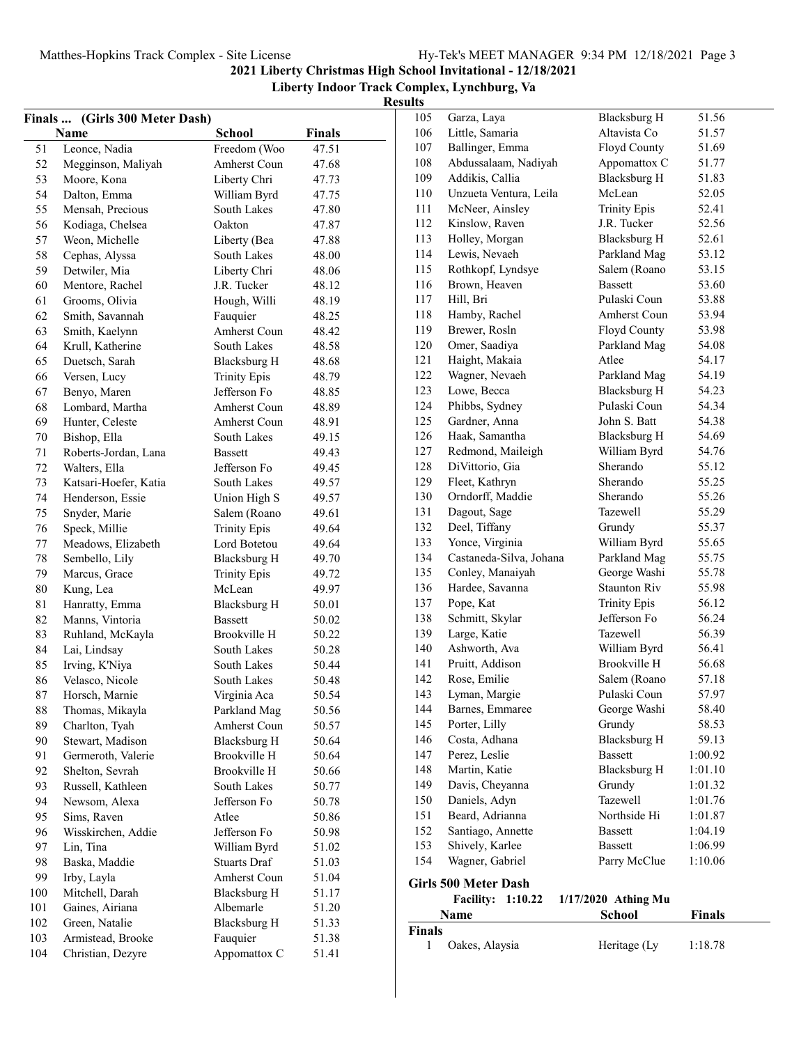|          | Finals  (Girls 300 Meter Dash) |                                     |               | --------<br>105 | Garza, Laya                 | <b>Blacksburg H</b>   | 51.56          |
|----------|--------------------------------|-------------------------------------|---------------|-----------------|-----------------------------|-----------------------|----------------|
|          | Name                           | <b>School</b>                       | <b>Finals</b> | 106             | Little, Samaria             | Altavista Co          | 51.57          |
| 51       | Leonce, Nadia                  | Freedom (Woo                        | 47.51         | 107             | Ballinger, Emma             | Floyd County          | 51.69          |
| 52       | Megginson, Maliyah             | Amherst Coun                        | 47.68         | 108             | Abdussalaam, Nadiyah        | Appomattox C          | 51.77          |
| 53       | Moore, Kona                    | Liberty Chri                        | 47.73         | 109             | Addikis, Callia             | Blacksburg H          | 51.83          |
| 54       | Dalton, Emma                   | William Byrd                        | 47.75         | 110             | Unzueta Ventura, Leila      | McLean                | 52.05          |
| 55       | Mensah, Precious               | South Lakes                         | 47.80         | 111             | McNeer, Ainsley             | <b>Trinity Epis</b>   | 52.41          |
| 56       | Kodiaga, Chelsea               | Oakton                              | 47.87         | 112             | Kinslow, Raven              | J.R. Tucker           | 52.56          |
| 57       | Weon, Michelle                 | Liberty (Bea                        | 47.88         | 113             | Holley, Morgan              | <b>Blacksburg H</b>   | 52.61          |
| 58       | Cephas, Alyssa                 | South Lakes                         | 48.00         | 114             | Lewis, Nevaeh               | Parkland Mag          | 53.12          |
| 59       | Detwiler, Mia                  | Liberty Chri                        | 48.06         | 115             | Rothkopf, Lyndsye           | Salem (Roano          | 53.15          |
| 60       | Mentore, Rachel                | J.R. Tucker                         | 48.12         | 116             | Brown, Heaven               | <b>Bassett</b>        | 53.60          |
| 61       | Grooms, Olivia                 | Hough, Willi                        | 48.19         | 117             | Hill, Bri                   | Pulaski Coun          | 53.88          |
| 62       | Smith, Savannah                | Fauquier                            | 48.25         | 118             | Hamby, Rachel               | Amherst Coun          | 53.94          |
| 63       | Smith, Kaelynn                 | Amherst Coun                        | 48.42         | 119             | Brewer, Rosln               | Floyd County          | 53.98          |
| 64       | Krull, Katherine               | South Lakes                         | 48.58         | 120             | Omer, Saadiya               | Parkland Mag          | 54.08          |
| 65       | Duetsch, Sarah                 | Blacksburg H                        | 48.68         | 121             | Haight, Makaia              | Atlee                 | 54.17          |
| 66       | Versen, Lucy                   |                                     | 48.79         | 122             | Wagner, Nevaeh              | Parkland Mag          | 54.19          |
| 67       | Benyo, Maren                   | <b>Trinity Epis</b><br>Jefferson Fo | 48.85         | 123             | Lowe, Becca                 | <b>Blacksburg H</b>   | 54.23          |
|          | Lombard, Martha                | Amherst Coun                        | 48.89         | 124             | Phibbs, Sydney              | Pulaski Coun          | 54.34          |
| 68<br>69 | Hunter, Celeste                | Amherst Coun                        | 48.91         | 125             | Gardner, Anna               | John S. Batt          | 54.38          |
|          |                                |                                     | 49.15         | 126             | Haak, Samantha              | <b>Blacksburg H</b>   | 54.69          |
| 70       | Bishop, Ella                   | South Lakes                         |               | 127             | Redmond, Maileigh           | William Byrd          | 54.76          |
| 71       | Roberts-Jordan, Lana           | <b>Bassett</b>                      | 49.43         | 128             | DiVittorio, Gia             | Sherando              | 55.12          |
| 72       | Walters, Ella                  | Jefferson Fo                        | 49.45         | 129             | Fleet, Kathryn              | Sherando              | 55.25          |
| 73       | Katsari-Hoefer, Katia          | South Lakes                         | 49.57         | 130             | Orndorff, Maddie            | Sherando              | 55.26          |
| 74       | Henderson, Essie               | Union High S                        | 49.57         |                 |                             | Tazewell              | 55.29          |
| 75       | Snyder, Marie                  | Salem (Roano                        | 49.61         | 131             | Dagout, Sage                |                       |                |
| 76       | Speck, Millie                  | <b>Trinity Epis</b>                 | 49.64         | 132<br>133      | Deel, Tiffany               | Grundy                | 55.37<br>55.65 |
| 77       | Meadows, Elizabeth             | Lord Botetou                        | 49.64         |                 | Yonce, Virginia             | William Byrd          |                |
| 78       | Sembello, Lily                 | <b>Blacksburg H</b>                 | 49.70         | 134<br>135      | Castaneda-Silva, Johana     | Parkland Mag          | 55.75          |
| 79       | Marcus, Grace                  | <b>Trinity Epis</b>                 | 49.72         |                 | Conley, Manaiyah            | George Washi          | 55.78<br>55.98 |
| 80       | Kung, Lea                      | McLean                              | 49.97         | 136             | Hardee, Savanna             | Staunton Riv          | 56.12          |
| 81       | Hanratty, Emma                 | <b>Blacksburg H</b>                 | 50.01         | 137             | Pope, Kat                   | <b>Trinity Epis</b>   |                |
| 82       | Manns, Vintoria                | <b>Bassett</b>                      | 50.02         | 138             | Schmitt, Skylar             | Jefferson Fo          | 56.24<br>56.39 |
| 83       | Ruhland, McKayla               | Brookville H                        | 50.22         | 139             | Large, Katie                | Tazewell              |                |
| 84       | Lai, Lindsay                   | South Lakes                         | 50.28         | 140             | Ashworth, Ava               | William Byrd          | 56.41          |
| 85       | Irving, K'Niya                 | South Lakes                         | 50.44         | 141             | Pruitt, Addison             | Brookville H          | 56.68          |
| 86       | Velasco, Nicole                | South Lakes                         | 50.48         | 142             | Rose, Emilie                | Salem (Roano          | 57.18          |
| 87       | Horsch, Marnie                 | Virginia Aca                        | 50.54         | 143             | Lyman, Margie               | Pulaski Coun          | 57.97          |
| 88       | Thomas, Mikayla                | Parkland Mag                        | 50.56         | 144             | Barnes, Emmaree             | George Washi          | 58.40          |
| 89       | Charlton, Tyah                 | Amherst Coun                        | 50.57         | 145             | Porter, Lilly               | Grundy                | 58.53          |
| 90       | Stewart, Madison               | <b>Blacksburg H</b>                 | 50.64         | 146             | Costa, Adhana               | <b>Blacksburg H</b>   | 59.13          |
| 91       | Germeroth, Valerie             | Brookville H                        | 50.64         | 147             | Perez, Leslie               | <b>Bassett</b>        | 1:00.92        |
| 92       | Shelton, Sevrah                | Brookville H                        | 50.66         | 148             | Martin, Katie               | <b>Blacksburg H</b>   | 1:01.10        |
| 93       | Russell, Kathleen              | South Lakes                         | 50.77         | 149             | Davis, Cheyanna             | Grundy                | 1:01.32        |
| 94       | Newsom, Alexa                  | Jefferson Fo                        | 50.78         | 150             | Daniels, Adyn               | Tazewell              | 1:01.76        |
| 95       | Sims, Raven                    | Atlee                               | 50.86         | 151             | Beard, Adrianna             | Northside Hi          | 1:01.87        |
| 96       | Wisskirchen, Addie             | Jefferson Fo                        | 50.98         | 152             | Santiago, Annette           | <b>Bassett</b>        | 1:04.19        |
| 97       | Lin, Tina                      | William Byrd                        | 51.02         | 153             | Shively, Karlee             | <b>Bassett</b>        | 1:06.99        |
| 98       | Baska, Maddie                  | Stuarts Draf                        | 51.03         | 154             | Wagner, Gabriel             | Parry McClue          | 1:10.06        |
| 99       | Irby, Layla                    | Amherst Coun                        | 51.04         |                 | <b>Girls 500 Meter Dash</b> |                       |                |
| 100      | Mitchell, Darah                | <b>Blacksburg H</b>                 | 51.17         |                 | <b>Facility: 1:10.22</b>    | $1/17/2020$ Athing Mu |                |
| 101      | Gaines, Airiana                | Albemarle                           | 51.20         |                 | Name                        | <b>School</b>         | Finals         |
| 102      | Green, Natalie                 | Blacksburg H                        | 51.33         | Finals          |                             |                       |                |
| 103      | Armistead, Brooke              | Fauquier                            | 51.38         | 1               | Oakes, Alaysia              | Heritage (Ly          | 1:18.78        |
| 104      | Christian, Dezyre              | Appomattox C                        | 51.41         |                 |                             |                       |                |
|          |                                |                                     |               |                 |                             |                       |                |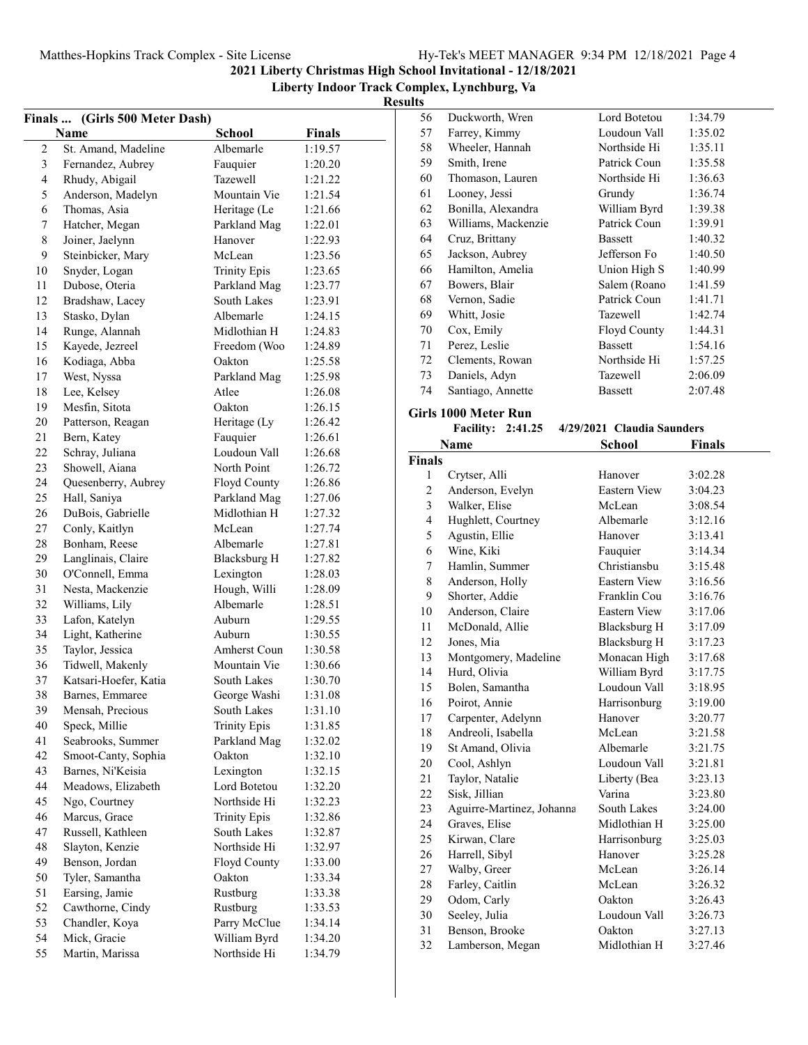**Liberty Indoor Track Complex, Lynchburg, Va Results**

|                | Finals  (Girls 500 Meter Dash) |                     |               |
|----------------|--------------------------------|---------------------|---------------|
|                | Name                           | <b>School</b>       | <b>Finals</b> |
| $\overline{c}$ | St. Amand, Madeline            | Albemarle           | 1:19.57       |
| 3              | Fernandez, Aubrey              | Fauquier            | 1:20.20       |
| $\overline{4}$ | Rhudy, Abigail                 | <b>Tazewell</b>     | 1:21.22       |
| 5              | Anderson, Madelyn              | Mountain Vie        | 1:21.54       |
| 6              | Thomas, Asia                   | Heritage (Le        | 1:21.66       |
| 7              | Hatcher, Megan                 | Parkland Mag        | 1:22.01       |
| $\,$ 8 $\,$    | Joiner, Jaelynn                | Hanover             | 1:22.93       |
| 9              | Steinbicker, Mary              | McLean              | 1:23.56       |
| 10             | Snyder, Logan                  | <b>Trinity Epis</b> | 1:23.65       |
| 11             | Dubose, Oteria                 | Parkland Mag        | 1:23.77       |
| 12             | Bradshaw, Lacey                | South Lakes         | 1:23.91       |
| 13             | Stasko, Dylan                  | Albemarle           | 1:24.15       |
| 14             | Runge, Alannah                 | Midlothian H        | 1:24.83       |
| 15             | Kayede, Jezreel                | Freedom (Woo        | 1:24.89       |
| 16             | Kodiaga, Abba                  | Oakton              | 1:25.58       |
| 17             | West, Nyssa                    | Parkland Mag        | 1:25.98       |
| 18             | Lee, Kelsey                    | Atlee               | 1:26.08       |
| 19             | Mesfin, Sitota                 | Oakton              | 1:26.15       |
| 20             | Patterson, Reagan              | Heritage (Ly        | 1:26.42       |
| 21             | Bern, Katey                    | Fauquier            | 1:26.61       |
| 22             | Schray, Juliana                | Loudoun Vall        | 1:26.68       |
| 23             | Showell, Aiana                 | North Point         | 1:26.72       |
| 24             | Quesenberry, Aubrey            | Floyd County        | 1:26.86       |
| 25             | Hall, Saniya                   | Parkland Mag        | 1:27.06       |
| 26             | DuBois, Gabrielle              | Midlothian H        | 1:27.32       |
| 27             | Conly, Kaitlyn                 | McLean              | 1:27.74       |
| 28             | Bonham, Reese                  | Albemarle           | 1:27.81       |
| 29             | Langlinais, Claire             | Blacksburg H        | 1:27.82       |
| 30             | O'Connell, Emma                | Lexington           | 1:28.03       |
| 31             | Nesta, Mackenzie               | Hough, Willi        | 1:28.09       |
| 32             | Williams, Lily                 | Albemarle           | 1:28.51       |
| 33             | Lafon, Katelyn                 | Auburn              | 1:29.55       |
| 34             | Light, Katherine               | Auburn              | 1:30.55       |
| 35             | Taylor, Jessica                | Amherst Coun        | 1:30.58       |
| 36             | Tidwell, Makenly               | Mountain Vie        | 1:30.66       |
| 37             | Katsari-Hoefer, Katia          | South Lakes         | 1:30.70       |
| 38             | Barnes, Emmaree                | George Washi        | 1:31.08       |
| 39             | Mensah, Precious               | South Lakes         | 1:31.10       |
| 40             | Speck, Millie                  | <b>Trinity Epis</b> | 1:31.85       |
| 41             | Seabrooks, Summer              | Parkland Mag        | 1:32.02       |
| 42             | Smoot-Canty, Sophia            | Oakton              | 1:32.10       |
| 43             | Barnes, Ni'Keisia              | Lexington           | 1:32.15       |
| 44             | Meadows, Elizabeth             | Lord Botetou        | 1:32.20       |
| 45             | Ngo, Courtney                  | Northside Hi        | 1:32.23       |
| 46             | Marcus, Grace                  | <b>Trinity Epis</b> | 1:32.86       |
| 47             | Russell, Kathleen              | South Lakes         | 1:32.87       |
| 48             | Slayton, Kenzie                | Northside Hi        | 1:32.97       |
| 49             | Benson, Jordan                 | Floyd County        | 1:33.00       |
| 50             | Tyler, Samantha                | Oakton              | 1:33.34       |
| 51             | Earsing, Jamie                 | Rustburg            | 1:33.38       |
| 52             | Cawthorne, Cindy               | Rustburg            | 1:33.53       |
| 53             | Chandler, Koya                 | Parry McClue        | 1:34.14       |
| 54             | Mick, Gracie                   | William Byrd        | 1:34.20       |
| 55             | Martin, Marissa                | Northside Hi        | 1:34.79       |
|                |                                |                     |               |

| 56 | Duckworth, Wren     | Lord Botetou        | 1:34.79 |
|----|---------------------|---------------------|---------|
| 57 | Farrey, Kimmy       | Loudoun Vall        | 1:35.02 |
| 58 | Wheeler, Hannah     | Northside Hi        | 1:35.11 |
| 59 | Smith, Irene        | Patrick Coun        | 1:35.58 |
| 60 | Thomason, Lauren    | Northside Hi        | 1:36.63 |
| 61 | Looney, Jessi       | Grundy              | 1:36.74 |
| 62 | Bonilla, Alexandra  | William Byrd        | 1:39.38 |
| 63 | Williams, Mackenzie | Patrick Coun        | 1:39.91 |
| 64 | Cruz, Brittany      | <b>Bassett</b>      | 1:40.32 |
| 65 | Jackson, Aubrey     | Jefferson Fo        | 1:40.50 |
| 66 | Hamilton, Amelia    | Union High S        | 1:40.99 |
| 67 | Bowers, Blair       | Salem (Roano        | 1:41.59 |
| 68 | Vernon, Sadie       | Patrick Coun        | 1:41.71 |
| 69 | Whitt, Josie        | <b>Tazewell</b>     | 1:42.74 |
| 70 | Cox, Emily          | <b>Floyd County</b> | 1:44.31 |
| 71 | Perez, Leslie       | <b>Bassett</b>      | 1:54.16 |
| 72 | Clements, Rowan     | Northside Hi        | 1:57.25 |
| 73 | Daniels, Adyn       | Tazewell            | 2:06.09 |
| 74 | Santiago, Annette   | <b>Bassett</b>      | 2:07.48 |
|    |                     |                     |         |

#### **Girls 1000 Meter Run**

| 799 BILLE                |  |                            |
|--------------------------|--|----------------------------|
| <b>Facility: 2:41.25</b> |  | 4/29/2021 Claudia Saunders |

|                | Name                      | School              | <b>Finals</b> |
|----------------|---------------------------|---------------------|---------------|
| Finals         |                           |                     |               |
| 1              | Crytser, Alli             | Hanover             | 3:02.28       |
| $\overline{c}$ | Anderson, Evelyn          | <b>Eastern View</b> | 3:04.23       |
| 3              | Walker, Elise             | McLean              | 3:08.54       |
| $\overline{4}$ | Hughlett, Courtney        | Albemarle           | 3:12.16       |
| 5              | Agustin, Ellie            | Hanover             | 3:13.41       |
| 6              | Wine, Kiki                | Fauquier            | 3:14.34       |
| 7              | Hamlin, Summer            | Christiansbu        | 3:15.48       |
| 8              | Anderson, Holly           | <b>Eastern View</b> | 3:16.56       |
| 9              | Shorter, Addie            | Franklin Cou        | 3:16.76       |
| 10             | Anderson, Claire          | Eastern View        | 3:17.06       |
| 11             | McDonald, Allie           | Blacksburg H        | 3:17.09       |
| 12             | Jones, Mia                | Blacksburg H        | 3:17.23       |
| 13             | Montgomery, Madeline      | Monacan High        | 3:17.68       |
| 14             | Hurd, Olivia              | William Byrd        | 3:17.75       |
| 15             | Bolen, Samantha           | Loudoun Vall        | 3:18.95       |
| 16             | Poirot, Annie             | Harrisonburg        | 3:19.00       |
| 17             | Carpenter, Adelynn        | Hanover             | 3:20.77       |
| 18             | Andreoli, Isabella        | McLean.             | 3:21.58       |
| 19             | St Amand, Olivia          | Albemarle           | 3:21.75       |
| 20             | Cool, Ashlyn              | Loudoun Vall        | 3:21.81       |
| 21             | Taylor, Natalie           | Liberty (Bea        | 3:23.13       |
| 22             | Sisk, Jillian             | Varina              | 3:23.80       |
| 23             | Aguirre-Martinez, Johanna | South Lakes         | 3:24.00       |
| 24             | Graves, Elise             | Midlothian H        | 3:25.00       |
| 25             | Kirwan, Clare             | Harrisonburg        | 3:25.03       |
| 26             | Harrell, Sibyl            | Hanover             | 3:25.28       |
| 27             | Walby, Greer              | McLean              | 3:26.14       |
| 28             | Farley, Caitlin           | McLean              | 3:26.32       |
| 29             | Odom, Carly               | Oakton              | 3:26.43       |
| 30             | Seeley, Julia             | Loudoun Vall        | 3:26.73       |
| 31             | Benson, Brooke            | Oakton              | 3:27.13       |
| 32             | Lamberson, Megan          | Midlothian H        | 3:27.46       |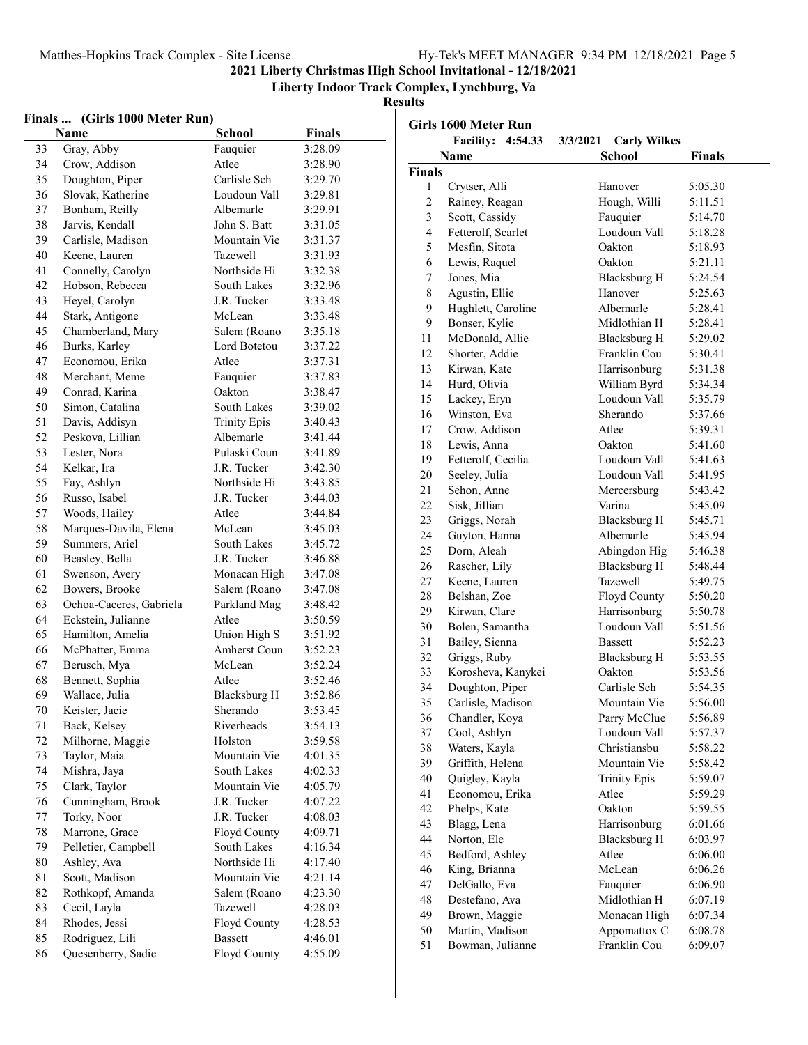Matthes-Hopkins Track Complex - Site License Hy-Tek's MEET MANAGER 9:34 PM 12/18/2021 Page 5

**2021 Liberty Christmas High School Invitational - 12/18/2021**

**Liberty Indoor Track Complex, Lynchburg, Va**

|          | Finals  (Girls 1000 Meter Run)   |                     |               |
|----------|----------------------------------|---------------------|---------------|
|          | Name                             | <b>School</b>       | <b>Finals</b> |
| 33       | Gray, Abby                       | Fauquier            | 3:28.09       |
| 34       | Crow, Addison                    | Atlee               | 3:28.90       |
| 35       | Doughton, Piper                  | Carlisle Sch        | 3:29.70       |
| 36       | Slovak, Katherine                | Loudoun Vall        | 3:29.81       |
| 37       | Bonham, Reilly                   | Albemarle           | 3:29.91       |
| 38       | Jarvis, Kendall                  | John S. Batt        | 3:31.05       |
| 39       | Carlisle, Madison                | Mountain Vie        | 3:31.37       |
| 40       | Keene, Lauren                    | Tazewell            | 3:31.93       |
| 41       | Connelly, Carolyn                | Northside Hi        | 3:32.38       |
| 42       | Hobson, Rebecca                  | South Lakes         | 3:32.96       |
| 43       | Heyel, Carolyn                   | J.R. Tucker         | 3:33.48       |
| 44       | Stark, Antigone                  | McLean              | 3:33.48       |
| 45       | Chamberland, Mary                | Salem (Roano        | 3:35.18       |
| 46       | Burks, Karley                    | Lord Botetou        | 3:37.22       |
| 47       | Economou, Erika                  | Atlee               | 3:37.31       |
| 48       | Merchant, Meme                   | Fauquier            | 3:37.83       |
| 49       | Conrad, Karina                   | Oakton              | 3:38.47       |
| 50       | Simon, Catalina                  | <b>South Lakes</b>  | 3:39.02       |
| 51       | Davis, Addisyn                   | <b>Trinity Epis</b> | 3:40.43       |
| 52       | Peskova, Lillian                 | Albemarle           | 3:41.44       |
| 53       | Lester, Nora                     | Pulaski Coun        | 3:41.89       |
| 54       | Kelkar, Ira                      | J.R. Tucker         | 3:42.30       |
| 55       | Fay, Ashlyn                      | Northside Hi        | 3:43.85       |
| 56       | Russo, Isabel                    | J.R. Tucker         | 3:44.03       |
| 57       | Woods, Hailey                    | Atlee               | 3:44.84       |
| 58       | Marques-Davila, Elena            | McLean              | 3:45.03       |
| 59       | Summers, Ariel                   | South Lakes         | 3:45.72       |
| 60       | Beasley, Bella                   | J.R. Tucker         | 3:46.88       |
| 61       | Swenson, Avery                   | Monacan High        | 3:47.08       |
| 62       | Bowers, Brooke                   | Salem (Roano        | 3:47.08       |
| 63       | Ochoa-Caceres, Gabriela          | Parkland Mag        | 3:48.42       |
| 64       | Eckstein, Julianne               | Atlee               | 3:50.59       |
| 65       | Hamilton, Amelia                 | Union High S        | 3:51.92       |
| 66       | McPhatter, Emma                  | Amherst Coun        | 3:52.23       |
| 67       | Berusch, Mya                     | McLean              | 3:52.24       |
| 68       | Bennett, Sophia                  | Atlee               | 3:52.46       |
| 69       | Wallace, Julia                   | <b>Blacksburg H</b> | 3:52.86       |
| 70       | Keister, Jacie                   | Sherando            | 3:53.45       |
|          |                                  | Riverheads          |               |
| 71<br>72 | Back, Kelsey<br>Milhorne, Maggie | Holston             | 3:54.13       |
|          |                                  | Mountain Vie        | 3:59.58       |
| 73<br>74 | Taylor, Maia                     | South Lakes         | 4:01.35       |
|          | Mishra, Jaya                     | Mountain Vie        | 4:02.33       |
| 75       | Clark, Taylor                    | J.R. Tucker         | 4:05.79       |
| 76       | Cunningham, Brook                |                     | 4:07.22       |
| 77       | Torky, Noor                      | J.R. Tucker         | 4:08.03       |
| 78       | Marrone, Grace                   | Floyd County        | 4:09.71       |
| 79       | Pelletier, Campbell              | South Lakes         | 4:16.34       |
| 80       | Ashley, Ava                      | Northside Hi        | 4:17.40       |
| 81       | Scott, Madison                   | Mountain Vie        | 4:21.14       |
| 82       | Rothkopf, Amanda                 | Salem (Roano        | 4:23.30       |
| 83       | Cecil, Layla                     | Tazewell            | 4:28.03       |
| 84       | Rhodes, Jessi                    | Floyd County        | 4:28.53       |
| 85       | Rodriguez, Lili                  | <b>Bassett</b>      | 4:46.01       |
| 86       | Quesenberry, Sadie               | Floyd County        | 4:55.09       |

|               | Girls 1600 Meter Run     |                                 |         |
|---------------|--------------------------|---------------------------------|---------|
|               | <b>Facility: 4:54.33</b> | <b>Carly Wilkes</b><br>3/3/2021 |         |
|               | Name                     | School                          | Finals  |
| <b>Finals</b> |                          |                                 |         |
| 1             | Crytser, Alli            | Hanover                         | 5:05.30 |
| 2             | Rainey, Reagan           | Hough, Willi                    | 5:11.51 |
| 3             | Scott, Cassidy           | Fauquier                        | 5:14.70 |
| 4             | Fetterolf, Scarlet       | Loudoun Vall                    | 5:18.28 |
| 5             | Mesfin, Sitota           | Oakton                          | 5:18.93 |
| 6             | Lewis, Raquel            | Oakton                          | 5:21.11 |
| 7             | Jones, Mia               | <b>Blacksburg H</b>             | 5:24.54 |
| 8             | Agustin, Ellie           | Hanover                         | 5:25.63 |
| 9             | Hughlett, Caroline       | Albemarle                       | 5:28.41 |
| 9             | Bonser, Kylie            | Midlothian H                    | 5:28.41 |
| 11            | McDonald, Allie          | <b>Blacksburg H</b>             | 5:29.02 |
| 12            | Shorter, Addie           | Franklin Cou                    | 5:30.41 |
| 13            | Kirwan, Kate             | Harrisonburg                    | 5:31.38 |
| 14            | Hurd, Olivia             | William Byrd                    | 5:34.34 |
| 15            | Lackey, Eryn             | Loudoun Vall                    | 5:35.79 |
| 16            | Winston, Eva             | Sherando                        | 5:37.66 |
| 17            | Crow, Addison            | Atlee                           | 5:39.31 |
| 18            | Lewis, Anna              | Oakton                          | 5:41.60 |
| 19            | Fetterolf, Cecilia       | Loudoun Vall                    | 5:41.63 |
| 20            | Seeley, Julia            | Loudoun Vall                    | 5:41.95 |
| 21            | Sehon, Anne              | Mercersburg                     | 5:43.42 |
| 22            | Sisk, Jillian            | Varina                          | 5:45.09 |
| 23            | Griggs, Norah            | Blacksburg H                    | 5:45.71 |
| 24            | Guyton, Hanna            | Albemarle                       | 5:45.94 |
| 25            | Dorn, Aleah              | Abingdon Hig                    | 5:46.38 |
| 26            | Rascher, Lily            | <b>Blacksburg H</b>             | 5:48.44 |
| 27            | Keene, Lauren            | Tazewell                        | 5:49.75 |
| 28            | Belshan, Zoe             | Floyd County                    | 5:50.20 |
| 29            | Kirwan, Clare            | Harrisonburg                    | 5:50.78 |
| 30            | Bolen, Samantha          | Loudoun Vall                    | 5:51.56 |
| 31            | Bailey, Sienna           | <b>Bassett</b>                  | 5:52.23 |
| 32            | Griggs, Ruby             | <b>Blacksburg H</b>             | 5:53.55 |
| 33            | Korosheva, Kanykei       | Oakton                          | 5:53.56 |
| 34            | Doughton, Piper          | Carlisle Sch                    | 5:54.35 |
| 35            | Carlisle, Madison        | Mountain Vie                    | 5:56.00 |
| 36            | Chandler, Koya           | Parry McClue                    | 5:56.89 |
| 37            | Cool, Ashlyn             | Loudoun Vall                    | 5:57.37 |
| 38            | Waters, Kayla            | Christiansbu                    | 5:58.22 |
| 39            | Griffith, Helena         | Mountain Vie                    | 5:58.42 |
| 40            | Quigley, Kayla           | <b>Trinity Epis</b>             | 5:59.07 |
| 41            | Economou, Erika          | Atlee                           | 5:59.29 |
| 42            | Phelps, Kate             | Oakton                          | 5:59.55 |
| 43            | Blagg, Lena              | Harrisonburg                    | 6:01.66 |
| 44            | Norton, Ele              | <b>Blacksburg H</b>             | 6:03.97 |
| 45            | Bedford, Ashley          | Atlee                           | 6:06.00 |
| 46            | King, Brianna            | McLean                          | 6:06.26 |
| 47            | DelGallo, Eva            | Fauquier                        | 6:06.90 |
| 48            | Destefano, Ava           | Midlothian H                    | 6:07.19 |
| 49            | Brown, Maggie            | Monacan High                    | 6:07.34 |
| 50            | Martin, Madison          | Appomattox C                    |         |
| 51            |                          | Franklin Cou                    | 6:08.78 |
|               | Bowman, Julianne         |                                 | 6:09.07 |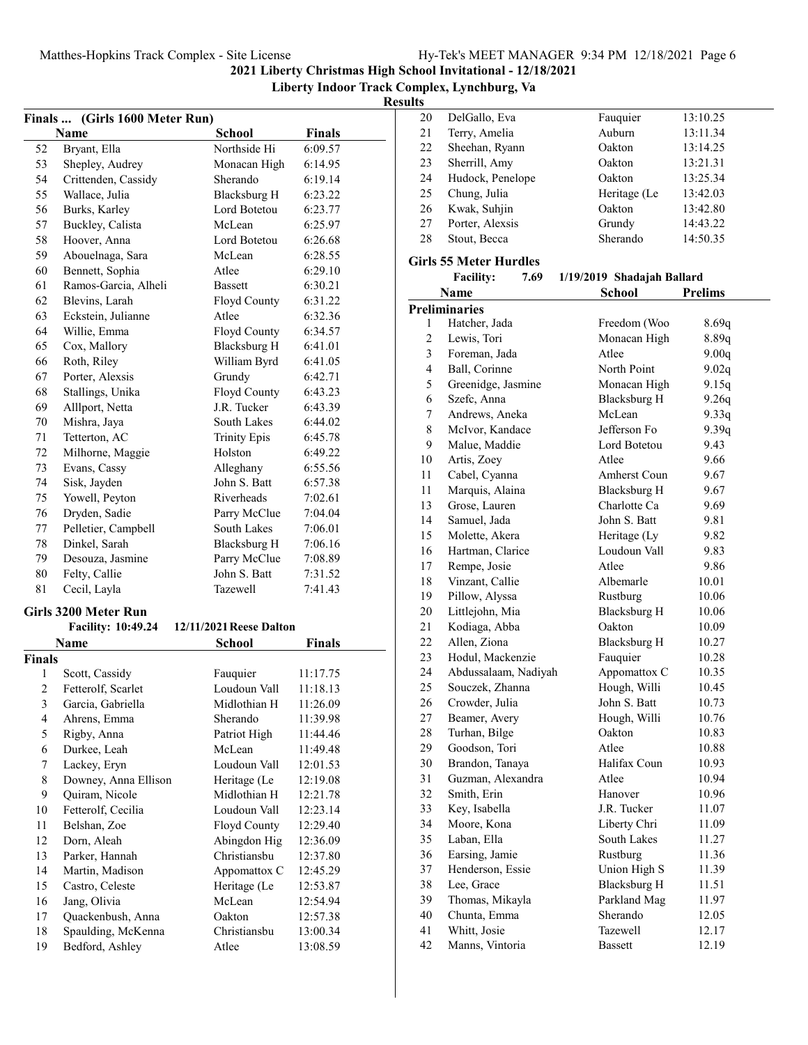**Liberty Indoor Track Complex, Lynchburg, Va**

**Results**

| Finals  (Girls 1600 Meter Run)<br>Name<br><b>School</b><br>Northside Hi<br>52<br>Bryant, Ella<br>53<br>Shepley, Audrey<br>Monacan High<br>54<br>Sherando<br>Crittenden, Cassidy<br>55<br>Wallace, Julia<br>Blacksburg H<br>56<br>Lord Botetou<br>Burks, Karley<br>57<br>McLean<br>Buckley, Calista<br>58<br>Hoover, Anna<br>Lord Botetou<br>59<br>Abouelnaga, Sara<br>McLean<br>60<br>Bennett, Sophia<br>Atlee<br>61<br>Ramos-Garcia, Alheli<br><b>Bassett</b><br>62<br>Blevins, Larah<br>Floyd County<br>63<br>Atlee<br>Eckstein, Julianne<br>64<br>Willie, Emma<br>Floyd County<br>65<br><b>Blacksburg H</b><br>Cox, Mallory<br>66<br>Roth, Riley<br>William Byrd<br>67<br>Porter, Alexsis<br>Grundy<br>68<br>Floyd County<br>Stallings, Unika<br>69<br>Alllport, Netta<br>J.R. Tucker<br>70<br>Mishra, Jaya<br>South Lakes<br>71<br>Tetterton, AC<br><b>Trinity Epis</b><br>72<br>Milhorne, Maggie<br>Holston<br>73<br>Evans, Cassy<br>Alleghany<br>74<br>Sisk, Jayden<br>John S. Batt | <b>Finals</b><br>6:09.57<br>6:14.95<br>6:19.14<br>6:23.22<br>6:23.77<br>6:25.97<br>6:26.68<br>6:28.55<br>6:29.10<br>6:30.21<br>6:31.22<br>6:32.36<br>6:34.57<br>6:41.01<br>6:41.05<br>6:42.71<br>6:43.23<br>6:43.39<br>6:44.02<br>6:45.78<br>6:49.22<br>6:55.56 |
|-------------------------------------------------------------------------------------------------------------------------------------------------------------------------------------------------------------------------------------------------------------------------------------------------------------------------------------------------------------------------------------------------------------------------------------------------------------------------------------------------------------------------------------------------------------------------------------------------------------------------------------------------------------------------------------------------------------------------------------------------------------------------------------------------------------------------------------------------------------------------------------------------------------------------------------------------------------------------------------------|-----------------------------------------------------------------------------------------------------------------------------------------------------------------------------------------------------------------------------------------------------------------|
|                                                                                                                                                                                                                                                                                                                                                                                                                                                                                                                                                                                                                                                                                                                                                                                                                                                                                                                                                                                           |                                                                                                                                                                                                                                                                 |
|                                                                                                                                                                                                                                                                                                                                                                                                                                                                                                                                                                                                                                                                                                                                                                                                                                                                                                                                                                                           |                                                                                                                                                                                                                                                                 |
|                                                                                                                                                                                                                                                                                                                                                                                                                                                                                                                                                                                                                                                                                                                                                                                                                                                                                                                                                                                           |                                                                                                                                                                                                                                                                 |
|                                                                                                                                                                                                                                                                                                                                                                                                                                                                                                                                                                                                                                                                                                                                                                                                                                                                                                                                                                                           |                                                                                                                                                                                                                                                                 |
|                                                                                                                                                                                                                                                                                                                                                                                                                                                                                                                                                                                                                                                                                                                                                                                                                                                                                                                                                                                           |                                                                                                                                                                                                                                                                 |
|                                                                                                                                                                                                                                                                                                                                                                                                                                                                                                                                                                                                                                                                                                                                                                                                                                                                                                                                                                                           |                                                                                                                                                                                                                                                                 |
|                                                                                                                                                                                                                                                                                                                                                                                                                                                                                                                                                                                                                                                                                                                                                                                                                                                                                                                                                                                           |                                                                                                                                                                                                                                                                 |
|                                                                                                                                                                                                                                                                                                                                                                                                                                                                                                                                                                                                                                                                                                                                                                                                                                                                                                                                                                                           |                                                                                                                                                                                                                                                                 |
|                                                                                                                                                                                                                                                                                                                                                                                                                                                                                                                                                                                                                                                                                                                                                                                                                                                                                                                                                                                           |                                                                                                                                                                                                                                                                 |
|                                                                                                                                                                                                                                                                                                                                                                                                                                                                                                                                                                                                                                                                                                                                                                                                                                                                                                                                                                                           |                                                                                                                                                                                                                                                                 |
|                                                                                                                                                                                                                                                                                                                                                                                                                                                                                                                                                                                                                                                                                                                                                                                                                                                                                                                                                                                           |                                                                                                                                                                                                                                                                 |
|                                                                                                                                                                                                                                                                                                                                                                                                                                                                                                                                                                                                                                                                                                                                                                                                                                                                                                                                                                                           |                                                                                                                                                                                                                                                                 |
|                                                                                                                                                                                                                                                                                                                                                                                                                                                                                                                                                                                                                                                                                                                                                                                                                                                                                                                                                                                           |                                                                                                                                                                                                                                                                 |
|                                                                                                                                                                                                                                                                                                                                                                                                                                                                                                                                                                                                                                                                                                                                                                                                                                                                                                                                                                                           |                                                                                                                                                                                                                                                                 |
|                                                                                                                                                                                                                                                                                                                                                                                                                                                                                                                                                                                                                                                                                                                                                                                                                                                                                                                                                                                           |                                                                                                                                                                                                                                                                 |
|                                                                                                                                                                                                                                                                                                                                                                                                                                                                                                                                                                                                                                                                                                                                                                                                                                                                                                                                                                                           |                                                                                                                                                                                                                                                                 |
|                                                                                                                                                                                                                                                                                                                                                                                                                                                                                                                                                                                                                                                                                                                                                                                                                                                                                                                                                                                           |                                                                                                                                                                                                                                                                 |
|                                                                                                                                                                                                                                                                                                                                                                                                                                                                                                                                                                                                                                                                                                                                                                                                                                                                                                                                                                                           |                                                                                                                                                                                                                                                                 |
|                                                                                                                                                                                                                                                                                                                                                                                                                                                                                                                                                                                                                                                                                                                                                                                                                                                                                                                                                                                           |                                                                                                                                                                                                                                                                 |
|                                                                                                                                                                                                                                                                                                                                                                                                                                                                                                                                                                                                                                                                                                                                                                                                                                                                                                                                                                                           |                                                                                                                                                                                                                                                                 |
|                                                                                                                                                                                                                                                                                                                                                                                                                                                                                                                                                                                                                                                                                                                                                                                                                                                                                                                                                                                           |                                                                                                                                                                                                                                                                 |
|                                                                                                                                                                                                                                                                                                                                                                                                                                                                                                                                                                                                                                                                                                                                                                                                                                                                                                                                                                                           |                                                                                                                                                                                                                                                                 |
|                                                                                                                                                                                                                                                                                                                                                                                                                                                                                                                                                                                                                                                                                                                                                                                                                                                                                                                                                                                           |                                                                                                                                                                                                                                                                 |
|                                                                                                                                                                                                                                                                                                                                                                                                                                                                                                                                                                                                                                                                                                                                                                                                                                                                                                                                                                                           | 6:57.38                                                                                                                                                                                                                                                         |
| Yowell, Peyton<br>75<br>Riverheads                                                                                                                                                                                                                                                                                                                                                                                                                                                                                                                                                                                                                                                                                                                                                                                                                                                                                                                                                        | 7:02.61                                                                                                                                                                                                                                                         |
| 76<br>Dryden, Sadie<br>Parry McClue                                                                                                                                                                                                                                                                                                                                                                                                                                                                                                                                                                                                                                                                                                                                                                                                                                                                                                                                                       | 7:04.04                                                                                                                                                                                                                                                         |
| $77 \,$<br>Pelletier, Campbell<br>South Lakes                                                                                                                                                                                                                                                                                                                                                                                                                                                                                                                                                                                                                                                                                                                                                                                                                                                                                                                                             | 7:06.01                                                                                                                                                                                                                                                         |
| 78<br>Dinkel, Sarah<br>Blacksburg H                                                                                                                                                                                                                                                                                                                                                                                                                                                                                                                                                                                                                                                                                                                                                                                                                                                                                                                                                       | 7:06.16                                                                                                                                                                                                                                                         |
| 79<br>Parry McClue<br>Desouza, Jasmine                                                                                                                                                                                                                                                                                                                                                                                                                                                                                                                                                                                                                                                                                                                                                                                                                                                                                                                                                    | 7:08.89                                                                                                                                                                                                                                                         |
| 80<br>John S. Batt<br>Felty, Callie                                                                                                                                                                                                                                                                                                                                                                                                                                                                                                                                                                                                                                                                                                                                                                                                                                                                                                                                                       | 7:31.52                                                                                                                                                                                                                                                         |
| 81<br>Cecil, Layla<br>Tazewell                                                                                                                                                                                                                                                                                                                                                                                                                                                                                                                                                                                                                                                                                                                                                                                                                                                                                                                                                            | 7:41.43                                                                                                                                                                                                                                                         |
|                                                                                                                                                                                                                                                                                                                                                                                                                                                                                                                                                                                                                                                                                                                                                                                                                                                                                                                                                                                           |                                                                                                                                                                                                                                                                 |
| Girls 3200 Meter Run                                                                                                                                                                                                                                                                                                                                                                                                                                                                                                                                                                                                                                                                                                                                                                                                                                                                                                                                                                      |                                                                                                                                                                                                                                                                 |
| <b>Facility: 10:49.24</b><br>12/11/2021 Reese Dalton                                                                                                                                                                                                                                                                                                                                                                                                                                                                                                                                                                                                                                                                                                                                                                                                                                                                                                                                      |                                                                                                                                                                                                                                                                 |
| <b>Name</b><br>School                                                                                                                                                                                                                                                                                                                                                                                                                                                                                                                                                                                                                                                                                                                                                                                                                                                                                                                                                                     | <b>Finals</b>                                                                                                                                                                                                                                                   |
| Finals                                                                                                                                                                                                                                                                                                                                                                                                                                                                                                                                                                                                                                                                                                                                                                                                                                                                                                                                                                                    |                                                                                                                                                                                                                                                                 |
| 1<br>Scott, Cassidy<br>Fauquier                                                                                                                                                                                                                                                                                                                                                                                                                                                                                                                                                                                                                                                                                                                                                                                                                                                                                                                                                           | 11:17.75                                                                                                                                                                                                                                                        |
| $\overline{2}$<br>Fetterolf, Scarlet<br>Loudoun Vall                                                                                                                                                                                                                                                                                                                                                                                                                                                                                                                                                                                                                                                                                                                                                                                                                                                                                                                                      | 11:18.13                                                                                                                                                                                                                                                        |
| $\mathfrak{Z}$<br>Garcia, Gabriella<br>Midlothian H                                                                                                                                                                                                                                                                                                                                                                                                                                                                                                                                                                                                                                                                                                                                                                                                                                                                                                                                       | 11:26.09                                                                                                                                                                                                                                                        |
| $\overline{\mathbf{4}}$<br>Sherando<br>Ahrens, Emma                                                                                                                                                                                                                                                                                                                                                                                                                                                                                                                                                                                                                                                                                                                                                                                                                                                                                                                                       | 11:39.98                                                                                                                                                                                                                                                        |
| 5<br>Patriot High<br>Rigby, Anna                                                                                                                                                                                                                                                                                                                                                                                                                                                                                                                                                                                                                                                                                                                                                                                                                                                                                                                                                          | 11:44.46                                                                                                                                                                                                                                                        |
| 6<br>Durkee, Leah<br>McLean                                                                                                                                                                                                                                                                                                                                                                                                                                                                                                                                                                                                                                                                                                                                                                                                                                                                                                                                                               | 11:49.48                                                                                                                                                                                                                                                        |
| Lackey, Eryn<br>Loudoun Vall<br>7                                                                                                                                                                                                                                                                                                                                                                                                                                                                                                                                                                                                                                                                                                                                                                                                                                                                                                                                                         | 12:01.53                                                                                                                                                                                                                                                        |
| 8<br>Heritage (Le<br>Downey, Anna Ellison                                                                                                                                                                                                                                                                                                                                                                                                                                                                                                                                                                                                                                                                                                                                                                                                                                                                                                                                                 | 12:19.08                                                                                                                                                                                                                                                        |
| 9<br>Quiram, Nicole<br>Midlothian H                                                                                                                                                                                                                                                                                                                                                                                                                                                                                                                                                                                                                                                                                                                                                                                                                                                                                                                                                       | 12:21.78                                                                                                                                                                                                                                                        |
| Loudoun Vall<br>10<br>Fetterolf, Cecilia                                                                                                                                                                                                                                                                                                                                                                                                                                                                                                                                                                                                                                                                                                                                                                                                                                                                                                                                                  | 12:23.14                                                                                                                                                                                                                                                        |
| Floyd County<br>11<br>Belshan, Zoe                                                                                                                                                                                                                                                                                                                                                                                                                                                                                                                                                                                                                                                                                                                                                                                                                                                                                                                                                        | 12:29.40                                                                                                                                                                                                                                                        |
| 12<br>Dorn, Aleah<br>Abingdon Hig                                                                                                                                                                                                                                                                                                                                                                                                                                                                                                                                                                                                                                                                                                                                                                                                                                                                                                                                                         | 12:36.09                                                                                                                                                                                                                                                        |
| 13<br>Christiansbu<br>Parker, Hannah                                                                                                                                                                                                                                                                                                                                                                                                                                                                                                                                                                                                                                                                                                                                                                                                                                                                                                                                                      | 12:37.80                                                                                                                                                                                                                                                        |
| Martin, Madison<br>14<br>Appomattox C                                                                                                                                                                                                                                                                                                                                                                                                                                                                                                                                                                                                                                                                                                                                                                                                                                                                                                                                                     | 12:45.29                                                                                                                                                                                                                                                        |
| Castro, Celeste<br>Heritage (Le<br>15                                                                                                                                                                                                                                                                                                                                                                                                                                                                                                                                                                                                                                                                                                                                                                                                                                                                                                                                                     | 12:53.87                                                                                                                                                                                                                                                        |
| McLean<br>16<br>Jang, Olivia                                                                                                                                                                                                                                                                                                                                                                                                                                                                                                                                                                                                                                                                                                                                                                                                                                                                                                                                                              | 12:54.94                                                                                                                                                                                                                                                        |
| Oakton<br>17<br>Quackenbush, Anna                                                                                                                                                                                                                                                                                                                                                                                                                                                                                                                                                                                                                                                                                                                                                                                                                                                                                                                                                         | 12:57.38                                                                                                                                                                                                                                                        |
| Spaulding, McKenna<br>18<br>Christiansbu                                                                                                                                                                                                                                                                                                                                                                                                                                                                                                                                                                                                                                                                                                                                                                                                                                                                                                                                                  | 13:00.34                                                                                                                                                                                                                                                        |
| Bedford, Ashley<br>19<br>Atlee                                                                                                                                                                                                                                                                                                                                                                                                                                                                                                                                                                                                                                                                                                                                                                                                                                                                                                                                                            | 13:08.59                                                                                                                                                                                                                                                        |

| 20 | DelGallo, Eva    | Fauquier     | 13:10.25 |
|----|------------------|--------------|----------|
| 21 | Terry, Amelia    | Auburn       | 13:11.34 |
| 22 | Sheehan, Ryann   | Oakton       | 13:14.25 |
| 23 | Sherrill, Amy    | Oakton       | 13:21.31 |
| 24 | Hudock, Penelope | Oakton       | 13:25.34 |
| 25 | Chung, Julia     | Heritage (Le | 13:42.03 |
| 26 | Kwak, Suhjin     | Oakton       | 13:42.80 |
| 27 | Porter, Alexsis  | Grundy       | 14:43.22 |
| 28 | Stout, Becca     | Sherando     | 14:50.35 |
|    |                  |              |          |

#### **Girls 55 Meter Hurdles** Facility: 7.69 1/19/2019 Shadajah Ballard

|                | Name                 | <b>School</b>       | <b>Prelims</b> |  |  |  |
|----------------|----------------------|---------------------|----------------|--|--|--|
|                | <b>Preliminaries</b> |                     |                |  |  |  |
| 1              | Hatcher, Jada        | Freedom (Woo        | 8.69q          |  |  |  |
| 2              | Lewis, Tori          | Monacan High        | 8.89q          |  |  |  |
| 3              | Foreman, Jada        | Atlee               | 9.00q          |  |  |  |
| $\overline{4}$ | Ball, Corinne        | North Point         | 9.02q          |  |  |  |
| 5              | Greenidge, Jasmine   | Monacan High        | 9.15q          |  |  |  |
| 6              | Szefc, Anna          | <b>Blacksburg H</b> | 9.26q          |  |  |  |
| 7              | Andrews, Aneka       | McLean              | 9.33q          |  |  |  |
| $\,$ $\,$      | McIvor, Kandace      | Jefferson Fo        | 9.39q          |  |  |  |
| 9              | Malue, Maddie        | Lord Botetou        | 9.43           |  |  |  |
| 10             | Artis, Zoey          | Atlee               | 9.66           |  |  |  |
| 11             | Cabel, Cyanna        | Amherst Coun        | 9.67           |  |  |  |
| 11             | Marquis, Alaina      | Blacksburg H        | 9.67           |  |  |  |
| 13             | Grose, Lauren        | Charlotte Ca        | 9.69           |  |  |  |
| 14             | Samuel, Jada         | John S. Batt        | 9.81           |  |  |  |
| 15             | Molette, Akera       | Heritage (Ly        | 9.82           |  |  |  |
| 16             | Hartman, Clarice     | Loudoun Vall        | 9.83           |  |  |  |
| 17             | Rempe, Josie         | Atlee               | 9.86           |  |  |  |
| 18             | Vinzant, Callie      | Albemarle           | 10.01          |  |  |  |
| 19             | Pillow, Alyssa       | Rustburg            | 10.06          |  |  |  |
| 20             | Littlejohn, Mia      | <b>Blacksburg H</b> | 10.06          |  |  |  |
| 21             | Kodiaga, Abba        | Oakton              | 10.09          |  |  |  |
| 22             | Allen, Ziona         | <b>Blacksburg H</b> | 10.27          |  |  |  |
| 23             | Hodul, Mackenzie     | Fauquier            | 10.28          |  |  |  |
| 24             | Abdussalaam, Nadiyah | Appomattox C        | 10.35          |  |  |  |
| 25             | Souczek, Zhanna      | Hough, Willi        | 10.45          |  |  |  |
| 26             | Crowder, Julia       | John S. Batt        | 10.73          |  |  |  |
| 27             | Beamer, Avery        | Hough, Willi        | 10.76          |  |  |  |
| 28             | Turhan, Bilge        | Oakton              | 10.83          |  |  |  |
| 29             | Goodson, Tori        | Atlee               | 10.88          |  |  |  |
| 30             | Brandon, Tanaya      | Halifax Coun        | 10.93          |  |  |  |
| 31             | Guzman, Alexandra    | Atlee               | 10.94          |  |  |  |
| 32             | Smith, Erin          | Hanover             | 10.96          |  |  |  |
| 33             | Key, Isabella        | J.R. Tucker         | 11.07          |  |  |  |
| 34             | Moore, Kona          | Liberty Chri        | 11.09          |  |  |  |
| 35             | Laban, Ella          | South Lakes         | 11.27          |  |  |  |
| 36             | Earsing, Jamie       | Rustburg            | 11.36          |  |  |  |
| 37             | Henderson, Essie     | Union High S        | 11.39          |  |  |  |
| 38             | Lee, Grace           | <b>Blacksburg H</b> | 11.51          |  |  |  |
| 39             | Thomas, Mikayla      | Parkland Mag        | 11.97          |  |  |  |
| 40             | Chunta, Emma         | Sherando            | 12.05          |  |  |  |
| 41             | Whitt, Josie         | <b>Tazewell</b>     | 12.17          |  |  |  |
| 42             | Manns, Vintoria      | <b>Bassett</b>      | 12.19          |  |  |  |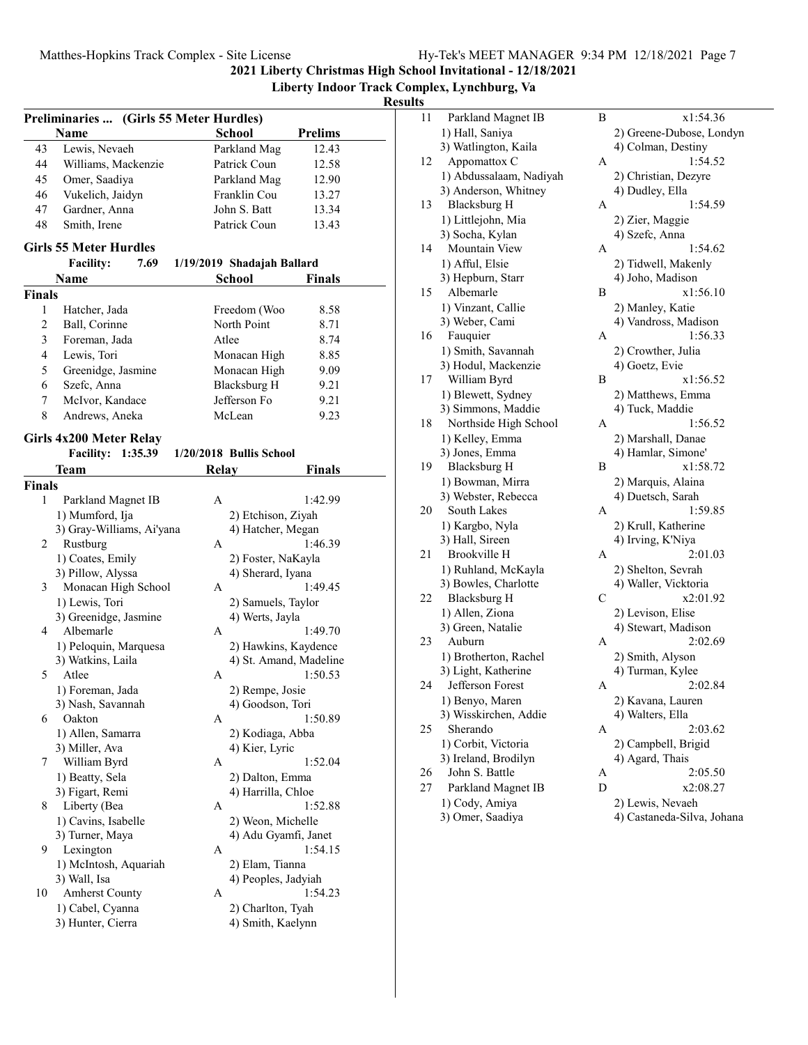**Liberty Indoor Track Complex, Lynchburg, Va**

# $\frac{Results}{\frac{11}{11}}$

|                | Preliminaries  (Girls 55 Meter Hurdles) |              |                            |                |
|----------------|-----------------------------------------|--------------|----------------------------|----------------|
|                | Name                                    |              | School                     | <b>Prelims</b> |
| 43             | Lewis, Nevaeh                           |              | Parkland Mag               | 12.43          |
| 44             | Williams, Mackenzie                     |              | Patrick Coun               | 12.58          |
| 45             | Omer, Saadiya                           |              | Parkland Mag               | 12.90          |
| 46             | Vukelich, Jaidyn                        |              | Franklin Cou               | 13.27          |
| 47             | Gardner, Anna                           |              | John S. Batt               | 13.34          |
| 48             | Smith, Irene                            |              | Patrick Coun               | 13.43          |
|                | <b>Girls 55 Meter Hurdles</b>           |              |                            |                |
|                | <b>Facility:</b><br>7.69                |              | 1/19/2019 Shadajah Ballard |                |
|                | Name                                    |              | <b>School</b>              | Finals         |
| <b>Finals</b>  |                                         |              |                            |                |
| 1              | Hatcher, Jada                           |              | Freedom (Woo               | 8.58           |
| $\overline{c}$ | Ball, Corinne                           |              | North Point                | 8.71           |
| 3              | Foreman, Jada                           |              | Atlee                      | 8.74           |
| 4              | Lewis, Tori                             |              | Monacan High               | 8.85           |
| 5              | Greenidge, Jasmine                      |              | Monacan High               | 9.09           |
| 6              | Szefc, Anna                             |              | <b>Blacksburg H</b>        | 9.21           |
| 7              | McIvor, Kandace                         |              | Jefferson Fo               | 9.21           |
| 8              | Andrews, Aneka                          |              | McLean                     | 9.23           |
|                |                                         |              |                            |                |
|                | Girls 4x200 Meter Relay                 |              |                            |                |
|                | <b>Facility: 1:35.39</b>                |              | 1/20/2018 Bullis School    |                |
|                | Team                                    | <b>Relay</b> |                            | Finals         |
| <b>Finals</b>  |                                         |              |                            |                |
| 1              | Parkland Magnet IB                      | А            |                            | 1:42.99        |
|                | 1) Mumford, Ija                         |              | 2) Etchison, Ziyah         |                |
| 2              | 3) Gray-Williams, Ai'yana<br>Rustburg   | А            | 4) Hatcher, Megan          | 1:46.39        |
|                | 1) Coates, Emily                        |              | 2) Foster, NaKayla         |                |
|                | 3) Pillow, Alyssa                       |              | 4) Sherard, Iyana          |                |
| 3              | Monacan High School                     | A            |                            | 1:49.45        |
|                | 1) Lewis, Tori                          |              | 2) Samuels, Taylor         |                |
|                | 3) Greenidge, Jasmine                   |              | 4) Werts, Jayla            |                |
| 4              | Albemarle                               | А            |                            | 1:49.70        |
|                | 1) Peloquin, Marquesa                   |              | 2) Hawkins, Kaydence       |                |
|                | 3) Watkins, Laila                       |              | 4) St. Amand, Madeline     |                |
| 5              | Atlee                                   | А            |                            | 1:50.53        |
|                | 1) Foreman, Jada                        |              | 2) Rempe, Josie            |                |
|                | 3) Nash, Savannah                       |              | 4) Goodson, Tori           |                |
| 6              | Oakton                                  | А            |                            | 1:50.89        |
|                | 1) Allen, Samarra                       |              | 2) Kodiaga, Abba           |                |
|                | 3) Miller, Ava                          |              | 4) Kier, Lyric             |                |
| 7              | William Byrd                            | А            |                            | 1:52.04        |
|                | 1) Beatty, Sela                         |              | 2) Dalton, Emma            |                |
|                | 3) Figart, Remi                         |              | 4) Harrilla, Chloe         |                |
| 8              | Liberty (Bea                            | А            |                            | 1:52.88        |
|                | 1) Cavins, Isabelle                     |              | 2) Weon, Michelle          |                |
|                | 3) Turner, Maya                         |              | 4) Adu Gyamfi, Janet       |                |
| 9              | Lexington                               | А            |                            | 1:54.15        |
|                | 1) McIntosh, Aquariah                   |              | 2) Elam, Tianna            |                |
|                | 3) Wall, Isa                            |              | 4) Peoples, Jadyiah        |                |
| 10             | <b>Amherst County</b>                   | А            |                            | 1:54.23        |
|                | 1) Cabel, Cyanna                        |              | 2) Charlton, Tyah          |                |
|                | 3) Hunter, Cierra                       |              | 4) Smith, Kaelynn          |                |
|                |                                         |              |                            |                |

| В                                                                                                                                                                                                                                                                                                                                                                                                                                                                                                                                                                                                                                                                                                                                                                                                                                                                                                                                                                                                                  | x1:54.36                                                           |
|--------------------------------------------------------------------------------------------------------------------------------------------------------------------------------------------------------------------------------------------------------------------------------------------------------------------------------------------------------------------------------------------------------------------------------------------------------------------------------------------------------------------------------------------------------------------------------------------------------------------------------------------------------------------------------------------------------------------------------------------------------------------------------------------------------------------------------------------------------------------------------------------------------------------------------------------------------------------------------------------------------------------|--------------------------------------------------------------------|
|                                                                                                                                                                                                                                                                                                                                                                                                                                                                                                                                                                                                                                                                                                                                                                                                                                                                                                                                                                                                                    | 2) Greene-Dubose, Londyn                                           |
|                                                                                                                                                                                                                                                                                                                                                                                                                                                                                                                                                                                                                                                                                                                                                                                                                                                                                                                                                                                                                    | 4) Colman, Destiny                                                 |
| А                                                                                                                                                                                                                                                                                                                                                                                                                                                                                                                                                                                                                                                                                                                                                                                                                                                                                                                                                                                                                  | 1:54.52                                                            |
|                                                                                                                                                                                                                                                                                                                                                                                                                                                                                                                                                                                                                                                                                                                                                                                                                                                                                                                                                                                                                    | 2) Christian, Dezyre                                               |
|                                                                                                                                                                                                                                                                                                                                                                                                                                                                                                                                                                                                                                                                                                                                                                                                                                                                                                                                                                                                                    | 4) Dudley, Ella                                                    |
| А                                                                                                                                                                                                                                                                                                                                                                                                                                                                                                                                                                                                                                                                                                                                                                                                                                                                                                                                                                                                                  | 1:54.59                                                            |
|                                                                                                                                                                                                                                                                                                                                                                                                                                                                                                                                                                                                                                                                                                                                                                                                                                                                                                                                                                                                                    | 2) Zier, Maggie                                                    |
|                                                                                                                                                                                                                                                                                                                                                                                                                                                                                                                                                                                                                                                                                                                                                                                                                                                                                                                                                                                                                    | 4) Szefc, Anna                                                     |
|                                                                                                                                                                                                                                                                                                                                                                                                                                                                                                                                                                                                                                                                                                                                                                                                                                                                                                                                                                                                                    | 1:54.62                                                            |
|                                                                                                                                                                                                                                                                                                                                                                                                                                                                                                                                                                                                                                                                                                                                                                                                                                                                                                                                                                                                                    | 2) Tidwell, Makenly                                                |
|                                                                                                                                                                                                                                                                                                                                                                                                                                                                                                                                                                                                                                                                                                                                                                                                                                                                                                                                                                                                                    | 4) Joho, Madison                                                   |
|                                                                                                                                                                                                                                                                                                                                                                                                                                                                                                                                                                                                                                                                                                                                                                                                                                                                                                                                                                                                                    | x1:56.10                                                           |
|                                                                                                                                                                                                                                                                                                                                                                                                                                                                                                                                                                                                                                                                                                                                                                                                                                                                                                                                                                                                                    | 2) Manley, Katie                                                   |
|                                                                                                                                                                                                                                                                                                                                                                                                                                                                                                                                                                                                                                                                                                                                                                                                                                                                                                                                                                                                                    | 4) Vandross, Madison                                               |
|                                                                                                                                                                                                                                                                                                                                                                                                                                                                                                                                                                                                                                                                                                                                                                                                                                                                                                                                                                                                                    | 1:56.33                                                            |
|                                                                                                                                                                                                                                                                                                                                                                                                                                                                                                                                                                                                                                                                                                                                                                                                                                                                                                                                                                                                                    | 2) Crowther, Julia                                                 |
|                                                                                                                                                                                                                                                                                                                                                                                                                                                                                                                                                                                                                                                                                                                                                                                                                                                                                                                                                                                                                    | 4) Goetz, Evie                                                     |
|                                                                                                                                                                                                                                                                                                                                                                                                                                                                                                                                                                                                                                                                                                                                                                                                                                                                                                                                                                                                                    | x1:56.52                                                           |
|                                                                                                                                                                                                                                                                                                                                                                                                                                                                                                                                                                                                                                                                                                                                                                                                                                                                                                                                                                                                                    | 2) Matthews, Emma                                                  |
|                                                                                                                                                                                                                                                                                                                                                                                                                                                                                                                                                                                                                                                                                                                                                                                                                                                                                                                                                                                                                    | 4) Tuck, Maddie                                                    |
|                                                                                                                                                                                                                                                                                                                                                                                                                                                                                                                                                                                                                                                                                                                                                                                                                                                                                                                                                                                                                    | 1:56.52                                                            |
|                                                                                                                                                                                                                                                                                                                                                                                                                                                                                                                                                                                                                                                                                                                                                                                                                                                                                                                                                                                                                    | 2) Marshall, Danae                                                 |
|                                                                                                                                                                                                                                                                                                                                                                                                                                                                                                                                                                                                                                                                                                                                                                                                                                                                                                                                                                                                                    | 4) Hamlar, Simone'                                                 |
|                                                                                                                                                                                                                                                                                                                                                                                                                                                                                                                                                                                                                                                                                                                                                                                                                                                                                                                                                                                                                    | x1:58.72                                                           |
|                                                                                                                                                                                                                                                                                                                                                                                                                                                                                                                                                                                                                                                                                                                                                                                                                                                                                                                                                                                                                    | 2) Marquis, Alaina                                                 |
|                                                                                                                                                                                                                                                                                                                                                                                                                                                                                                                                                                                                                                                                                                                                                                                                                                                                                                                                                                                                                    | 4) Duetsch, Sarah                                                  |
|                                                                                                                                                                                                                                                                                                                                                                                                                                                                                                                                                                                                                                                                                                                                                                                                                                                                                                                                                                                                                    | 1:59.85                                                            |
|                                                                                                                                                                                                                                                                                                                                                                                                                                                                                                                                                                                                                                                                                                                                                                                                                                                                                                                                                                                                                    | 2) Krull, Katherine                                                |
|                                                                                                                                                                                                                                                                                                                                                                                                                                                                                                                                                                                                                                                                                                                                                                                                                                                                                                                                                                                                                    | 4) Irving, K'Niya                                                  |
|                                                                                                                                                                                                                                                                                                                                                                                                                                                                                                                                                                                                                                                                                                                                                                                                                                                                                                                                                                                                                    | 2:01.03                                                            |
|                                                                                                                                                                                                                                                                                                                                                                                                                                                                                                                                                                                                                                                                                                                                                                                                                                                                                                                                                                                                                    | 2) Shelton, Sevrah                                                 |
|                                                                                                                                                                                                                                                                                                                                                                                                                                                                                                                                                                                                                                                                                                                                                                                                                                                                                                                                                                                                                    | 4) Waller, Vicktoria                                               |
|                                                                                                                                                                                                                                                                                                                                                                                                                                                                                                                                                                                                                                                                                                                                                                                                                                                                                                                                                                                                                    | x2:01.92                                                           |
|                                                                                                                                                                                                                                                                                                                                                                                                                                                                                                                                                                                                                                                                                                                                                                                                                                                                                                                                                                                                                    | 2) Levison, Elise                                                  |
|                                                                                                                                                                                                                                                                                                                                                                                                                                                                                                                                                                                                                                                                                                                                                                                                                                                                                                                                                                                                                    | 4) Stewart, Madison                                                |
|                                                                                                                                                                                                                                                                                                                                                                                                                                                                                                                                                                                                                                                                                                                                                                                                                                                                                                                                                                                                                    | 2:02.69                                                            |
|                                                                                                                                                                                                                                                                                                                                                                                                                                                                                                                                                                                                                                                                                                                                                                                                                                                                                                                                                                                                                    | 2) Smith, Alyson                                                   |
|                                                                                                                                                                                                                                                                                                                                                                                                                                                                                                                                                                                                                                                                                                                                                                                                                                                                                                                                                                                                                    | 4) Turman, Kylee                                                   |
|                                                                                                                                                                                                                                                                                                                                                                                                                                                                                                                                                                                                                                                                                                                                                                                                                                                                                                                                                                                                                    | 2:02.84                                                            |
|                                                                                                                                                                                                                                                                                                                                                                                                                                                                                                                                                                                                                                                                                                                                                                                                                                                                                                                                                                                                                    | 2) Kavana, Lauren                                                  |
|                                                                                                                                                                                                                                                                                                                                                                                                                                                                                                                                                                                                                                                                                                                                                                                                                                                                                                                                                                                                                    | 4) Walters, Ella                                                   |
|                                                                                                                                                                                                                                                                                                                                                                                                                                                                                                                                                                                                                                                                                                                                                                                                                                                                                                                                                                                                                    | 2:03.62                                                            |
|                                                                                                                                                                                                                                                                                                                                                                                                                                                                                                                                                                                                                                                                                                                                                                                                                                                                                                                                                                                                                    | 2) Campbell, Brigid                                                |
|                                                                                                                                                                                                                                                                                                                                                                                                                                                                                                                                                                                                                                                                                                                                                                                                                                                                                                                                                                                                                    |                                                                    |
|                                                                                                                                                                                                                                                                                                                                                                                                                                                                                                                                                                                                                                                                                                                                                                                                                                                                                                                                                                                                                    | 4) Agard, Thais<br>2:05.50                                         |
|                                                                                                                                                                                                                                                                                                                                                                                                                                                                                                                                                                                                                                                                                                                                                                                                                                                                                                                                                                                                                    | x2:08.27                                                           |
|                                                                                                                                                                                                                                                                                                                                                                                                                                                                                                                                                                                                                                                                                                                                                                                                                                                                                                                                                                                                                    |                                                                    |
|                                                                                                                                                                                                                                                                                                                                                                                                                                                                                                                                                                                                                                                                                                                                                                                                                                                                                                                                                                                                                    | 2) Lewis, Nevaeh                                                   |
|                                                                                                                                                                                                                                                                                                                                                                                                                                                                                                                                                                                                                                                                                                                                                                                                                                                                                                                                                                                                                    | 4) Castaneda-Silva, Johana                                         |
| Parkland Magnet IB<br>1) Hall, Saniya<br>3) Watlington, Kaila<br>Appomattox C<br>1) Abdussalaam, Nadiyah<br>3) Anderson, Whitney<br>Blacksburg H<br>1) Littlejohn, Mia<br>3) Socha, Kylan<br>Mountain View<br>1) Afful, Elsie<br>3) Hepburn, Starr<br>Albemarle<br>1) Vinzant, Callie<br>3) Weber, Cami<br>Fauquier<br>1) Smith, Savannah<br>3) Hodul, Mackenzie<br>William Byrd<br>1) Blewett, Sydney<br>3) Simmons, Maddie<br>Northside High School<br>1) Kelley, Emma<br>3) Jones, Emma<br><b>Blacksburg H</b><br>1) Bowman, Mirra<br>3) Webster, Rebecca<br>South Lakes<br>1) Kargbo, Nyla<br>3) Hall, Sireen<br>Brookville H<br>1) Ruhland, McKayla<br>3) Bowles, Charlotte<br><b>Blacksburg H</b><br>1) Allen, Ziona<br>3) Green, Natalie<br>Auburn<br>1) Brotherton, Rachel<br>3) Light, Katherine<br>Jefferson Forest<br>1) Benyo, Maren<br>3) Wisskirchen, Addie<br>Sherando<br>1) Corbit, Victoria<br>3) Ireland, Brodilyn<br>John S. Battle<br>Parkland Magnet IB<br>1) Cody, Amiya<br>3) Omer, Saadiya | А<br>В<br>Α<br>В<br>Α<br>В<br>А<br>А<br>С<br>А<br>Α<br>А<br>Α<br>D |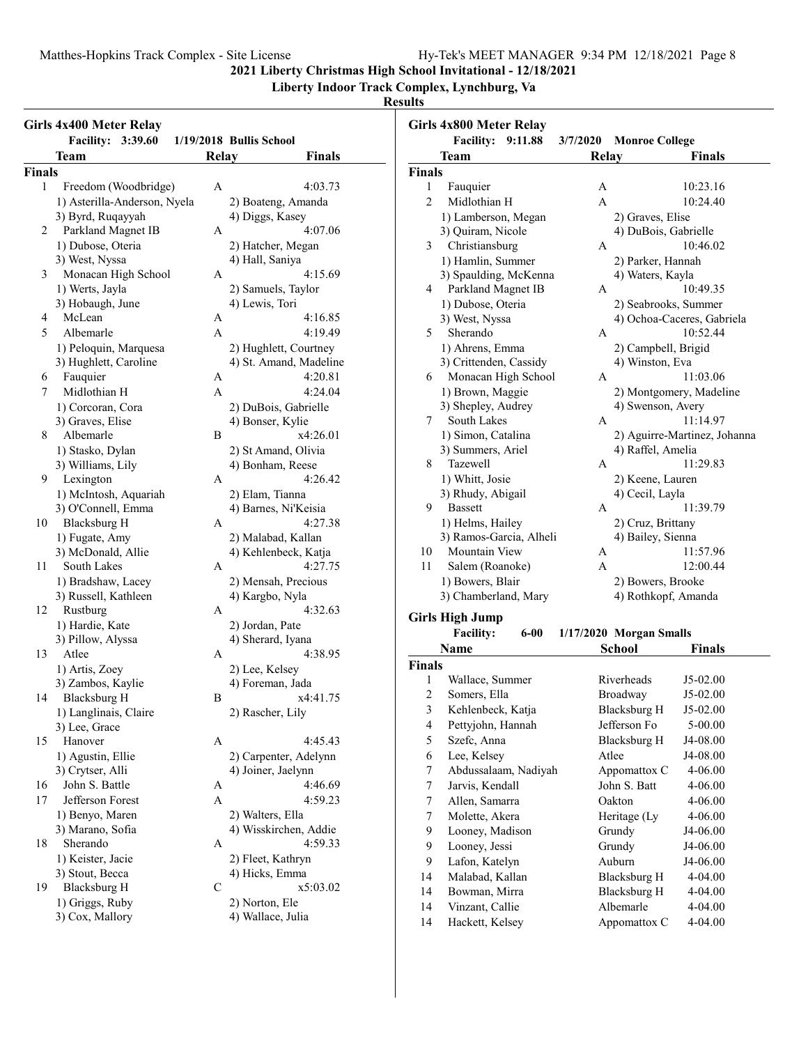**Liberty Indoor Track Complex, Lynchburg, Va**

| Girls 4x400 Meter Relay<br>Facility: 3:39.60<br>1/19/2018 Bullis School |                                    | Girls 4x800 Meter Relay<br>Facility: 9:11.88<br>3/7/2020 Monroe College |                                     |                                |                |                         |                              |
|-------------------------------------------------------------------------|------------------------------------|-------------------------------------------------------------------------|-------------------------------------|--------------------------------|----------------|-------------------------|------------------------------|
|                                                                         | <b>Team</b>                        | Relay                                                                   | <b>Finals</b>                       | <b>Team</b>                    | Relay          |                         | <b>Finals</b>                |
| <b>Finals</b>                                                           |                                    |                                                                         |                                     | <b>Finals</b>                  |                |                         |                              |
| 1                                                                       | Freedom (Woodbridge)               | A                                                                       | 4:03.73                             | Fauquier<br>1                  | A              |                         | 10:23.16                     |
|                                                                         | 1) Asterilla-Anderson, Nyela       |                                                                         | 2) Boateng, Amanda                  | $\overline{c}$<br>Midlothian H | $\overline{A}$ |                         | 10:24.40                     |
|                                                                         | 3) Byrd, Ruqayyah                  |                                                                         | 4) Diggs, Kasey                     | 1) Lamberson, Megan            |                | 2) Graves, Elise        |                              |
| 2                                                                       | Parkland Magnet IB                 | A                                                                       | 4:07.06                             | 3) Quiram, Nicole              |                | 4) DuBois, Gabrielle    |                              |
|                                                                         | 1) Dubose, Oteria                  |                                                                         | 2) Hatcher, Megan                   | Christiansburg<br>3            | A              |                         | 10:46.02                     |
|                                                                         | 3) West, Nyssa                     |                                                                         | 4) Hall, Saniya                     | 1) Hamlin, Summer              |                | 2) Parker, Hannah       |                              |
| 3                                                                       | Monacan High School                | A                                                                       | 4:15.69                             | 3) Spaulding, McKenna          |                | 4) Waters, Kayla        |                              |
|                                                                         | 1) Werts, Jayla                    |                                                                         | 2) Samuels, Taylor                  | Parkland Magnet IB<br>4        | A              |                         | 10:49.35                     |
|                                                                         | 3) Hobaugh, June                   |                                                                         | 4) Lewis, Tori                      | 1) Dubose, Oteria              |                | 2) Seabrooks, Summer    |                              |
| 4                                                                       | McLean                             | A                                                                       | 4:16.85                             | 3) West, Nyssa                 |                |                         | 4) Ochoa-Caceres, Gabriela   |
| 5                                                                       | Albemarle                          | A                                                                       | 4:19.49                             | Sherando<br>5                  | A              |                         | 10:52.44                     |
|                                                                         | 1) Peloquin, Marquesa              |                                                                         | 2) Hughlett, Courtney               | 1) Ahrens, Emma                |                | 2) Campbell, Brigid     |                              |
|                                                                         | 3) Hughlett, Caroline              |                                                                         | 4) St. Amand, Madeline              | 3) Crittenden, Cassidy         |                | 4) Winston, Eva         |                              |
| 6                                                                       | Fauquier                           | A                                                                       | 4:20.81                             | Monacan High School<br>6       | A              |                         | 11:03.06                     |
| 7                                                                       | Midlothian H                       | $\mathbf{A}$                                                            | 4:24.04                             | 1) Brown, Maggie               |                |                         | 2) Montgomery, Madeline      |
|                                                                         | 1) Corcoran, Cora                  |                                                                         | 2) DuBois, Gabrielle                | 3) Shepley, Audrey             |                | 4) Swenson, Avery       |                              |
|                                                                         | 3) Graves, Elise                   |                                                                         | 4) Bonser, Kylie                    | South Lakes<br>7               | A              |                         | 11:14.97                     |
| 8                                                                       | Albemarle                          | B                                                                       | x4:26.01                            | 1) Simon, Catalina             |                |                         | 2) Aguirre-Martinez, Johanna |
|                                                                         | 1) Stasko, Dylan                   |                                                                         | 2) St Amand, Olivia                 | 3) Summers, Ariel              |                | 4) Raffel, Amelia       |                              |
|                                                                         | 3) Williams, Lily                  |                                                                         | 4) Bonham, Reese                    | 8<br><b>Tazewell</b>           | A              |                         | 11:29.83                     |
| 9.                                                                      | Lexington                          | A                                                                       | 4:26.42                             | 1) Whitt, Josie                |                | 2) Keene, Lauren        |                              |
|                                                                         | 1) McIntosh, Aquariah              |                                                                         | 2) Elam, Tianna                     | 3) Rhudy, Abigail              |                | 4) Cecil, Layla         |                              |
|                                                                         | 3) O'Connell, Emma                 |                                                                         | 4) Barnes, Ni'Keisia                | <b>Bassett</b><br>9            | A              |                         | 11:39.79                     |
| 10                                                                      | <b>Blacksburg H</b>                | A                                                                       | 4:27.38                             | 1) Helms, Hailey               |                | 2) Cruz, Brittany       |                              |
|                                                                         | 1) Fugate, Amy                     |                                                                         | 2) Malabad, Kallan                  | 3) Ramos-Garcia, Alheli        |                | 4) Bailey, Sienna       |                              |
|                                                                         | 3) McDonald, Allie                 |                                                                         | 4) Kehlenbeck, Katja                | Mountain View<br>10            | A              |                         | 11:57.96                     |
| 11                                                                      | South Lakes                        | A                                                                       | 4:27.75                             | Salem (Roanoke)<br>11          | A              |                         | 12:00.44                     |
|                                                                         | 1) Bradshaw, Lacey                 |                                                                         | 2) Mensah, Precious                 | 1) Bowers, Blair               |                | 2) Bowers, Brooke       |                              |
|                                                                         | 3) Russell, Kathleen               |                                                                         | 4) Kargbo, Nyla                     | 3) Chamberland, Mary           |                | 4) Rothkopf, Amanda     |                              |
| 12                                                                      | Rustburg                           | A                                                                       | 4:32.63                             |                                |                |                         |                              |
|                                                                         | 1) Hardie, Kate                    |                                                                         | 2) Jordan, Pate                     | <b>Girls High Jump</b>         |                |                         |                              |
|                                                                         |                                    |                                                                         |                                     | <b>Facility:</b><br>$6 - 00$   |                | 1/17/2020 Morgan Smalls |                              |
|                                                                         | 3) Pillow, Alyssa<br>Atlee         |                                                                         | 4) Sherard, Iyana                   | Name                           |                | <b>School</b>           | <b>Finals</b>                |
| 13                                                                      |                                    | A                                                                       | 4:38.95                             | <b>Finals</b>                  |                |                         |                              |
|                                                                         | 1) Artis, Zoey                     |                                                                         | 2) Lee, Kelsey                      | Wallace, Summer<br>1           |                | Riverheads              | J5-02.00                     |
|                                                                         | 3) Zambos, Kaylie                  | B                                                                       | 4) Foreman, Jada<br>x4:41.75        | 2<br>Somers, Ella              |                | Broadway                | J5-02.00                     |
| 14                                                                      | <b>Blacksburg H</b>                |                                                                         |                                     | 3<br>Kehlenbeck, Katja         |                | Blacksburg H            | J5-02.00                     |
|                                                                         | 1) Langlinais, Claire              |                                                                         | 2) Rascher, Lily                    | Pettyjohn, Hannah<br>4         |                | Jefferson Fo            | 5-00.00                      |
|                                                                         | 3) Lee, Grace                      |                                                                         |                                     | Szefc, Anna<br>5               |                | <b>Blacksburg H</b>     | J4-08.00                     |
| 15                                                                      | Hanover                            | A                                                                       | 4:45.43                             | Lee, Kelsey                    |                |                         | J4-08.00                     |
|                                                                         | 1) Agustin, Ellie                  |                                                                         | 2) Carpenter, Adelynn               | 6                              |                | Atlee                   |                              |
|                                                                         | 3) Crytser, Alli                   |                                                                         | 4) Joiner, Jaelynn                  | Abdussalaam, Nadiyah<br>7      |                | Appomattox C            | 4-06.00                      |
| 16                                                                      | John S. Battle                     | A                                                                       | 4:46.69                             | 7<br>Jarvis, Kendall           |                | John S. Batt            | 4-06.00                      |
| 17                                                                      | Jefferson Forest                   | $\mathbf{A}$                                                            | 4:59.23                             | 7<br>Allen, Samarra            |                | Oakton                  | 4-06.00                      |
|                                                                         | 1) Benyo, Maren                    |                                                                         | 2) Walters, Ella                    | 7<br>Molette, Akera            |                | Heritage (Ly            | 4-06.00                      |
|                                                                         | 3) Marano, Sofia                   |                                                                         | 4) Wisskirchen, Addie               | 9<br>Looney, Madison           |                | Grundy                  | J4-06.00                     |
| 18                                                                      | Sherando                           | A                                                                       | 4:59.33                             | 9<br>Looney, Jessi             |                | Grundy                  | J4-06.00                     |
|                                                                         | 1) Keister, Jacie                  |                                                                         | 2) Fleet, Kathryn                   | 9<br>Lafon, Katelyn            |                | Auburn                  | J4-06.00                     |
|                                                                         | 3) Stout, Becca                    |                                                                         | 4) Hicks, Emma                      | Malabad, Kallan<br>14          |                | <b>Blacksburg H</b>     | 4-04.00                      |
| 19                                                                      | <b>Blacksburg H</b>                | C                                                                       | x5:03.02                            | Bowman, Mirra<br>14            |                | <b>Blacksburg H</b>     | 4-04.00                      |
|                                                                         |                                    |                                                                         |                                     |                                |                |                         |                              |
|                                                                         | 1) Griggs, Ruby<br>3) Cox, Mallory |                                                                         | 2) Norton, Ele<br>4) Wallace, Julia | Vinzant, Callie<br>14          |                | Albemarle               | 4-04.00                      |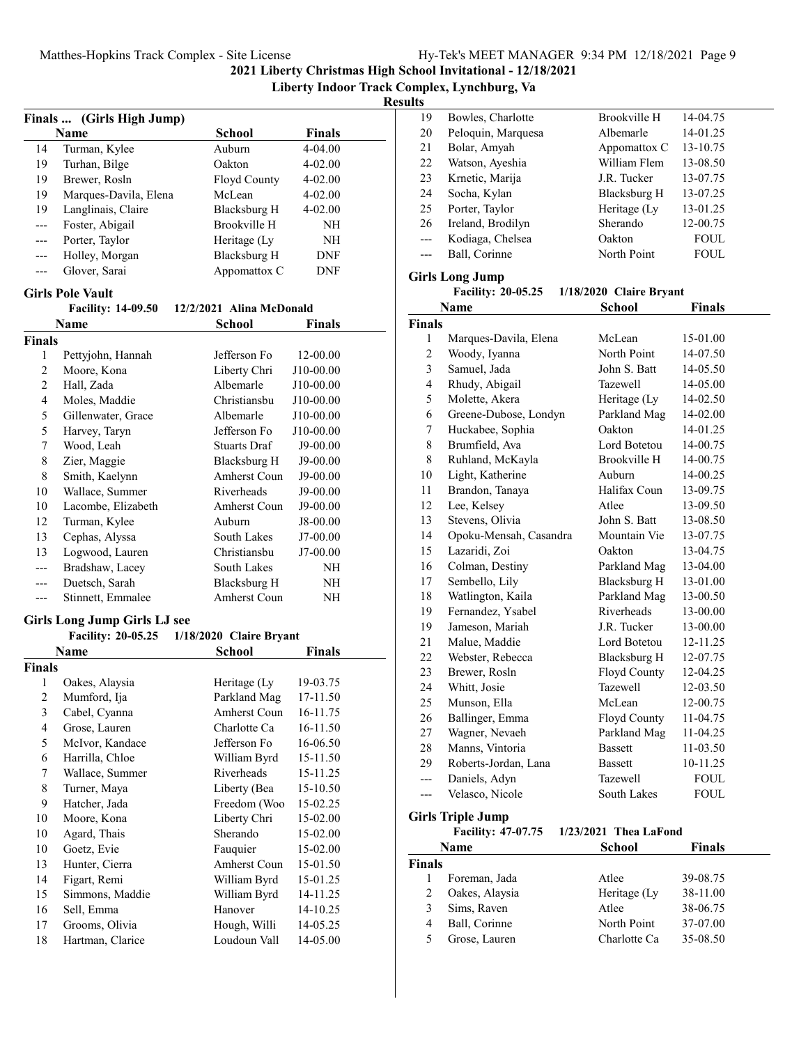**Liberty Indoor Track Complex, Lynchburg, Va**

**Results**

|                          |                                                      |                          | Finals  (Girls High Jump) |  |  |  |  |
|--------------------------|------------------------------------------------------|--------------------------|---------------------------|--|--|--|--|
|                          | <b>Name</b>                                          | <b>School</b>            | Finals                    |  |  |  |  |
| 14                       | Turman, Kylee                                        | Auburn                   | 4-04.00                   |  |  |  |  |
| 19                       | Turhan, Bilge                                        | Oakton                   | $4 - 02.00$               |  |  |  |  |
| 19                       | Brewer, Rosln                                        | Floyd County             | $4 - 02.00$               |  |  |  |  |
| 19                       | Marques-Davila, Elena                                | McLean                   | $4 - 02.00$               |  |  |  |  |
| 19                       | Langlinais, Claire                                   | Blacksburg H             | 4-02.00                   |  |  |  |  |
| ---                      | Foster, Abigail                                      | <b>Brookville H</b>      | NH                        |  |  |  |  |
| ---                      | Porter, Taylor                                       | Heritage (Ly             | NH                        |  |  |  |  |
| ---                      | Holley, Morgan                                       | <b>Blacksburg H</b>      | DNF                       |  |  |  |  |
| ---                      | Glover, Sarai                                        | Appomattox C             | <b>DNF</b>                |  |  |  |  |
|                          |                                                      |                          |                           |  |  |  |  |
|                          | <b>Girls Pole Vault</b><br><b>Facility: 14-09.50</b> | 12/2/2021 Alina McDonald |                           |  |  |  |  |
|                          | Name                                                 | School                   | Finals                    |  |  |  |  |
| <b>Finals</b>            |                                                      |                          |                           |  |  |  |  |
| 1                        | Pettyjohn, Hannah                                    | Jefferson Fo             | 12-00.00                  |  |  |  |  |
| 2                        | Moore, Kona                                          | Liberty Chri             | J10-00.00                 |  |  |  |  |
| $\overline{c}$           | Hall, Zada                                           | Albemarle                | J10-00.00                 |  |  |  |  |
| $\overline{\mathcal{L}}$ | Moles, Maddie                                        | Christiansbu             | J10-00.00                 |  |  |  |  |
| 5                        | Gillenwater, Grace                                   | Albemarle                | J10-00.00                 |  |  |  |  |
| 5                        | Harvey, Taryn                                        | Jefferson Fo             | J10-00.00                 |  |  |  |  |
| 7                        | Wood, Leah                                           | Stuarts Draf             | J9-00.00                  |  |  |  |  |
| 8                        |                                                      | Blacksburg H             | J9-00.00                  |  |  |  |  |
|                          | Zier, Maggie<br>Smith, Kaelynn                       | Amherst Coun             | J9-00.00                  |  |  |  |  |
| 8<br>10                  |                                                      | Riverheads               | J9-00.00                  |  |  |  |  |
|                          | Wallace, Summer                                      |                          |                           |  |  |  |  |
| 10                       | Lacombe, Elizabeth                                   | Amherst Coun             | J9-00.00                  |  |  |  |  |
| 12                       | Turman, Kylee                                        | Auburn                   | J8-00.00                  |  |  |  |  |
| 13                       | Cephas, Alyssa                                       | South Lakes              | J7-00.00                  |  |  |  |  |
| 13                       | Logwood, Lauren                                      | Christiansbu             | J7-00.00                  |  |  |  |  |
|                          | Bradshaw, Lacey                                      | South Lakes              | NH                        |  |  |  |  |
|                          |                                                      |                          | NH                        |  |  |  |  |
| ---                      | Duetsch, Sarah                                       | <b>Blacksburg H</b>      |                           |  |  |  |  |
| ---                      | Stinnett, Emmalee                                    | Amherst Coun             | NH                        |  |  |  |  |
|                          | <b>Girls Long Jump Girls LJ see</b>                  |                          |                           |  |  |  |  |
|                          | <b>Facility: 20-05.25</b>                            | 1/18/2020 Claire Bryant  |                           |  |  |  |  |
|                          | <b>Name</b>                                          | <b>School</b>            | <b>Finals</b>             |  |  |  |  |
| <b>Finals</b>            |                                                      |                          |                           |  |  |  |  |
| 1                        | Oakes, Alaysia                                       | Heritage (Ly             | 19-03.75                  |  |  |  |  |
| 2                        | Mumford, Ija                                         | Parkland Mag             | 17-11.50                  |  |  |  |  |
| 3                        | Cabel, Cyanna                                        | Amherst Coun             | 16-11.75                  |  |  |  |  |
| $\overline{4}$           | Grose, Lauren                                        | Charlotte Ca             | 16-11.50                  |  |  |  |  |
| 5                        | McIvor, Kandace                                      | Jefferson Fo             | 16-06.50                  |  |  |  |  |
| 6                        | Harrilla, Chloe                                      | William Byrd             | 15-11.50                  |  |  |  |  |
| 7                        | Wallace, Summer                                      | Riverheads               | 15-11.25                  |  |  |  |  |
| $\,$ 8 $\,$              | Turner, Maya                                         | Liberty (Bea             | 15-10.50                  |  |  |  |  |
| 9                        | Hatcher, Jada                                        | Freedom (Woo             | 15-02.25                  |  |  |  |  |
| 10                       | Moore, Kona                                          | Liberty Chri             | 15-02.00                  |  |  |  |  |
| 10                       | Agard, Thais                                         | Sherando                 | 15-02.00                  |  |  |  |  |
| 10                       | Goetz, Evie                                          | Fauquier                 | 15-02.00                  |  |  |  |  |
| 13                       | Hunter, Cierra                                       | Amherst Coun             | 15-01.50                  |  |  |  |  |
| 14                       |                                                      |                          | 15-01.25                  |  |  |  |  |
|                          | Figart, Remi                                         | William Byrd             |                           |  |  |  |  |
| 15                       | Simmons, Maddie                                      | William Byrd             | 14-11.25                  |  |  |  |  |
| 16<br>17                 | Sell, Emma<br>Grooms, Olivia                         | Hanover<br>Hough, Willi  | 14-10.25<br>14-05.25      |  |  |  |  |

| 19             | Bowles, Charlotte  | Brookville H | 14-04.75    |
|----------------|--------------------|--------------|-------------|
| 20             | Peloquin, Marquesa | Albemarle    | 14-01.25    |
| 21             | Bolar, Amyah       | Appomattox C | 13-10.75    |
| 22             | Watson, Ayeshia    | William Flem | 13-08.50    |
| 23             | Krnetic, Marija    | J.R. Tucker  | 13-07.75    |
| 24             | Socha, Kylan       | Blacksburg H | 13-07.25    |
| 25             | Porter, Taylor     | Heritage (Ly | 13-01.25    |
| 26             | Ireland, Brodilyn  | Sherando     | 12-00.75    |
| $\overline{a}$ | Kodiaga, Chelsea   | Oakton       | <b>FOUL</b> |
| $---$          | Ball, Corinne      | North Point  | <b>FOUL</b> |
|                |                    |              |             |

#### **Girls Long Jump**

**Facility: 20-05.25 1/18/2020 Claire Bryant** 

|               | Name                   | School              | Finals      |
|---------------|------------------------|---------------------|-------------|
| <b>Finals</b> |                        |                     |             |
| 1             | Marques-Davila, Elena  | McLean              | 15-01.00    |
| 2             | Woody, Iyanna          | North Point         | 14-07.50    |
| 3             | Samuel, Jada           | John S. Batt        | 14-05.50    |
| 4             | Rhudy, Abigail         | <b>Tazewell</b>     | 14-05.00    |
| 5             | Molette, Akera         | Heritage (Ly        | 14-02.50    |
| 6             | Greene-Dubose, Londyn  | Parkland Mag        | 14-02.00    |
| 7             | Huckabee, Sophia       | Oakton              | 14-01.25    |
| 8             | Brumfield, Ava         | Lord Botetou        | 14-00.75    |
| 8             | Ruhland, McKayla       | <b>Brookville H</b> | 14-00.75    |
| 10            | Light, Katherine       | Auburn              | 14-00.25    |
| 11            | Brandon, Tanaya        | Halifax Coun        | 13-09.75    |
| 12            | Lee, Kelsey            | Atlee               | 13-09.50    |
| 13            | Stevens, Olivia        | John S. Batt        | 13-08.50    |
| 14            | Opoku-Mensah, Casandra | Mountain Vie        | 13-07.75    |
| 15            | Lazaridi, Zoi          | Oakton              | 13-04.75    |
| 16            | Colman, Destiny        | Parkland Mag        | 13-04.00    |
| 17            | Sembello, Lily         | Blacksburg H        | 13-01.00    |
| 18            | Watlington, Kaila      | Parkland Mag        | 13-00.50    |
| 19            | Fernandez, Ysabel      | Riverheads          | 13-00.00    |
| 19            | Jameson, Mariah        | J.R. Tucker         | 13-00.00    |
| 21            | Malue, Maddie          | Lord Botetou        | 12-11.25    |
| 22            | Webster, Rebecca       | <b>Blacksburg H</b> | 12-07.75    |
| 23            | Brewer, Rosln          | Floyd County        | 12-04.25    |
| 24            | Whitt, Josie           | <b>Tazewell</b>     | 12-03.50    |
| 25            | Munson, Ella           | McLean              | 12-00.75    |
| 26            | Ballinger, Emma        | Floyd County        | 11-04.75    |
| 27            | Wagner, Nevaeh         | Parkland Mag        | 11-04.25    |
| 28            | Manns, Vintoria        | <b>Bassett</b>      | 11-03.50    |
| 29            | Roberts-Jordan, Lana   | <b>Bassett</b>      | 10-11.25    |
| ---           | Daniels, Adyn          | <b>Tazewell</b>     | <b>FOUL</b> |
| ---           | Velasco, Nicole        | South Lakes         | <b>FOUL</b> |

#### **Girls Triple Jump**

**Facility: 47-07.75 1/23/2021 Thea LaFond** 

|               | Name           | School       | <b>Finals</b> |  |
|---------------|----------------|--------------|---------------|--|
| <b>Finals</b> |                |              |               |  |
|               | Foreman, Jada  | Atlee        | 39-08.75      |  |
| 2             | Oakes, Alaysia | Heritage (Ly | 38-11.00      |  |
| 3             | Sims, Raven    | Atlee        | 38-06.75      |  |
| 4             | Ball, Corinne  | North Point  | 37-07.00      |  |
| 5             | Grose, Lauren  | Charlotte Ca | 35-08.50      |  |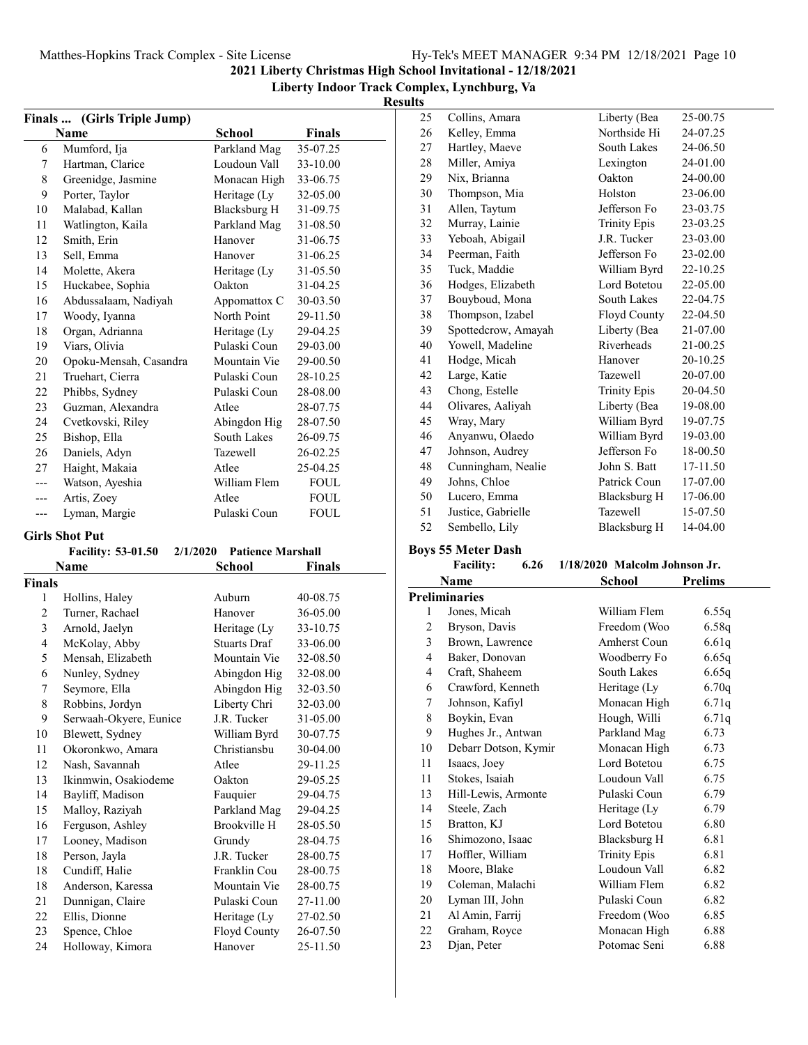#### **Liberty Indoor Track Complex, Lynchburg, Va Results**

|     | Finals  (Girls Triple Jump) |               |             |
|-----|-----------------------------|---------------|-------------|
|     | Name                        | <b>School</b> | Finals      |
| 6   | Mumford, Ija                | Parkland Mag  | 35-07.25    |
| 7   | Hartman, Clarice            | Loudoun Vall  | 33-10.00    |
| 8   | Greenidge, Jasmine          | Monacan High  | 33-06.75    |
| 9   | Porter, Taylor              | Heritage (Ly  | 32-05.00    |
| 10  | Malabad, Kallan             | Blacksburg H  | 31-09.75    |
| 11  | Watlington, Kaila           | Parkland Mag  | 31-08.50    |
| 12  | Smith, Erin                 | Hanover       | 31-06.75    |
| 13  | Sell, Emma                  | Hanover       | 31-06.25    |
| 14  | Molette, Akera              | Heritage (Ly  | 31-05.50    |
| 15  | Huckabee, Sophia            | Oakton        | 31-04.25    |
| 16  | Abdussalaam, Nadiyah        | Appomattox C  | 30-03.50    |
| 17  | Woody, Iyanna               | North Point   | 29-11.50    |
| 18  | Organ, Adrianna             | Heritage (Ly  | 29-04.25    |
| 19  | Viars, Olivia               | Pulaski Coun  | 29-03.00    |
| 20  | Opoku-Mensah, Casandra      | Mountain Vie  | 29-00.50    |
| 21  | Truehart, Cierra            | Pulaski Coun  | 28-10.25    |
| 22  | Phibbs, Sydney              | Pulaski Coun  | 28-08.00    |
| 23  | Guzman, Alexandra           | Atlee         | 28-07.75    |
| 24  | Cvetkovski, Riley           | Abingdon Hig  | 28-07.50    |
| 25  | Bishop, Ella                | South Lakes   | 26-09.75    |
| 26  | Daniels, Adyn               | Tazewell      | 26-02.25    |
| 27  | Haight, Makaia              | Atlee         | 25-04.25    |
| --- | Watson, Ayeshia             | William Flem  | <b>FOUL</b> |
| --- | Artis, Zoey                 | Atlee         | <b>FOUL</b> |
| --- | Lyman, Margie               | Pulaski Coun  | <b>FOUL</b> |

#### **Girls Shot Put**

|                | <b>Facility: 53-01.50</b> | <b>Patience Marshall</b><br>2/1/2020 |          |
|----------------|---------------------------|--------------------------------------|----------|
|                | Name                      | <b>School</b>                        | Finals   |
| <b>Finals</b>  |                           |                                      |          |
| 1              | Hollins, Haley            | Auburn                               | 40-08.75 |
| $\overline{2}$ | Turner, Rachael           | Hanover                              | 36-05.00 |
| 3              | Arnold, Jaelyn            | Heritage (Ly                         | 33-10.75 |
| $\overline{4}$ | McKolay, Abby             | <b>Stuarts Draf</b>                  | 33-06.00 |
| 5              | Mensah, Elizabeth         | Mountain Vie                         | 32-08.50 |
| 6              | Nunley, Sydney            | Abingdon Hig                         | 32-08.00 |
| 7              | Seymore, Ella             | Abingdon Hig                         | 32-03.50 |
| 8              | Robbins, Jordyn           | Liberty Chri                         | 32-03.00 |
| 9              | Serwaah-Okyere, Eunice    | J.R. Tucker                          | 31-05.00 |
| 10             | Blewett, Sydney           | William Byrd                         | 30-07.75 |
| 11             | Okoronkwo, Amara          | Christiansbu                         | 30-04.00 |
| 12             | Nash, Savannah            | Atlee                                | 29-11.25 |
| 13             | Ikinmwin, Osakiodeme      | Oakton                               | 29-05.25 |
| 14             | Bayliff, Madison          | Fauquier                             | 29-04.75 |
| 15             | Malloy, Raziyah           | Parkland Mag                         | 29-04.25 |
| 16             | Ferguson, Ashley          | Brookville H                         | 28-05.50 |
| 17             | Looney, Madison           | Grundy                               | 28-04.75 |
| 18             | Person, Jayla             | J.R. Tucker                          | 28-00.75 |
| 18             | Cundiff, Halie            | Franklin Cou                         | 28-00.75 |
| 18             | Anderson, Karessa         | Mountain Vie                         | 28-00.75 |
| 21             | Dunnigan, Claire          | Pulaski Coun                         | 27-11.00 |
| 22             | Ellis, Dionne             | Heritage (Ly                         | 27-02.50 |
| 23             | Spence, Chloe             | Floyd County                         | 26-07.50 |
| 24             | Holloway, Kimora          | Hanover                              | 25-11.50 |

| 25 | Collins, Amara      | Liberty (Bea        | 25-00.75 |
|----|---------------------|---------------------|----------|
| 26 | Kelley, Emma        | Northside Hi        | 24-07.25 |
| 27 | Hartley, Maeve      | South Lakes         | 24-06.50 |
| 28 | Miller, Amiya       | Lexington           | 24-01.00 |
| 29 | Nix, Brianna        | Oakton              | 24-00.00 |
| 30 | Thompson, Mia       | Holston             | 23-06.00 |
| 31 | Allen, Taytum       | Jefferson Fo        | 23-03.75 |
| 32 | Murray, Lainie      | <b>Trinity Epis</b> | 23-03.25 |
| 33 | Yeboah, Abigail     | J.R. Tucker         | 23-03.00 |
| 34 | Peerman, Faith      | Jefferson Fo        | 23-02.00 |
| 35 | Tuck, Maddie        | William Byrd        | 22-10.25 |
| 36 | Hodges, Elizabeth   | Lord Botetou        | 22-05.00 |
| 37 | Bouyboud, Mona      | South Lakes         | 22-04.75 |
| 38 | Thompson, Izabel    | Floyd County        | 22-04.50 |
| 39 | Spottedcrow, Amayah | Liberty (Bea        | 21-07.00 |
| 40 | Yowell, Madeline    | Riverheads          | 21-00.25 |
| 41 | Hodge, Micah        | Hanover             | 20-10.25 |
| 42 | Large, Katie        | <b>Tazewell</b>     | 20-07.00 |
| 43 | Chong, Estelle      | <b>Trinity Epis</b> | 20-04.50 |
| 44 | Olivares, Aaliyah   | Liberty (Bea        | 19-08.00 |
| 45 | Wray, Mary          | William Byrd        | 19-07.75 |
| 46 | Anyanwu, Olaedo     | William Byrd        | 19-03.00 |
| 47 | Johnson, Audrey     | Jefferson Fo        | 18-00.50 |
| 48 | Cunningham, Nealie  | John S. Batt        | 17-11.50 |
| 49 | Johns, Chloe        | Patrick Coun        | 17-07.00 |
| 50 | Lucero, Emma        | <b>Blacksburg H</b> | 17-06.00 |
| 51 | Justice, Gabrielle  | <b>Tazewell</b>     | 15-07.50 |
| 52 | Sembello, Lily      | <b>Blacksburg H</b> | 14-04.00 |

#### **Boys 55 Meter Dash**

|                | <b>Facility:</b><br>6.26 | 1/18/2020 Malcolm Johnson Jr. |         |  |
|----------------|--------------------------|-------------------------------|---------|--|
|                | Name                     | School                        | Prelims |  |
|                | Preliminaries            |                               |         |  |
| 1              | Jones, Micah             | William Flem                  | 6.55q   |  |
| 2              | Bryson, Davis            | Freedom (Woo                  | 6.58q   |  |
| 3              | Brown, Lawrence          | Amherst Coun                  | 6.61q   |  |
| $\overline{4}$ | Baker, Donovan           | Woodberry Fo                  | 6.65q   |  |
| 4              | Craft, Shaheem           | South Lakes                   | 6.65q   |  |
| 6              | Crawford, Kenneth        | Heritage (Ly                  | 6.70q   |  |
| 7              | Johnson, Kafiyl          | Monacan High                  | 6.71q   |  |
| 8              | Boykin, Evan             | Hough, Willi                  | 6.71q   |  |
| 9              | Hughes Jr., Antwan       | Parkland Mag                  | 6.73    |  |
| 10             | Debarr Dotson, Kymir     | Monacan High                  | 6.73    |  |
| 11             | Isaacs, Joey             | Lord Botetou                  | 6.75    |  |
| 11             | Stokes, Isaiah           | Loudoun Vall                  | 6.75    |  |
| 13             | Hill-Lewis, Armonte      | Pulaski Coun                  | 6.79    |  |
| 14             | Steele, Zach             | Heritage (Ly                  | 6.79    |  |
| 15             | Bratton, KJ              | Lord Botetou                  | 6.80    |  |
| 16             | Shimozono, Isaac         | Blacksburg H                  | 6.81    |  |
| 17             | Hoffler, William         | <b>Trinity Epis</b>           | 6.81    |  |
| 18             | Moore, Blake             | Loudoun Vall                  | 6.82    |  |
| 19             | Coleman, Malachi         | William Flem                  | 6.82    |  |
| 20             | Lyman III, John          | Pulaski Coun                  | 6.82    |  |
| 21             | Al Amin, Farrij          | Freedom (Woo                  | 6.85    |  |
| 22             | Graham, Royce            | Monacan High                  | 6.88    |  |
| 23             | Djan, Peter              | Potomac Seni                  | 6.88    |  |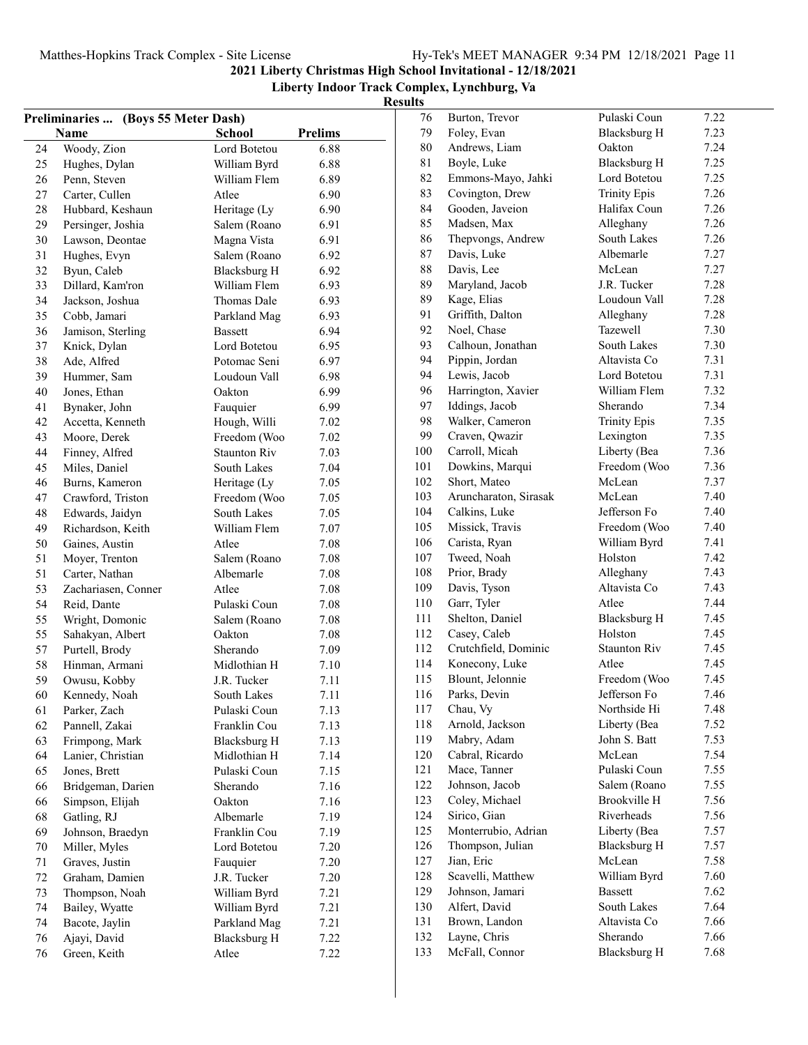| Preliminaries  (Boys 55 Meter Dash) |                     |                     |                | 76  |
|-------------------------------------|---------------------|---------------------|----------------|-----|
|                                     | Name                | <b>School</b>       | <b>Prelims</b> | 79  |
| 24                                  | Woody, Zion         | Lord Botetou        | 6.88           | 80  |
| 25                                  | Hughes, Dylan       | William Byrd        | 6.88           | 81  |
| 26                                  | Penn, Steven        | William Flem        | 6.89           | 82  |
| 27                                  | Carter, Cullen      | Atlee               | 6.90           | 83  |
| 28                                  | Hubbard, Keshaun    | Heritage (Ly        | 6.90           | 84  |
| 29                                  | Persinger, Joshia   | Salem (Roano        | 6.91           | 85  |
| 30                                  | Lawson, Deontae     | Magna Vista         | 6.91           | 86  |
| 31                                  | Hughes, Evyn        | Salem (Roano        | 6.92           | 87  |
| 32                                  | Byun, Caleb         | <b>Blacksburg H</b> | 6.92           | 88  |
| 33                                  | Dillard, Kam'ron    | William Flem        | 6.93           | 89  |
| 34                                  | Jackson, Joshua     | Thomas Dale         | 6.93           | 89  |
| 35                                  | Cobb, Jamari        | Parkland Mag        | 6.93           | 91  |
| 36                                  | Jamison, Sterling   | <b>Bassett</b>      | 6.94           | 92  |
| 37                                  | Knick, Dylan        | Lord Botetou        | 6.95           | 93  |
| 38                                  | Ade, Alfred         | Potomac Seni        | 6.97           | 94  |
| 39                                  | Hummer, Sam         | Loudoun Vall        | 6.98           | 94  |
| 40                                  | Jones, Ethan        | Oakton              | 6.99           | 96  |
| 41                                  | Bynaker, John       | Fauquier            | 6.99           | 97  |
| 42                                  | Accetta, Kenneth    | Hough, Willi        | 7.02           | 98  |
| 43                                  | Moore, Derek        | Freedom (Woo        | 7.02           | 99  |
| 44                                  | Finney, Alfred      | <b>Staunton Riv</b> | 7.03           | 100 |
| 45                                  | Miles, Daniel       | South Lakes         | 7.04           | 101 |
| 46                                  | Burns, Kameron      | Heritage (Ly        | 7.05           | 102 |
| 47                                  | Crawford, Triston   | Freedom (Woo        | 7.05           | 103 |
| 48                                  | Edwards, Jaidyn     | <b>South Lakes</b>  | 7.05           | 104 |
| 49                                  | Richardson, Keith   | William Flem        | 7.07           | 105 |
| 50                                  | Gaines, Austin      | Atlee               | 7.08           | 106 |
| 51                                  | Moyer, Trenton      | Salem (Roano        | 7.08           | 107 |
| 51                                  | Carter, Nathan      | Albemarle           | 7.08           | 108 |
| 53                                  | Zachariasen, Conner | Atlee               | 7.08           | 109 |
| 54                                  | Reid, Dante         | Pulaski Coun        | 7.08           | 110 |
| 55                                  | Wright, Domonic     | Salem (Roano        | 7.08           | 111 |
| 55                                  | Sahakyan, Albert    | Oakton              | 7.08           | 112 |
| 57                                  | Purtell, Brody      | Sherando            | 7.09           | 112 |
| 58                                  | Hinman, Armani      | Midlothian H        | 7.10           | 114 |
| 59                                  | Owusu, Kobby        | J.R. Tucker         | 7.11           | 115 |
| 60                                  | Kennedy, Noah       | South Lakes         | 7.11           | 116 |
| 61                                  | Parker, Zach        | Pulaski Coun        | 7.13           | 117 |
| 62                                  | Pannell, Zakai      | Franklin Cou        | 7.13           | 118 |
| 63                                  | Frimpong, Mark      | <b>Blacksburg H</b> | 7.13           | 119 |
| 64                                  | Lanier, Christian   | Midlothian H        | 7.14           | 120 |
| 65                                  | Jones, Brett        | Pulaski Coun        | 7.15           | 121 |
| 66                                  | Bridgeman, Darien   | Sherando            | 7.16           | 122 |
| 66                                  | Simpson, Elijah     | Oakton              | 7.16           | 123 |
| 68                                  | Gatling, RJ         | Albemarle           | 7.19           | 124 |
| 69                                  | Johnson, Braedyn    | Franklin Cou        | 7.19           | 125 |
| 70                                  | Miller, Myles       | Lord Botetou        | 7.20           | 126 |
| 71                                  | Graves, Justin      | Fauquier            | 7.20           | 127 |
| 72                                  | Graham, Damien      | J.R. Tucker         | 7.20           | 128 |
| 73                                  | Thompson, Noah      | William Byrd        | 7.21           | 129 |
| 74                                  | Bailey, Wyatte      | William Byrd        | 7.21           | 130 |
| 74                                  | Bacote, Jaylin      | Parkland Mag        | 7.21           | 131 |
| 76                                  | Ajayi, David        | <b>Blacksburg H</b> | 7.22           | 132 |
| 76                                  | Green, Keith        | Atlee               | 7.22           | 133 |

| 76         | Burton, Trevor                      | Pulaski Coun                        | 7.22         |
|------------|-------------------------------------|-------------------------------------|--------------|
| 79         | Foley, Evan                         | <b>Blacksburg H</b>                 | 7.23         |
| 80         | Andrews, Liam                       | Oakton                              | 7.24         |
| 81         | Boyle, Luke                         | <b>Blacksburg H</b>                 | 7.25         |
| 82         | Emmons-Mayo, Jahki                  | Lord Botetou                        | 7.25         |
| 83         | Covington, Drew                     | <b>Trinity Epis</b>                 | 7.26         |
| 84         | Gooden, Javeion                     | Halifax Coun                        | 7.26         |
| 85         | Madsen, Max                         | Alleghany                           | 7.26         |
| 86         | Thepvongs, Andrew                   | <b>South Lakes</b>                  | 7.26         |
| 87         | Davis, Luke                         | Albemarle                           | 7.27         |
| 88         | Davis, Lee                          | McLean                              | 7.27         |
| 89         | Maryland, Jacob                     | J.R. Tucker                         | 7.28         |
| 89         | Kage, Elias                         | Loudoun Vall                        | 7.28         |
| 91         | Griffith, Dalton                    | Alleghany                           | 7.28         |
| 92         | Noel, Chase                         | Tazewell                            | 7.30         |
| 93         | Calhoun, Jonathan                   | South Lakes                         | 7.30         |
| 94         | Pippin, Jordan                      | Altavista Co                        | 7.31         |
| 94         | Lewis, Jacob                        | Lord Botetou                        | 7.31         |
| 96         | Harrington, Xavier                  | William Flem                        | 7.32         |
| 97         | Iddings, Jacob                      | Sherando                            | 7.34         |
| 98         | Walker, Cameron                     | <b>Trinity Epis</b>                 | 7.35         |
| 99         | Craven, Qwazir                      | Lexington                           | 7.35         |
| 100        | Carroll, Micah                      | Liberty (Bea                        | 7.36         |
| 101        | Dowkins, Marqui                     | Freedom (Woo                        | 7.36         |
| 102        | Short, Mateo                        | McLean                              | 7.37         |
| 103        | Aruncharaton, Sirasak               | McLean                              | 7.40         |
| 104        | Calkins, Luke                       | Jefferson Fo                        | 7.40         |
| 105        | Missick, Travis                     | Freedom (Woo                        | 7.40         |
| 106        | Carista, Ryan                       | William Byrd                        | 7.41         |
| 107        | Tweed, Noah                         | Holston                             | 7.42         |
| 108        | Prior, Brady                        | Alleghany                           | 7.43         |
| 109        | Davis, Tyson                        | Altavista Co                        | 7.43         |
| 110        | Garr, Tyler                         | Atlee                               | 7.44         |
| 111        | Shelton, Daniel                     | <b>Blacksburg H</b>                 | 7.45         |
| 112        | Casey, Caleb                        | Holston                             | 7.45         |
| 112        | Crutchfield, Dominic                | <b>Staunton Riv</b>                 | 7.45         |
| 114        | Konecony, Luke                      | Atlee                               | 7.45         |
| 115        | Blount, Jelonnie                    | Freedom (Woo                        | 7.45         |
| 116        | Parks, Devin                        | Jefferson Fo                        | 7.46         |
| 117        |                                     | Northside Hi                        |              |
| 118        | Chau, Vy<br>Arnold, Jackson         | Liberty (Bea                        | 7.48<br>7.52 |
| 119        | Mabry, Adam                         | John S. Batt                        | 7.53         |
| 120        | Cabral, Ricardo                     | McLean                              | 7.54         |
| 121        | Mace, Tanner                        | Pulaski Coun                        | 7.55         |
| 122        | Johnson, Jacob                      |                                     |              |
| 123        |                                     | Salem (Roano                        | 7.55         |
|            | Coley, Michael                      | Brookville H<br>Riverheads          | 7.56         |
| 124        | Sirico, Gian<br>Monterrubio, Adrian |                                     | 7.56         |
| 125<br>126 | Thompson, Julian                    | Liberty (Bea<br><b>Blacksburg H</b> | 7.57<br>7.57 |
|            |                                     | McLean                              |              |
| 127        | Jian, Eric                          |                                     | 7.58         |
| 128        | Scavelli, Matthew                   | William Byrd                        | 7.60         |
| 129<br>130 | Johnson, Jamari<br>Alfert, David    | <b>Bassett</b><br>South Lakes       | 7.62<br>7.64 |
| 131        | Brown, Landon                       | Altavista Co                        | 7.66         |
| 132        | Layne, Chris                        | Sherando                            | 7.66         |
| 133        | McFall, Connor                      | <b>Blacksburg H</b>                 | 7.68         |
|            |                                     |                                     |              |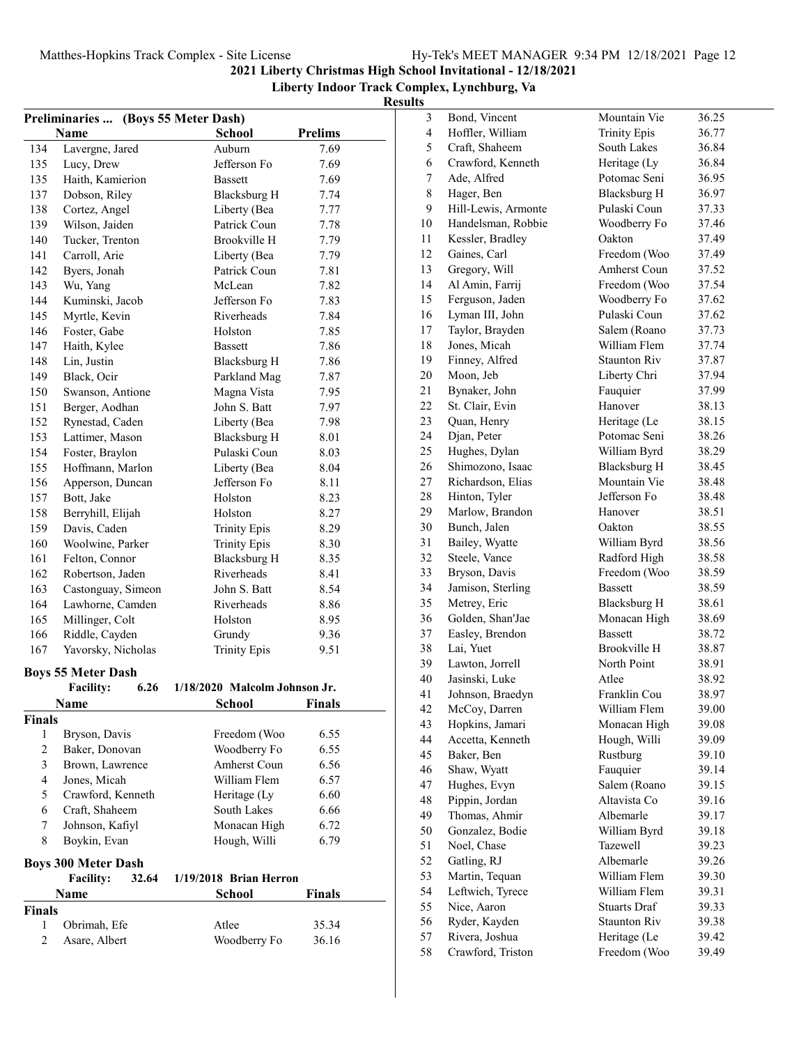| Preliminaries  (Boys 55 Meter Dash)                   |                            |                               |                |  |  |
|-------------------------------------------------------|----------------------------|-------------------------------|----------------|--|--|
|                                                       | Name                       | School                        | <b>Prelims</b> |  |  |
| 134                                                   | Lavergne, Jared            | Auburn                        | 7.69           |  |  |
| 135                                                   | Lucy, Drew                 | Jefferson Fo                  | 7.69           |  |  |
| 135                                                   | Haith, Kamierion           | <b>Bassett</b>                | 7.69           |  |  |
| 137                                                   | Dobson, Riley              | Blacksburg H                  | 7.74           |  |  |
| 138                                                   | Cortez, Angel              | Liberty (Bea                  | 7.77           |  |  |
| 139                                                   | Wilson, Jaiden             | Patrick Coun                  | 7.78           |  |  |
| 140                                                   | Tucker, Trenton            | Brookville H                  | 7.79           |  |  |
| 141                                                   | Carroll, Arie              | Liberty (Bea                  | 7.79           |  |  |
| 142                                                   | Byers, Jonah               | Patrick Coun                  | 7.81           |  |  |
| 143                                                   | Wu, Yang                   | McLean                        | 7.82           |  |  |
| 144                                                   | Kuminski, Jacob            | Jefferson Fo                  | 7.83           |  |  |
| 145                                                   | Myrtle, Kevin              | Riverheads                    | 7.84           |  |  |
| 146                                                   | Foster, Gabe               | Holston                       | 7.85           |  |  |
| 147                                                   | Haith, Kylee               | <b>Bassett</b>                | 7.86           |  |  |
| 148                                                   | Lin, Justin                | <b>Blacksburg H</b>           | 7.86           |  |  |
| 149                                                   | Black, Ocir                | Parkland Mag                  | 7.87           |  |  |
| 150                                                   | Swanson, Antione           | Magna Vista                   | 7.95           |  |  |
| 151                                                   | Berger, Aodhan             | John S. Batt                  | 7.97           |  |  |
| 152                                                   | Rynestad, Caden            | Liberty (Bea                  | 7.98           |  |  |
| 153                                                   | Lattimer, Mason            | Blacksburg H                  | 8.01           |  |  |
| 154                                                   | Foster, Braylon            | Pulaski Coun                  | 8.03           |  |  |
| 155                                                   | Hoffmann, Marlon           | Liberty (Bea                  | 8.04           |  |  |
| 156                                                   | Apperson, Duncan           | Jefferson Fo                  | 8.11           |  |  |
| 157                                                   | Bott, Jake                 | Holston                       | 8.23           |  |  |
| 158                                                   | Berryhill, Elijah          | Holston                       | 8.27           |  |  |
| 159                                                   | Davis, Caden               | <b>Trinity Epis</b>           | 8.29           |  |  |
| 160                                                   | Woolwine, Parker           | <b>Trinity Epis</b>           | 8.30           |  |  |
| 161                                                   | Felton, Connor             | <b>Blacksburg H</b>           | 8.35           |  |  |
| 162                                                   | Robertson, Jaden           | Riverheads                    | 8.41           |  |  |
| 163                                                   | Castonguay, Simeon         | John S. Batt                  | 8.54           |  |  |
| 164                                                   | Lawhorne, Camden           | Riverheads                    | 8.86           |  |  |
| 165                                                   | Millinger, Colt            | Holston                       | 8.95           |  |  |
| 166                                                   | Riddle, Cayden             | Grundy                        | 9.36           |  |  |
| 167                                                   | Yavorsky, Nicholas         | <b>Trinity Epis</b>           | 9.51           |  |  |
|                                                       |                            |                               |                |  |  |
|                                                       | <b>Boys 55 Meter Dash</b>  |                               |                |  |  |
|                                                       | 6.26<br><b>Facility:</b>   | 1/18/2020 Malcolm Johnson Jr. |                |  |  |
|                                                       | <b>Name</b>                | School                        | Finals         |  |  |
| Finals                                                |                            |                               |                |  |  |
| 1                                                     | Bryson, Davis              | Freedom (Woo                  | 6.55           |  |  |
| $\overline{c}$                                        | Baker, Donovan             | Woodberry Fo                  | 6.55           |  |  |
| 3                                                     | Brown, Lawrence            | Amherst Coun                  | 6.56           |  |  |
| $\overline{4}$                                        | Jones, Micah               | William Flem                  | 6.57           |  |  |
| 5                                                     | Crawford, Kenneth          | Heritage (Ly                  | 6.60           |  |  |
| 6                                                     | Craft, Shaheem             | South Lakes                   | 6.66           |  |  |
| 7                                                     | Johnson, Kafiyl            | Monacan High                  | 6.72           |  |  |
| 8                                                     | Boykin, Evan               | Hough, Willi                  | 6.79           |  |  |
|                                                       | <b>Boys 300 Meter Dash</b> |                               |                |  |  |
| <b>Facility:</b><br>32.64<br>$1/19/2018$ Brian Herron |                            |                               |                |  |  |
|                                                       | Name                       | <b>School</b>                 | Finals         |  |  |
| Finals                                                |                            |                               |                |  |  |
| 1                                                     | Obrimah, Efe               | Atlee                         | 35.34          |  |  |
| $\overline{c}$                                        | Asare, Albert              | Woodberry Fo                  | 36.16          |  |  |
|                                                       |                            |                               |                |  |  |

| J  |                     |                     |       |
|----|---------------------|---------------------|-------|
| 3  | Bond, Vincent       | Mountain Vie        | 36.25 |
| 4  | Hoffler, William    | <b>Trinity Epis</b> | 36.77 |
| 5  | Craft, Shaheem      | South Lakes         | 36.84 |
| 6  | Crawford, Kenneth   | Heritage (Ly        | 36.84 |
| 7  | Ade, Alfred         | Potomac Seni        | 36.95 |
| 8  | Hager, Ben          | Blacksburg H        | 36.97 |
| 9  | Hill-Lewis, Armonte | Pulaski Coun        | 37.33 |
| 10 | Handelsman, Robbie  | Woodberry Fo        | 37.46 |
| 11 | Kessler, Bradley    | Oakton              | 37.49 |
| 12 | Gaines, Carl        | Freedom (Woo        | 37.49 |
| 13 | Gregory, Will       | Amherst Coun        | 37.52 |
| 14 | Al Amin, Farrij     | Freedom (Woo        | 37.54 |
| 15 | Ferguson, Jaden     | Woodberry Fo        | 37.62 |
| 16 | Lyman III, John     | Pulaski Coun        | 37.62 |
| 17 | Taylor, Brayden     | Salem (Roano        | 37.73 |
| 18 | Jones, Micah        | William Flem        | 37.74 |
| 19 | Finney, Alfred      | <b>Staunton Riv</b> | 37.87 |
|    | Moon, Jeb           |                     |       |
| 20 |                     | Liberty Chri        | 37.94 |
| 21 | Bynaker, John       | Fauquier<br>Hanover | 37.99 |
| 22 | St. Clair, Evin     |                     | 38.13 |
| 23 | Quan, Henry         | Heritage (Le        | 38.15 |
| 24 | Djan, Peter         | Potomac Seni        | 38.26 |
| 25 | Hughes, Dylan       | William Byrd        | 38.29 |
| 26 | Shimozono, Isaac    | <b>Blacksburg H</b> | 38.45 |
| 27 | Richardson, Elias   | Mountain Vie        | 38.48 |
| 28 | Hinton, Tyler       | Jefferson Fo        | 38.48 |
| 29 | Marlow, Brandon     | Hanover             | 38.51 |
| 30 | Bunch, Jalen        | Oakton              | 38.55 |
| 31 | Bailey, Wyatte      | William Byrd        | 38.56 |
| 32 | Steele, Vance       | Radford High        | 38.58 |
| 33 | Bryson, Davis       | Freedom (Woo        | 38.59 |
| 34 | Jamison, Sterling   | <b>Bassett</b>      | 38.59 |
| 35 | Metrey, Eric        | Blacksburg H        | 38.61 |
| 36 | Golden, Shan'Jae    | Monacan High        | 38.69 |
| 37 | Easley, Brendon     | <b>Bassett</b>      | 38.72 |
| 38 | Lai, Yuet           | Brookville H        | 38.87 |
| 39 | Lawton, Jorrell     | North Point         | 38.91 |
| 40 | Jasinski, Luke      | Atlee               | 38.92 |
| 41 | Johnson, Braedyn    | Franklin Cou        | 38.97 |
| 42 | McCoy, Darren       | William Flem        | 39.00 |
| 43 | Hopkins, Jamari     | Monacan High        | 39.08 |
| 44 | Accetta, Kenneth    | Hough, Willi        | 39.09 |
| 45 | Baker, Ben          | Rustburg            | 39.10 |
| 46 | Shaw, Wyatt         | Fauquier            | 39.14 |
| 47 | Hughes, Evyn        | Salem (Roano        | 39.15 |
| 48 | Pippin, Jordan      | Altavista Co        | 39.16 |
| 49 | Thomas, Ahmir       | Albemarle           | 39.17 |
| 50 | Gonzalez, Bodie     | William Byrd        | 39.18 |
| 51 | Noel, Chase         | Tazewell            | 39.23 |
| 52 | Gatling, RJ         | Albemarle           | 39.26 |
| 53 | Martin, Tequan      | William Flem        | 39.30 |
| 54 | Leftwich, Tyrece    | William Flem        | 39.31 |
| 55 | Nice, Aaron         | <b>Stuarts Draf</b> | 39.33 |
| 56 | Ryder, Kayden       | <b>Staunton Riv</b> | 39.38 |
| 57 | Rivera, Joshua      | Heritage (Le        | 39.42 |
| 58 | Crawford, Triston   | Freedom (Woo        | 39.49 |
|    |                     |                     |       |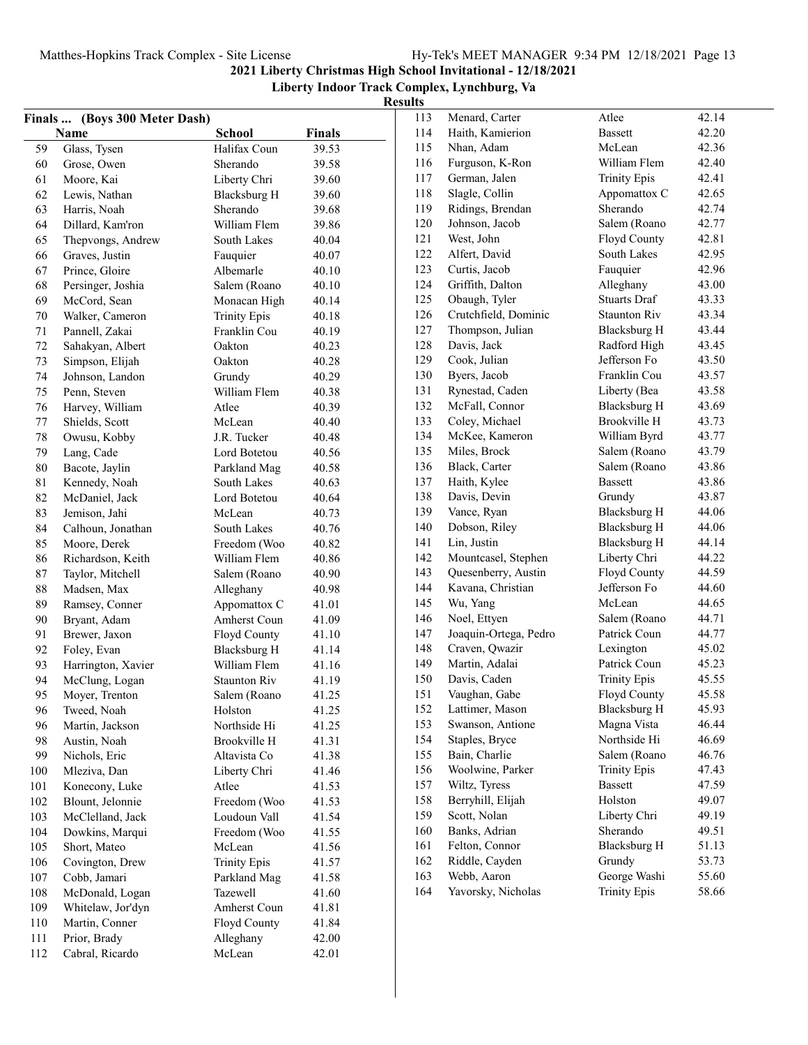|        |                               |                     |        | results |                       |                              |       |
|--------|-------------------------------|---------------------|--------|---------|-----------------------|------------------------------|-------|
|        | Finals  (Boys 300 Meter Dash) |                     |        | 113     | Menard, Carter        | Atlee                        | 42.14 |
|        | Name                          | School              | Finals | 114     | Haith, Kamierion      | <b>Bassett</b>               | 42.20 |
| 59     | Glass, Tysen                  | Halifax Coun        | 39.53  | 115     | Nhan, Adam            | McLean                       | 42.36 |
| 60     | Grose, Owen                   | Sherando            | 39.58  | 116     | Furguson, K-Ron       | William Flem                 | 42.40 |
| 61     | Moore, Kai                    | Liberty Chri        | 39.60  | 117     | German, Jalen         | <b>Trinity Epis</b>          | 42.41 |
| 62     | Lewis, Nathan                 | <b>Blacksburg H</b> | 39.60  | 118     | Slagle, Collin        | Appomattox C                 | 42.65 |
| 63     | Harris, Noah                  | Sherando            | 39.68  | 119     | Ridings, Brendan      | Sherando                     | 42.74 |
| 64     | Dillard, Kam'ron              | William Flem        | 39.86  | 120     | Johnson, Jacob        | Salem (Roano                 | 42.77 |
| 65     | Thepvongs, Andrew             | South Lakes         | 40.04  | 121     | West, John            | Floyd County                 | 42.81 |
| 66     | Graves, Justin                | Fauquier            | 40.07  | 122     | Alfert, David         | South Lakes                  | 42.95 |
| 67     | Prince, Gloire                | Albemarle           | 40.10  | 123     | Curtis, Jacob         | Fauquier                     | 42.96 |
| 68     | Persinger, Joshia             | Salem (Roano        | 40.10  | 124     | Griffith, Dalton      | Alleghany                    | 43.00 |
| 69     | McCord, Sean                  | Monacan High        | 40.14  | 125     | Obaugh, Tyler         | <b>Stuarts Draf</b>          | 43.33 |
| 70     | Walker, Cameron               | <b>Trinity Epis</b> | 40.18  | 126     | Crutchfield, Dominic  | <b>Staunton Riv</b>          | 43.34 |
| 71     | Pannell, Zakai                | Franklin Cou        | 40.19  | 127     | Thompson, Julian      | <b>Blacksburg H</b>          | 43.44 |
| 72     | Sahakyan, Albert              | Oakton              | 40.23  | 128     | Davis, Jack           | Radford High                 | 43.45 |
| 73     | Simpson, Elijah               | Oakton              | 40.28  | 129     | Cook, Julian          | Jefferson Fo                 | 43.50 |
| 74     | Johnson, Landon               | Grundy              | 40.29  | 130     | Byers, Jacob          | Franklin Cou                 | 43.57 |
| 75     | Penn, Steven                  | William Flem        | 40.38  | 131     | Rynestad, Caden       | Liberty (Bea                 | 43.58 |
| 76     | Harvey, William               | Atlee               | 40.39  | 132     | McFall, Connor        | <b>Blacksburg H</b>          | 43.69 |
| 77     | Shields, Scott                | McLean              | 40.40  | 133     | Coley, Michael        | Brookville H                 | 43.73 |
| 78     | Owusu, Kobby                  | J.R. Tucker         | 40.48  | 134     | McKee, Kameron        | William Byrd                 | 43.77 |
| 79     | Lang, Cade                    | Lord Botetou        | 40.56  | 135     | Miles, Brock          | Salem (Roano                 | 43.79 |
| $80\,$ | Bacote, Jaylin                | Parkland Mag        | 40.58  | 136     | Black, Carter         | Salem (Roano                 | 43.86 |
| 81     | Kennedy, Noah                 | South Lakes         | 40.63  | 137     | Haith, Kylee          | <b>Bassett</b>               | 43.86 |
| 82     | McDaniel, Jack                | Lord Botetou        | 40.64  | 138     | Davis, Devin          | Grundy                       | 43.87 |
| 83     | Jemison, Jahi                 | McLean              | 40.73  | 139     | Vance, Ryan           | <b>Blacksburg H</b>          | 44.06 |
| 84     | Calhoun, Jonathan             | South Lakes         | 40.76  | 140     | Dobson, Riley         | Blacksburg H                 | 44.06 |
| 85     | Moore, Derek                  | Freedom (Woo        | 40.82  | 141     | Lin, Justin           | <b>Blacksburg H</b>          | 44.14 |
|        |                               |                     | 40.86  | 142     | Mountcasel, Stephen   | Liberty Chri                 | 44.22 |
| 86     | Richardson, Keith             | William Flem        | 40.90  | 143     | Quesenberry, Austin   | Floyd County                 | 44.59 |
| 87     | Taylor, Mitchell              | Salem (Roano        |        | 144     | Kavana, Christian     | Jefferson Fo                 | 44.60 |
| 88     | Madsen, Max                   | Alleghany           | 40.98  | 145     | Wu, Yang              | McLean                       | 44.65 |
| 89     | Ramsey, Conner                | Appomattox C        | 41.01  | 146     | Noel, Ettyen          |                              | 44.71 |
| 90     | Bryant, Adam                  | Amherst Coun        | 41.09  | 147     | Joaquin-Ortega, Pedro | Salem (Roano<br>Patrick Coun | 44.77 |
| 91     | Brewer, Jaxon                 | Floyd County        | 41.10  | 148     | Craven, Qwazir        |                              | 45.02 |
| 92     | Foley, Evan                   | <b>Blacksburg H</b> | 41.14  |         |                       | Lexington<br>Patrick Coun    | 45.23 |
| 93     | Harrington, Xavier            | William Flem        | 41.16  | 149     | Martin, Adalai        |                              |       |
| 94     | McClung, Logan                | <b>Staunton Riv</b> | 41.19  | 150     | Davis, Caden          | <b>Trinity Epis</b>          | 45.55 |
| 95     | Moyer, Trenton                | Salem (Roano        | 41.25  | 151     | Vaughan, Gabe         | Floyd County                 | 45.58 |
| 96     | Tweed, Noah                   | Holston             | 41.25  | 152     | Lattimer, Mason       | <b>Blacksburg H</b>          | 45.93 |
| 96     | Martin, Jackson               | Northside Hi        | 41.25  | 153     | Swanson, Antione      | Magna Vista                  | 46.44 |
| 98     | Austin, Noah                  | Brookville H        | 41.31  | 154     | Staples, Bryce        | Northside Hi                 | 46.69 |
| 99     | Nichols, Eric                 | Altavista Co        | 41.38  | 155     | Bain, Charlie         | Salem (Roano                 | 46.76 |
| 100    | Mleziva, Dan                  | Liberty Chri        | 41.46  | 156     | Woolwine, Parker      | <b>Trinity Epis</b>          | 47.43 |
| 101    | Konecony, Luke                | Atlee               | 41.53  | 157     | Wiltz, Tyress         | Bassett                      | 47.59 |
| 102    | Blount, Jelonnie              | Freedom (Woo        | 41.53  | 158     | Berryhill, Elijah     | Holston                      | 49.07 |
| 103    | McClelland, Jack              | Loudoun Vall        | 41.54  | 159     | Scott, Nolan          | Liberty Chri                 | 49.19 |
| 104    | Dowkins, Marqui               | Freedom (Woo        | 41.55  | 160     | Banks, Adrian         | Sherando                     | 49.51 |
| 105    | Short, Mateo                  | McLean              | 41.56  | 161     | Felton, Connor        | Blacksburg H                 | 51.13 |
| 106    | Covington, Drew               | <b>Trinity Epis</b> | 41.57  | 162     | Riddle, Cayden        | Grundy                       | 53.73 |
| 107    | Cobb, Jamari                  | Parkland Mag        | 41.58  | 163     | Webb, Aaron           | George Washi                 | 55.60 |
| 108    | McDonald, Logan               | Tazewell            | 41.60  | 164     | Yavorsky, Nicholas    | <b>Trinity Epis</b>          | 58.66 |
| 109    | Whitelaw, Jor'dyn             | Amherst Coun        | 41.81  |         |                       |                              |       |
| 110    | Martin, Conner                | Floyd County        | 41.84  |         |                       |                              |       |
| 111    | Prior, Brady                  | Alleghany           | 42.00  |         |                       |                              |       |
| 112    | Cabral, Ricardo               | McLean              | 42.01  |         |                       |                              |       |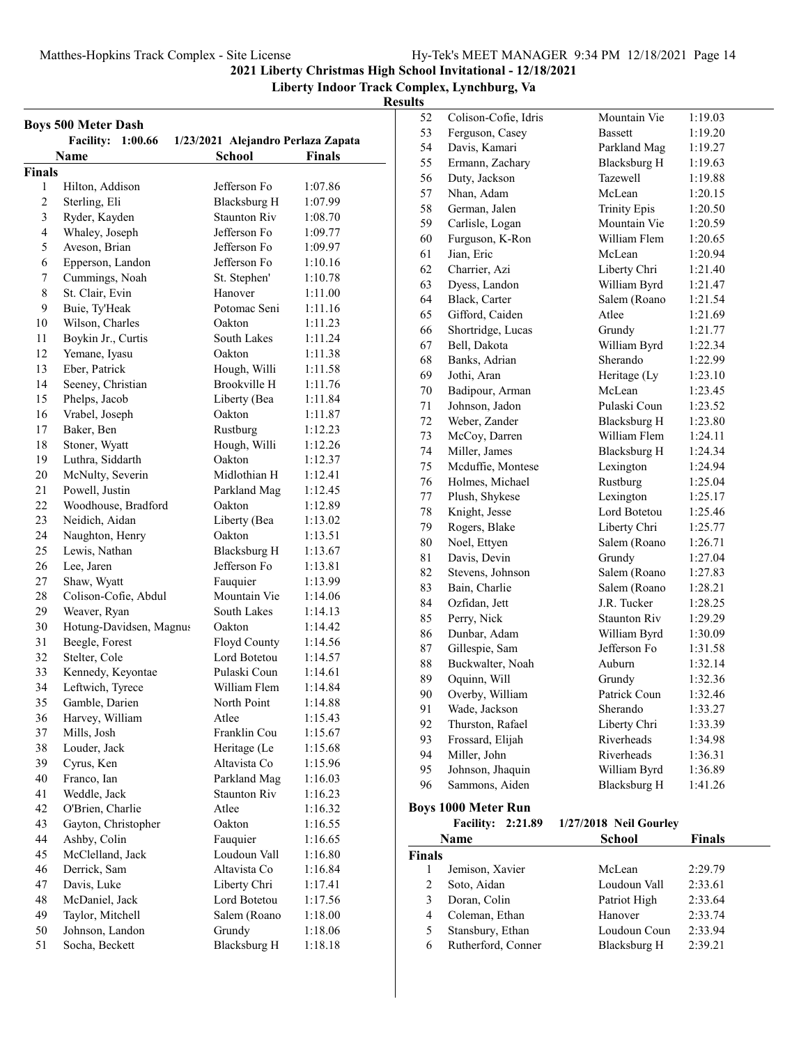#### **Liberty Indoor Track Complex, Lynchburg, Va**

#### **Results**

|                | <b>Boys 500 Meter Dash</b><br>1:00.66 |                                                     |               |
|----------------|---------------------------------------|-----------------------------------------------------|---------------|
|                | <b>Facility:</b><br>Name              | 1/23/2021 Alejandro Perlaza Zapata<br><b>School</b> | <b>Finals</b> |
| <b>Finals</b>  |                                       |                                                     |               |
| 1              | Hilton, Addison                       | Jefferson Fo                                        | 1:07.86       |
| $\overline{c}$ | Sterling, Eli                         | Blacksburg H                                        | 1:07.99       |
| 3              | Ryder, Kayden                         | <b>Staunton Riv</b>                                 | 1:08.70       |
| $\overline{4}$ | Whaley, Joseph                        | Jefferson Fo                                        | 1:09.77       |
| 5              | Aveson, Brian                         | Jefferson Fo                                        | 1:09.97       |
| 6              | Epperson, Landon                      | Jefferson Fo                                        | 1:10.16       |
| 7              | Cummings, Noah                        | St. Stephen'                                        | 1:10.78       |
| 8              | St. Clair, Evin                       | Hanover                                             | 1:11.00       |
| 9              | Buie, Ty'Heak                         | Potomac Seni                                        | 1:11.16       |
| 10             | Wilson, Charles                       | Oakton                                              | 1:11.23       |
| 11             | Boykin Jr., Curtis                    | South Lakes                                         | 1:11.24       |
| 12             | Yemane, Iyasu                         | Oakton                                              | 1:11.38       |
| 13             | Eber, Patrick                         | Hough, Willi                                        | 1:11.58       |
| 14             | Seeney, Christian                     | Brookville H                                        | 1:11.76       |
| 15             | Phelps, Jacob                         | Liberty (Bea                                        | 1:11.84       |
| 16             | Vrabel, Joseph                        | Oakton                                              | 1:11.87       |
| 17             | Baker, Ben                            | Rustburg                                            | 1:12.23       |
| 18             | Stoner, Wyatt                         | Hough, Willi                                        | 1:12.26       |
| 19             | Luthra, Siddarth                      | Oakton                                              | 1:12.37       |
| 20             | McNulty, Severin                      | Midlothian H                                        | 1:12.41       |
| 21             |                                       | Parkland Mag                                        |               |
| 22             | Powell, Justin                        | Oakton                                              | 1:12.45       |
|                | Woodhouse, Bradford                   |                                                     | 1:12.89       |
| 23             | Neidich, Aidan                        | Liberty (Bea                                        | 1:13.02       |
| 24             | Naughton, Henry                       | Oakton                                              | 1:13.51       |
| 25             | Lewis, Nathan                         | Blacksburg H                                        | 1:13.67       |
| 26             | Lee, Jaren                            | Jefferson Fo                                        | 1:13.81       |
| 27             | Shaw, Wyatt                           | Fauquier                                            | 1:13.99       |
| 28             | Colison-Cofie, Abdul                  | Mountain Vie                                        | 1:14.06       |
| 29             | Weaver, Ryan                          | South Lakes                                         | 1:14.13       |
| 30             | Hotung-Davidsen, Magnus               | Oakton                                              | 1:14.42       |
| 31             | Beegle, Forest                        | Floyd County                                        | 1:14.56       |
| 32             | Stelter, Cole                         | Lord Botetou                                        | 1:14.57       |
| 33             | Kennedy, Keyontae                     | Pulaski Coun                                        | 1:14.61       |
| 34             | Leftwich, Tyrece                      | William Flem                                        | 1:14.84       |
| 35             | Gamble, Darien                        | North Point                                         | 1:14.88       |
| 36             | Harvey, William                       | Atlee                                               | 1:15.43       |
| 37             | Mills, Josh                           | Franklin Cou                                        | 1:15.67       |
| 38             | Louder, Jack                          | Heritage (Le                                        | 1:15.68       |
| 39             | Cyrus, Ken                            | Altavista Co                                        | 1:15.96       |
| 40             | Franco, Ian                           | Parkland Mag                                        | 1:16.03       |
| 41             | Weddle, Jack                          | <b>Staunton Riv</b>                                 | 1:16.23       |
| 42             | O'Brien, Charlie                      | Atlee                                               | 1:16.32       |
| 43             | Gayton, Christopher                   | Oakton                                              | 1:16.55       |
| 44             | Ashby, Colin                          | Fauquier                                            | 1:16.65       |
| 45             | McClelland, Jack                      | Loudoun Vall                                        | 1:16.80       |
| 46             | Derrick, Sam                          | Altavista Co                                        | 1:16.84       |
| 47             | Davis, Luke                           | Liberty Chri                                        | 1:17.41       |
| 48             | McDaniel, Jack                        | Lord Botetou                                        | 1:17.56       |
| 49             | Taylor, Mitchell                      | Salem (Roano                                        | 1:18.00       |
| 50             | Johnson, Landon                       | Grundy                                              | 1:18.06       |
| 51             | Socha, Beckett                        | <b>Blacksburg H</b>                                 | 1:18.18       |

| 52      | Colison-Cofie, Idris | Mountain Vie        | 1:19.03 |
|---------|----------------------|---------------------|---------|
| 53      | Ferguson, Casey      | <b>Bassett</b>      | 1:19.20 |
| 54      | Davis, Kamari        | Parkland Mag        | 1:19.27 |
| 55      | Ermann, Zachary      | <b>Blacksburg H</b> | 1:19.63 |
| 56      | Duty, Jackson        | Tazewell            | 1:19.88 |
| 57      | Nhan, Adam           | McLean              | 1:20.15 |
| 58      | German, Jalen        | <b>Trinity Epis</b> | 1:20.50 |
| 59      | Carlisle, Logan      | Mountain Vie        | 1:20.59 |
| 60      | Furguson, K-Ron      | William Flem        | 1:20.65 |
| 61      | Jian, Eric           | McLean              | 1:20.94 |
| 62      | Charrier, Azi        | Liberty Chri        | 1:21.40 |
| 63      | Dyess, Landon        | William Byrd        | 1:21.47 |
| 64      | Black, Carter        | Salem (Roano        | 1:21.54 |
| 65      | Gifford, Caiden      | Atlee               | 1:21.69 |
| 66      | Shortridge, Lucas    | Grundy              | 1:21.77 |
| 67      | Bell, Dakota         | William Byrd        | 1:22.34 |
| 68      | Banks, Adrian        | Sherando            | 1:22.99 |
| 69      | Jothi, Aran          | Heritage (Ly        | 1:23.10 |
| 70      | Badipour, Arman      | McLean              | 1:23.45 |
| 71      | Johnson, Jadon       | Pulaski Coun        | 1:23.52 |
| 72      | Weber, Zander        | Blacksburg H        | 1:23.80 |
| 73      | McCoy, Darren        | William Flem        | 1:24.11 |
| 74      | Miller, James        | <b>Blacksburg H</b> | 1:24.34 |
| 75      | Mcduffie, Montese    | Lexington           | 1:24.94 |
| 76      | Holmes, Michael      | Rustburg            | 1:25.04 |
| $77 \,$ | Plush, Shykese       | Lexington           | 1:25.17 |
| 78      | Knight, Jesse        | Lord Botetou        | 1:25.46 |
| 79      | Rogers, Blake        | Liberty Chri        | 1:25.77 |
| 80      | Noel, Ettyen         | Salem (Roano        | 1:26.71 |
| 81      | Davis, Devin         | Grundy              | 1:27.04 |
| 82      | Stevens, Johnson     | Salem (Roano        | 1:27.83 |
| 83      | Bain, Charlie        | Salem (Roano        | 1:28.21 |
| 84      | Ozfidan, Jett        | J.R. Tucker         | 1:28.25 |
| 85      | Perry, Nick          | <b>Staunton Riv</b> | 1:29.29 |
| 86      | Dunbar, Adam         | William Byrd        | 1:30.09 |
| 87      | Gillespie, Sam       | Jefferson Fo        | 1:31.58 |
| 88      | Buckwalter, Noah     | Auburn              | 1:32.14 |
| 89      | Oquinn, Will         | Grundy              | 1:32.36 |
| 90      | Overby, William      | Patrick Coun        | 1:32.46 |
| 91      | Wade, Jackson        | Sherando            | 1:33.27 |
| 92      | Thurston, Rafael     | Liberty Chri        | 1:33.39 |
| 93      | Frossard, Elijah     | Riverheads          | 1:34.98 |
| 94      | Miller, John         | Riverheads          | 1:36.31 |
| 95      | Johnson, Jhaquin     | William Byrd        | 1:36.89 |
|         |                      |                     |         |
| 96      | Sammons, Aiden       | <b>Blacksburg H</b> | 1:41.26 |

## **Boys 1000 Meter Run<br>Facility: 2:21.89**

|               |                 | Facility: 2:21.89 1/27/2018 Neil Gourley |               |
|---------------|-----------------|------------------------------------------|---------------|
|               | <b>Name</b>     | <b>School</b>                            | <b>Finals</b> |
| <b>Finals</b> |                 |                                          |               |
| $\mathbf{1}$  | Jemison, Xavier | McLean                                   | 2:29.79       |
| 2             | Soto, Aidan     | Loudoun Vall                             | 2:33.61       |
| 3             | Doran, Colin    | Patriot High                             | 2:33.64       |

4 Coleman, Ethan Hanover 2:33.74 5 Stansbury, Ethan Loudoun Coun 2:33.94 6 2:39.21 Rutherford, Conner Blacksburg H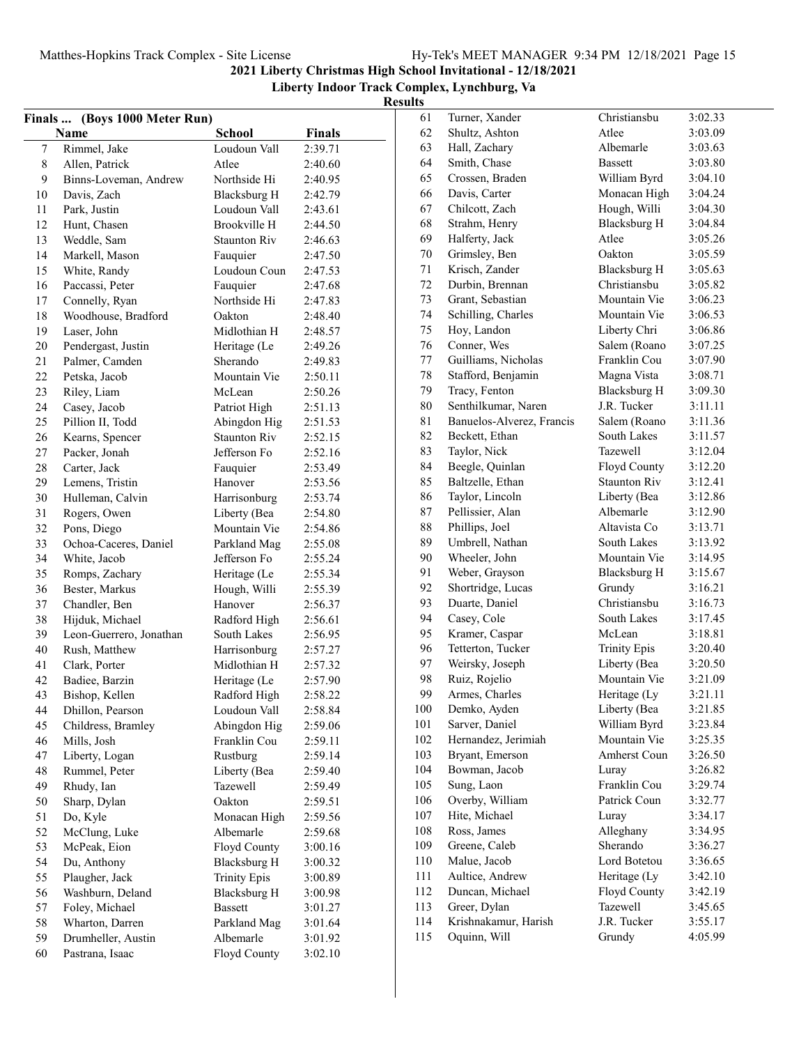**Liberty Indoor Track Complex, Lynchburg, Va**

| Finals  (Boys 1000 Meter Run) |                                          |                              |               |  |
|-------------------------------|------------------------------------------|------------------------------|---------------|--|
|                               | Name                                     | <b>School</b>                | <b>Finals</b> |  |
| $\boldsymbol{7}$              | Rimmel, Jake                             | Loudoun Vall                 | 2:39.71       |  |
| 8                             | Allen, Patrick                           | Atlee                        | 2:40.60       |  |
| 9                             | Binns-Loveman, Andrew                    | Northside Hi                 | 2:40.95       |  |
| 10                            | Davis, Zach                              | Blacksburg H                 | 2:42.79       |  |
| 11                            | Park, Justin                             | Loudoun Vall                 | 2:43.61       |  |
| 12                            | Hunt, Chasen                             | Brookville H                 | 2:44.50       |  |
| 13                            | Weddle, Sam                              | <b>Staunton Riv</b>          | 2:46.63       |  |
| 14                            | Markell, Mason                           | Fauquier                     | 2:47.50       |  |
| 15                            | White, Randy                             | Loudoun Coun                 | 2:47.53       |  |
| 16                            | Paccassi, Peter                          | Fauquier                     | 2:47.68       |  |
| 17                            | Connelly, Ryan                           | Northside Hi                 | 2:47.83       |  |
| 18                            | Woodhouse, Bradford                      | Oakton                       | 2:48.40       |  |
| 19                            | Laser, John                              | Midlothian H                 | 2:48.57       |  |
| 20                            | Pendergast, Justin                       | Heritage (Le                 | 2:49.26       |  |
| 21                            | Palmer, Camden                           | Sherando                     | 2:49.83       |  |
| 22                            | Petska, Jacob                            | Mountain Vie                 | 2:50.11       |  |
| 23                            | Riley, Liam                              | McLean                       | 2:50.26       |  |
| 24                            | Casey, Jacob                             | Patriot High                 | 2:51.13       |  |
| 25                            | Pillion II, Todd                         | Abingdon Hig                 | 2:51.53       |  |
| 26                            | Kearns, Spencer                          | <b>Staunton Riv</b>          | 2:52.15       |  |
| 27                            | Packer, Jonah                            | Jefferson Fo                 | 2:52.16       |  |
| 28                            | Carter, Jack                             | Fauquier                     | 2:53.49       |  |
| 29                            | Lemens, Tristin                          | Hanover                      | 2:53.56       |  |
| 30                            | Hulleman, Calvin                         | Harrisonburg                 | 2:53.74       |  |
| 31                            | Rogers, Owen                             | Liberty (Bea                 | 2:54.80       |  |
| 32                            | Pons, Diego                              | Mountain Vie                 | 2:54.86       |  |
| 33                            | Ochoa-Caceres, Daniel                    | Parkland Mag                 | 2:55.08       |  |
| 34                            | White, Jacob                             | Jefferson Fo                 | 2:55.24       |  |
| 35                            | Romps, Zachary                           | Heritage (Le                 | 2:55.34       |  |
| 36                            | Bester, Markus                           | Hough, Willi                 | 2:55.39       |  |
| 37                            | Chandler, Ben                            | Hanover                      | 2:56.37       |  |
| 38                            | Hijduk, Michael                          | Radford High                 | 2:56.61       |  |
| 39                            |                                          | South Lakes                  | 2:56.95       |  |
| 40                            | Leon-Guerrero, Jonathan<br>Rush, Matthew |                              |               |  |
| 41                            |                                          | Harrisonburg<br>Midlothian H | 2:57.27       |  |
| 42                            | Clark, Porter                            |                              | 2:57.32       |  |
|                               | Badiee, Barzin                           | Heritage (Le                 | 2:57.90       |  |
| 43                            | Bishop, Kellen                           | Radford High                 | 2:58.22       |  |
| 44                            | Dhillon, Pearson                         | Loudoun Vall                 | 2:58.84       |  |
| 45                            | Childress, Bramley                       | Abingdon Hig                 | 2:59.06       |  |
| 46                            | Mills, Josh                              | Franklin Cou                 | 2:59.11       |  |
| 47                            | Liberty, Logan                           | Rustburg                     | 2:59.14       |  |
| 48                            | Rummel, Peter                            | Liberty (Bea                 | 2:59.40       |  |
| 49                            | Rhudy, Ian                               | Tazewell                     | 2:59.49       |  |
| 50                            | Sharp, Dylan                             | Oakton                       | 2:59.51       |  |
| 51                            | Do, Kyle                                 | Monacan High                 | 2:59.56       |  |
| 52                            | McClung, Luke                            | Albemarle                    | 2:59.68       |  |
| 53                            | McPeak, Eion                             | Floyd County                 | 3:00.16       |  |
| 54                            | Du, Anthony                              | <b>Blacksburg H</b>          | 3:00.32       |  |
| 55                            | Plaugher, Jack                           | <b>Trinity Epis</b>          | 3:00.89       |  |
| 56                            | Washburn, Deland                         | <b>Blacksburg H</b>          | 3:00.98       |  |
| 57                            | Foley, Michael                           | <b>Bassett</b>               | 3:01.27       |  |
| 58                            | Wharton, Darren                          | Parkland Mag                 | 3:01.64       |  |
| 59                            | Drumheller, Austin                       | Albemarle                    | 3:01.92       |  |
| 60                            | Pastrana, Isaac                          | Floyd County                 | 3:02.10       |  |

| 61  | Turner, Xander            | Christiansbu        | 3:02.33 |
|-----|---------------------------|---------------------|---------|
| 62  | Shultz, Ashton            | Atlee               | 3:03.09 |
| 63  | Hall, Zachary             | Albemarle           | 3:03.63 |
| 64  | Smith, Chase              | <b>Bassett</b>      | 3:03.80 |
| 65  | Crossen, Braden           | William Byrd        | 3:04.10 |
| 66  | Davis, Carter             | Monacan High        | 3:04.24 |
| 67  | Chilcott, Zach            | Hough, Willi        | 3:04.30 |
| 68  | Strahm, Henry             | <b>Blacksburg H</b> | 3:04.84 |
| 69  | Halferty, Jack            | Atlee               | 3:05.26 |
| 70  | Grimsley, Ben             | Oakton              | 3:05.59 |
| 71  | Krisch, Zander            | <b>Blacksburg H</b> | 3:05.63 |
| 72  | Durbin, Brennan           | Christiansbu        | 3:05.82 |
| 73  | Grant, Sebastian          | Mountain Vie        | 3:06.23 |
| 74  | Schilling, Charles        | Mountain Vie        | 3:06.53 |
| 75  | Hoy, Landon               | Liberty Chri        | 3:06.86 |
| 76  | Conner, Wes               | Salem (Roano        | 3:07.25 |
| 77  | Guilliams, Nicholas       | Franklin Cou        | 3:07.90 |
| 78  | Stafford, Benjamin        | Magna Vista         | 3:08.71 |
| 79  | Tracy, Fenton             | <b>Blacksburg H</b> | 3:09.30 |
| 80  | Senthilkumar, Naren       | J.R. Tucker         | 3:11.11 |
| 81  | Banuelos-Alverez, Francis | Salem (Roano        | 3:11.36 |
| 82  | Beckett, Ethan            | <b>South Lakes</b>  | 3:11.57 |
| 83  | Taylor, Nick              | Tazewell            | 3:12.04 |
| 84  | Beegle, Quinlan           | Floyd County        | 3:12.20 |
| 85  | Baltzelle, Ethan          | <b>Staunton Riv</b> | 3:12.41 |
| 86  | Taylor, Lincoln           | Liberty (Bea        | 3:12.86 |
| 87  | Pellissier, Alan          | Albemarle           | 3:12.90 |
| 88  | Phillips, Joel            | Altavista Co        | 3:13.71 |
| 89  | Umbrell, Nathan           | South Lakes         | 3:13.92 |
| 90  | Wheeler, John             | Mountain Vie        | 3:14.95 |
| 91  | Weber, Grayson            | <b>Blacksburg H</b> | 3:15.67 |
| 92  | Shortridge, Lucas         | Grundy              | 3:16.21 |
| 93  | Duarte, Daniel            | Christiansbu        | 3:16.73 |
| 94  | Casey, Cole               | South Lakes         | 3:17.45 |
| 95  | Kramer, Caspar            | McLean              | 3:18.81 |
| 96  | Tetterton, Tucker         | <b>Trinity Epis</b> | 3:20.40 |
| 97  | Weirsky, Joseph           | Liberty (Bea        | 3:20.50 |
| 98  | Ruiz, Rojelio             | Mountain Vie        | 3:21.09 |
| 99  | Armes, Charles            | Heritage (Ly        | 3:21.11 |
| 100 | Demko, Ayden              | Liberty (Bea        | 3:21.85 |
| 101 | Sarver, Daniel            | William Byrd        | 3:23.84 |
| 102 | Hernandez, Jerimiah       | Mountain Vie        | 3:25.35 |
| 103 | Bryant, Emerson           | Amherst Coun        | 3:26.50 |
| 104 | Bowman, Jacob             | Luray               | 3:26.82 |
| 105 | Sung, Laon                | Franklin Cou        | 3:29.74 |
| 106 | Overby, William           | Patrick Coun        | 3:32.77 |
| 107 | Hite, Michael             | Luray               | 3:34.17 |
| 108 | Ross, James               | Alleghany           | 3:34.95 |
| 109 | Greene, Caleb             | Sherando            | 3:36.27 |
| 110 | Malue, Jacob              | Lord Botetou        | 3:36.65 |
| 111 | Aultice, Andrew           | Heritage (Ly        | 3:42.10 |
| 112 | Duncan, Michael           | Floyd County        | 3:42.19 |
| 113 | Greer, Dylan              | Tazewell            | 3:45.65 |
| 114 | Krishnakamur, Harish      | J.R. Tucker         | 3:55.17 |
| 115 | Oquinn, Will              | Grundy              | 4:05.99 |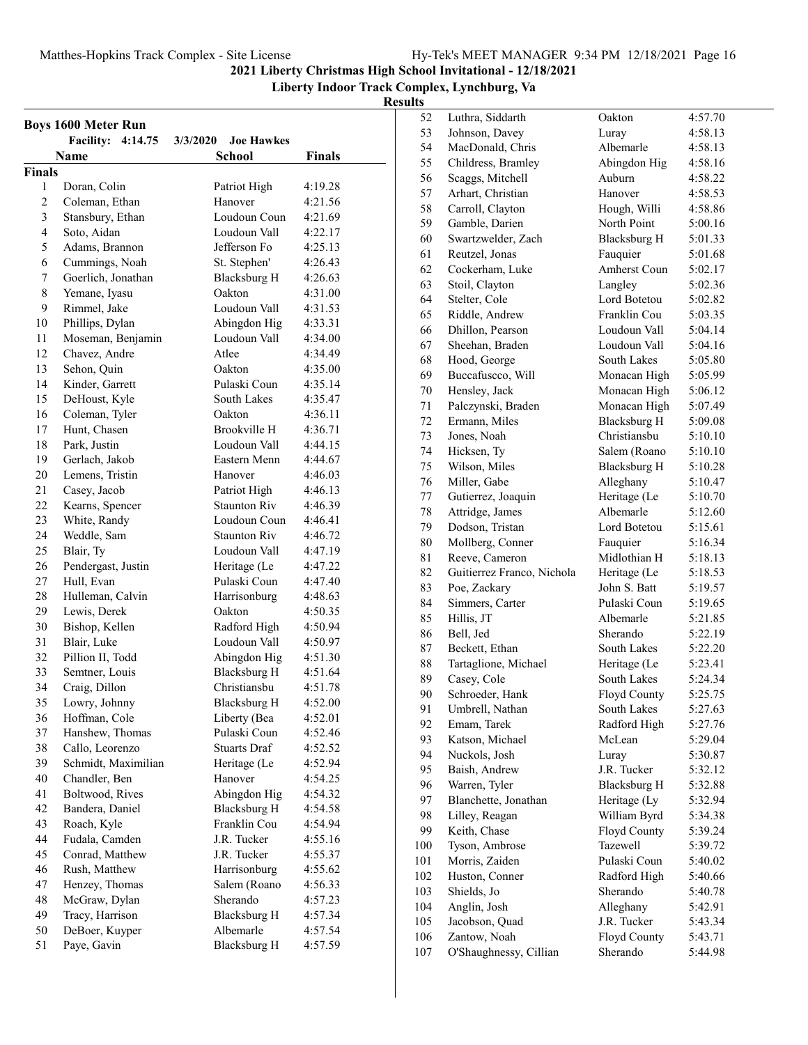**Liberty Indoor Track Complex, Lynchburg, Va**

|                | <b>Boys 1600 Meter Run</b>        |                               |                    |
|----------------|-----------------------------------|-------------------------------|--------------------|
|                | <b>Facility:</b><br>4:14.75       | <b>Joe Hawkes</b><br>3/3/2020 |                    |
|                | <b>Name</b>                       | <b>School</b>                 | Finals             |
| Finals         |                                   |                               |                    |
| 1              | Doran, Colin                      | Patriot High                  | 4:19.28            |
| $\overline{c}$ | Coleman, Ethan                    | Hanover                       | 4:21.56            |
| 3              | Stansbury, Ethan                  | Loudoun Coun                  | 4:21.69            |
| $\overline{4}$ | Soto, Aidan                       | Loudoun Vall                  | 4:22.17            |
| 5              | Adams, Brannon                    | Jefferson Fo                  | 4:25.13            |
| 6              | Cummings, Noah                    | St. Stephen'                  | 4:26.43            |
| 7              | Goerlich, Jonathan                | <b>Blacksburg H</b>           | 4:26.63            |
| 8              | Yemane, Iyasu                     | Oakton                        | 4:31.00            |
| 9              | Rimmel, Jake                      | Loudoun Vall                  | 4:31.53            |
| 10             | Phillips, Dylan                   | Abingdon Hig                  | 4:33.31            |
| 11             | Moseman, Benjamin                 | Loudoun Vall                  | 4:34.00            |
| 12             | Chavez, Andre                     | Atlee                         | 4:34.49            |
| 13             | Sehon, Quin                       | Oakton                        | 4:35.00            |
| 14             | Kinder, Garrett                   | Pulaski Coun                  | 4:35.14            |
| 15             | DeHoust, Kyle                     | South Lakes                   | 4:35.47            |
| 16             | Coleman, Tyler                    | Oakton                        | 4:36.11            |
| 17             | Hunt, Chasen                      | Brookville H                  | 4:36.71            |
| 18             | Park, Justin                      | Loudoun Vall                  | 4:44.15            |
| 19             | Gerlach, Jakob                    | Eastern Menn                  | 4:44.67            |
| 20             | Lemens, Tristin                   | Hanover                       | 4:46.03            |
| 21             | Casey, Jacob                      | Patriot High                  | 4:46.13            |
| 22             | Kearns, Spencer                   | <b>Staunton Riv</b>           | 4:46.39            |
| 23             | White, Randy                      | Loudoun Coun                  | 4:46.41            |
| 24             | Weddle, Sam                       | <b>Staunton Riv</b>           | 4:46.72            |
| 25             | Blair, Ty                         | Loudoun Vall                  | 4:47.19            |
| 26             | Pendergast, Justin                | Heritage (Le                  | 4:47.22            |
| 27             | Hull, Evan                        | Pulaski Coun                  | 4:47.40            |
| 28             | Hulleman, Calvin                  | Harrisonburg                  | 4:48.63            |
| 29             | Lewis, Derek                      | Oakton                        | 4:50.35            |
| 30             | Bishop, Kellen                    | Radford High                  | 4:50.94            |
| 31             | Blair, Luke                       | Loudoun Vall                  | 4:50.97            |
| 32             | Pillion II, Todd                  | Abingdon Hig                  | 4:51.30            |
| 33             | Semtner, Louis                    | <b>Blacksburg H</b>           | 4:51.64            |
| 34             | Craig, Dillon                     | Christiansbu                  | 4:51.78            |
| 35             | Lowry, Johnny                     | <b>Blacksburg H</b>           | 4:52.00            |
| 36             | Hoffman, Cole                     | Liberty (Bea                  | 4:52.01            |
| 37             | Hanshew, Thomas                   | Pulaski Coun                  | 4:52.46            |
| 38             | Callo, Leorenzo                   | <b>Stuarts Draf</b>           | 4:52.52            |
| 39             | Schmidt, Maximilian               | Heritage (Le                  | 4:52.94            |
| 40             | Chandler, Ben                     | Hanover                       | 4:54.25            |
| 41             | Boltwood, Rives                   | Abingdon Hig                  | 4:54.32            |
| 42             | Bandera, Daniel                   | <b>Blacksburg H</b>           | 4:54.58            |
| 43             | Roach, Kyle                       | Franklin Cou<br>J.R. Tucker   | 4:54.94            |
| 44<br>45       | Fudala, Camden<br>Conrad, Matthew | J.R. Tucker                   | 4:55.16            |
| 46             | Rush, Matthew                     | Harrisonburg                  | 4:55.37<br>4:55.62 |
| 47             | Henzey, Thomas                    | Salem (Roano                  | 4:56.33            |
| 48             | McGraw, Dylan                     | Sherando                      | 4:57.23            |
| 49             | Tracy, Harrison                   | <b>Blacksburg H</b>           | 4:57.34            |
| 50             | DeBoer, Kuyper                    | Albemarle                     | 4:57.54            |
| 51             | Paye, Gavin                       | <b>Blacksburg H</b>           | 4:57.59            |
|                |                                   |                               |                    |

| 52      | Luthra, Siddarth           | Oakton              | 4:57.70 |
|---------|----------------------------|---------------------|---------|
| 53      | Johnson, Davey             | Luray               | 4:58.13 |
| 54      | MacDonald, Chris           | Albemarle           | 4:58.13 |
| 55      | Childress, Bramley         | Abingdon Hig        | 4:58.16 |
| 56      | Scaggs, Mitchell           | Auburn              | 4:58.22 |
| 57      | Arhart, Christian          | Hanover             | 4:58.53 |
| 58      | Carroll, Clayton           | Hough, Willi        | 4:58.86 |
| 59      | Gamble, Darien             | North Point         | 5:00.16 |
| 60      | Swartzwelder, Zach         | Blacksburg H        | 5:01.33 |
| 61      | Reutzel, Jonas             | Fauquier            | 5:01.68 |
| 62      | Cockerham, Luke            | Amherst Coun        | 5:02.17 |
| 63      | Stoil, Clayton             | Langley             | 5:02.36 |
| 64      | Stelter, Cole              | Lord Botetou        | 5:02.82 |
| 65      | Riddle, Andrew             | Franklin Cou        | 5:03.35 |
| 66      | Dhillon, Pearson           | Loudoun Vall        | 5:04.14 |
| 67      | Sheehan, Braden            | Loudoun Vall        | 5:04.16 |
| 68      | Hood, George               | South Lakes         | 5:05.80 |
| 69      | Buccafuscco, Will          | Monacan High        | 5:05.99 |
| 70      | Hensley, Jack              | Monacan High        | 5:06.12 |
| 71      | Palczynski, Braden         | Monacan High        | 5:07.49 |
| 72      | Ermann, Miles              | <b>Blacksburg H</b> | 5:09.08 |
| 73      | Jones, Noah                | Christiansbu        | 5:10.10 |
| 74      | Hicksen, Ty                | Salem (Roano        | 5:10.10 |
| 75      | Wilson, Miles              | <b>Blacksburg H</b> | 5:10.28 |
| 76      | Miller, Gabe               | Alleghany           | 5:10.47 |
| $77 \,$ | Gutierrez, Joaquin         | Heritage (Le        | 5:10.70 |
| 78      | Attridge, James            | Albemarle           | 5:12.60 |
| 79      | Dodson, Tristan            | Lord Botetou        | 5:15.61 |
| 80      | Mollberg, Conner           | Fauquier            | 5:16.34 |
| 81      | Reeve, Cameron             | Midlothian H        | 5:18.13 |
| 82      | Guitierrez Franco, Nichola | Heritage (Le        | 5:18.53 |
| 83      | Poe, Zackary               | John S. Batt        | 5:19.57 |
| 84      | Simmers, Carter            | Pulaski Coun        | 5:19.65 |
| 85      | Hillis, JT                 | Albemarle           | 5:21.85 |
| 86      | Bell, Jed                  | Sherando            | 5:22.19 |
| 87      | Beckett, Ethan             | South Lakes         | 5:22.20 |
| 88      | Tartaglione, Michael       | Heritage (Le        | 5:23.41 |
| 89      | Casey, Cole                | South Lakes         | 5:24.34 |
| 90      | Schroeder, Hank            | Floyd County        | 5:25.75 |
| 91      | Umbrell, Nathan            | South Lakes         | 5:27.63 |
| 92      | Emam, Tarek                | Radford High        | 5:27.76 |
| 93      | Katson, Michael            | McLean              | 5:29.04 |
| 94      | Nuckols, Josh              | Luray               | 5:30.87 |
| 95      | Baish, Andrew              | J.R. Tucker         | 5:32.12 |
| 96      | Warren, Tyler              | <b>Blacksburg H</b> | 5:32.88 |
| 97      | Blanchette, Jonathan       | Heritage (Ly        | 5:32.94 |
| 98      | Lilley, Reagan             | William Byrd        | 5:34.38 |
| 99      | Keith, Chase               | Floyd County        | 5:39.24 |
| 100     | Tyson, Ambrose             | Tazewell            | 5:39.72 |
| 101     | Morris, Zaiden             | Pulaski Coun        | 5:40.02 |
| 102     | Huston, Conner             | Radford High        | 5:40.66 |
| 103     | Shields, Jo                | Sherando            | 5:40.78 |
| 104     | Anglin, Josh               | Alleghany           | 5:42.91 |
| 105     | Jacobson, Quad             | J.R. Tucker         | 5:43.34 |
| 106     | Zantow, Noah               | Floyd County        | 5:43.71 |
| 107     | O'Shaughnessy, Cillian     | Sherando            | 5:44.98 |
|         |                            |                     |         |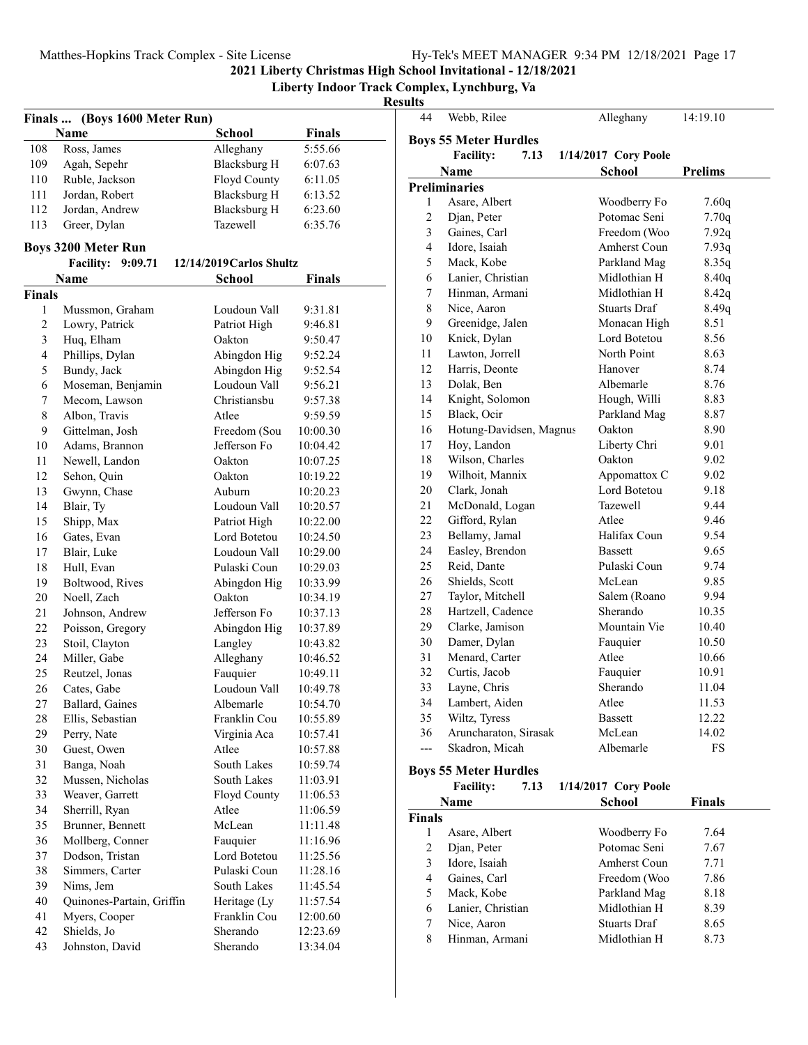#### Matthes-Hopkins Track Complex - Site License

|  |  | Hy-Tek's MEET MANAGER 9:34 PM 12/18/2021 Page 17 |  |  |  |
|--|--|--------------------------------------------------|--|--|--|
|--|--|--------------------------------------------------|--|--|--|

**2021 Liberty Christmas High School Invitational - 12/18/2021**

**Liberty Indoor Track Complex, Lynchburg, Va**

#### **Results**

|               | Finals  (Boys 1600 Meter Run)       |                            |                      |
|---------------|-------------------------------------|----------------------------|----------------------|
|               | Name                                | <b>School</b>              | <b>Finals</b>        |
| 108           | Ross, James                         | Alleghany                  | 5:55.66              |
| 109           | Agah, Sepehr                        | <b>Blacksburg H</b>        | 6:07.63              |
| 110           | Ruble, Jackson                      | <b>Floyd County</b>        | 6:11.05              |
| 111           | Jordan, Robert                      | <b>Blacksburg H</b>        | 6:13.52              |
| 112           | Jordan, Andrew                      | <b>Blacksburg H</b>        | 6:23.60              |
| 113           | Greer, Dylan                        | <b>Tazewell</b>            | 6:35.76              |
|               | <b>Boys 3200 Meter Run</b>          |                            |                      |
|               | <b>Facility: 9:09.71</b>            | $12/14/2019$ Carlos Shultz |                      |
|               | Name                                | School                     | <b>Finals</b>        |
| <b>Finals</b> |                                     |                            |                      |
| 1             | Mussmon, Graham                     | Loudoun Vall               | 9:31.81              |
| 2             | Lowry, Patrick                      | Patriot High               | 9:46.81              |
| 3             | Huq, Elham                          | Oakton                     | 9:50.47              |
| 4             | Phillips, Dylan                     | Abingdon Hig               | 9:52.24              |
| 5             | Bundy, Jack                         | Abingdon Hig               | 9:52.54              |
| 6             | Moseman, Benjamin                   | Loudoun Vall               | 9:56.21              |
| 7             | Mecom, Lawson                       | Christianshu               | 9:57.38              |
| 8             | Albon. Travis                       | Atlee                      | 9:59.59              |
| 9             | Gittelman, Josh                     | Freedom (Sou               | 10:00.30             |
| 10            | Adams, Brannon                      | Jefferson Fo               | 10:04.42             |
| 11            | Newell, Landon                      | Oakton                     | 10:07.25             |
| 12            | Sehon, Quin                         | Oakton                     | 10:19.22             |
| 13            | Gwynn, Chase                        | Auburn                     | 10:20.23             |
| 14            | Blair, Ty                           | Loudoun Vall               | 10:20.57             |
| 15            | Shipp, Max                          | Patriot High               | 10:22.00             |
| 16            | Gates, Evan                         | Lord Botetou               | 10:24.50             |
| 17            | Blair, Luke                         | Loudoun Vall               | 10:29.00             |
| 18            | Hull, Evan                          | Pulaski Coun               | 10:29.03             |
| 19            | Boltwood, Rives                     | Abingdon Hig               | 10:33.99             |
| 20            | Noell, Zach                         | Oakton                     | 10:34.19             |
| 21            | Johnson, Andrew                     | Jefferson Fo               | 10:37.13             |
| 22            | Poisson, Gregory                    | Abingdon Hig               | 10:37.89             |
| 23            | Stoil, Clayton                      | Langley                    | 10:43.82             |
| 24            | Miller, Gabe                        | Alleghany                  | 10:46.52             |
| 25            | Reutzel, Jonas                      | Fauquier                   | 10:49.11             |
| 26            | Cates, Gabe                         | Loudoun Vall               | 10:49.78             |
| 27            | Ballard, Gaines                     | Albemarle                  | 10:54.70             |
| 28            | Ellis, Sebastian                    | Franklin Cou               | 10:55.89             |
| 29            | Perry, Nate                         | Virginia Aca               | 10:57.41             |
| 30            | Guest, Owen                         | Atlee                      | 10:57.88             |
| 31            | Banga, Noah                         | South Lakes                | 10:59.74             |
| 32            | Mussen, Nicholas                    | South Lakes                | 11:03.91             |
| 33<br>34      | Weaver, Garrett<br>Sherrill, Ryan   | Floyd County<br>Atlee      | 11:06.53<br>11:06.59 |
| 35            | Brunner, Bennett                    | McLean                     | 11:11.48             |
| 36            |                                     |                            | 11:16.96             |
| 37            | Mollberg, Conner<br>Dodson, Tristan | Fauquier<br>Lord Botetou   | 11:25.56             |
| 38            | Simmers, Carter                     | Pulaski Coun               | 11:28.16             |
| 39            | Nims, Jem                           | South Lakes                | 11:45.54             |
| 40            | Quinones-Partain, Griffin           | Heritage (Ly               | 11:57.54             |
| 41            | Myers, Cooper                       | Franklin Cou               | 12:00.60             |
| 42            | Shields, Jo                         | Sherando                   | 12:23.69             |
| 43            | Johnston, David                     | Sherando                   | 13:34.04             |
|               |                                     |                            |                      |

| 44                      | Webb, Rilee                            | Alleghany                    | 14:19.10      |
|-------------------------|----------------------------------------|------------------------------|---------------|
|                         | <b>Boys 55 Meter Hurdles</b>           |                              |               |
|                         | <b>Facility:</b><br>7.13               | 1/14/2017 Cory Poole         |               |
|                         | <b>Name</b>                            | School                       | Prelims       |
|                         | <b>Preliminaries</b>                   |                              |               |
| 1                       | Asare, Albert                          | Woodberry Fo                 | 7.60q         |
| 2                       | Djan, Peter                            | Potomac Seni                 | 7.70q         |
| 3                       | Gaines, Carl                           | Freedom (Woo                 | 7.92q         |
| $\overline{\mathbf{4}}$ | Idore, Isaiah                          | Amherst Coun                 | 7.93q         |
| 5                       | Mack, Kobe                             | Parkland Mag                 | 8.35q         |
| 6                       | Lanier, Christian                      | Midlothian H                 | 8.40q         |
| 7                       | Hinman, Armani                         | Midlothian H                 | 8.42q         |
| 8                       | Nice, Aaron                            | Stuarts Draf                 | 8.49q         |
| 9                       | Greenidge, Jalen                       | Monacan High                 | 8.51          |
| 10                      | Knick, Dylan                           | Lord Botetou                 | 8.56          |
| 11                      | Lawton, Jorrell                        | North Point                  | 8.63          |
| 12                      |                                        | Hanover                      | 8.74          |
| 13                      | Harris, Deonte<br>Dolak, Ben           | Albemarle                    | 8.76          |
|                         |                                        |                              |               |
| 14<br>15                | Knight, Solomon<br>Black, Ocir         | Hough, Willi<br>Parkland Mag | 8.83<br>8.87  |
| 16                      |                                        | Oakton                       | 8.90          |
| 17                      | Hotung-Davidsen, Magnus<br>Hoy, Landon | Liberty Chri                 | 9.01          |
|                         |                                        | Oakton                       |               |
| 18<br>19                | Wilson, Charles<br>Wilhoit, Mannix     | Appomattox C                 | 9.02<br>9.02  |
| 20                      | Clark, Jonah                           | Lord Botetou                 | 9.18          |
| 21                      |                                        | Tazewell                     | 9.44          |
| 22                      | McDonald, Logan<br>Gifford, Rylan      | Atlee                        | 9.46          |
| 23                      | Bellamy, Jamal                         | Halifax Coun                 | 9.54          |
| 24                      | Easley, Brendon                        | Bassett                      | 9.65          |
| 25                      | Reid, Dante                            | Pulaski Coun                 | 9.74          |
| 26                      | Shields, Scott                         | McLean                       | 9.85          |
| 27                      | Taylor, Mitchell                       | Salem (Roano                 | 9.94          |
| 28                      | Hartzell, Cadence                      | Sherando                     | 10.35         |
| 29                      | Clarke, Jamison                        | Mountain Vie                 | 10.40         |
| 30                      | Damer, Dylan                           | Fauquier                     | 10.50         |
| 31                      | Menard, Carter                         | Atlee                        | 10.66         |
| 32                      | Curtis, Jacob                          | Fauquier                     | 10.91         |
| 33                      | Layne, Chris                           | Sherando                     | 11.04         |
| 34                      | Lambert, Aiden                         | Atlee                        | 11.53         |
| 35                      | Wiltz, Tyress                          | Bassett                      | 12.22         |
| 36                      | Aruncharaton, Sirasak                  | McLean                       | 14.02         |
| $---$                   | Skadron, Micah                         | Albemarle                    | FS            |
|                         |                                        |                              |               |
|                         | <b>Boys 55 Meter Hurdles</b>           |                              |               |
|                         | <b>Facility:</b><br>7.13               | 1/14/2017 Cory Poole         |               |
|                         | Name                                   | School                       | <b>Finals</b> |
| <b>Finals</b>           |                                        |                              |               |
| 1                       | Asare, Albert                          | Woodberry Fo                 | 7.64          |
| 2                       | Djan, Peter                            | Potomac Seni                 | 7.67          |
| 3                       | Idore, Isaiah                          | Amherst Coun                 | 7.71          |
| 4                       | Gaines, Carl                           | Freedom (Woo                 | 7.86          |
| 5                       | Mack, Kobe                             | Parkland Mag                 | 8.18          |
| 6                       | Lanier, Christian                      | Midlothian H                 | 8.39          |
| 7                       | Nice, Aaron                            | <b>Stuarts Draf</b>          | 8.65          |

8 8.73 Hinman, Armani Midlothian H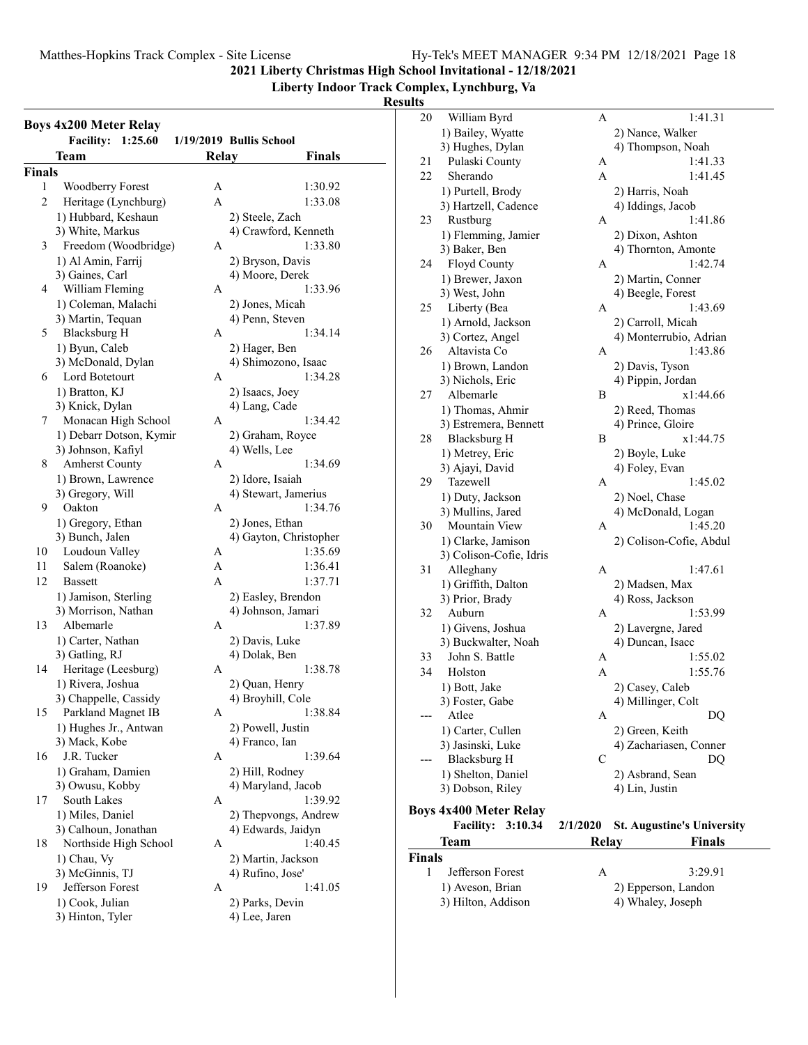**Liberty Indoor Track Complex, Lynchburg, Va**

#### **Results**

| <b>Boys 4x200 Meter Relay</b> |                             |       |                         |  |
|-------------------------------|-----------------------------|-------|-------------------------|--|
|                               | <b>Facility:</b><br>1:25.60 |       | 1/19/2019 Bullis School |  |
|                               | Team                        | Relay | <b>Finals</b>           |  |
| <b>Finals</b>                 |                             |       |                         |  |
| 1                             | Woodberry Forest            | A     | 1:30.92                 |  |
| 2                             | Heritage (Lynchburg)        | A     | 1:33.08                 |  |
|                               | 1) Hubbard, Keshaun         |       | 2) Steele, Zach         |  |
|                               | 3) White, Markus            |       | 4) Crawford, Kenneth    |  |
| 3                             | Freedom (Woodbridge)        | А     | 1:33.80                 |  |
|                               | 1) Al Amin, Farrij          |       | 2) Bryson, Davis        |  |
|                               | 3) Gaines, Carl             |       | 4) Moore, Derek         |  |
| 4                             | William Fleming             | А     | 1:33.96                 |  |
|                               | 1) Coleman, Malachi         |       | 2) Jones, Micah         |  |
|                               | 3) Martin, Tequan           |       | 4) Penn, Steven         |  |
| 5                             | Blacksburg H                | А     | 1:34.14                 |  |
|                               | 1) Byun, Caleb              |       | 2) Hager, Ben           |  |
|                               | 3) McDonald, Dylan          |       | 4) Shimozono, Isaac     |  |
| 6                             | Lord Botetourt              | А     | 1:34.28                 |  |
|                               | 1) Bratton, KJ              |       | 2) Isaacs, Joey         |  |
|                               | 3) Knick, Dylan             |       | 4) Lang, Cade           |  |
| 7                             | Monacan High School         | A     | 1:34.42                 |  |
|                               | 1) Debarr Dotson, Kymir     |       | 2) Graham, Royce        |  |
|                               | 3) Johnson, Kafiyl          |       | 4) Wells, Lee           |  |
| 8                             | <b>Amherst County</b>       | A     | 1:34.69                 |  |
|                               | 1) Brown, Lawrence          |       | 2) Idore, Isaiah        |  |
|                               | 3) Gregory, Will            |       | 4) Stewart, Jamerius    |  |
| 9                             | Oakton                      | A     | 1:34.76                 |  |
|                               | 1) Gregory, Ethan           |       | 2) Jones, Ethan         |  |
|                               | 3) Bunch, Jalen             |       | 4) Gayton, Christopher  |  |
| 10                            | Loudoun Valley              | Α     | 1:35.69                 |  |
| 11                            | Salem (Roanoke)             | A     | 1:36.41                 |  |
| 12                            | <b>Bassett</b>              | A     | 1:37.71                 |  |
|                               | 1) Jamison, Sterling        |       | 2) Easley, Brendon      |  |
|                               | 3) Morrison, Nathan         |       | 4) Johnson, Jamari      |  |
| 13                            | Albemarle                   | А     | 1:37.89                 |  |
|                               | 1) Carter, Nathan           |       | 2) Davis, Luke          |  |
|                               | 3) Gatling, RJ              |       | 4) Dolak, Ben           |  |
| 14                            | Heritage (Leesburg)         | А     | 1:38.78                 |  |
|                               | 1) Rivera, Joshua           |       | 2) Quan, Henry          |  |
|                               | 3) Chappelle, Cassidy       |       | 4) Broyhill, Cole       |  |
| 15                            | Parkland Magnet IB          | А     | 1:38.84                 |  |
|                               | 1) Hughes Jr., Antwan       |       | 2) Powell, Justin       |  |
|                               | 3) Mack, Kobe               |       | 4) Franco, Ian          |  |
| 16                            | J.R. Tucker                 | А     | 1:39.64                 |  |
|                               | 1) Graham, Damien           |       | 2) Hill, Rodney         |  |
|                               | 3) Owusu, Kobby             |       | 4) Maryland, Jacob      |  |
| 17                            | South Lakes                 | А     | 1:39.92                 |  |
|                               | 1) Miles, Daniel            |       | 2) Thepvongs, Andrew    |  |
|                               | 3) Calhoun, Jonathan        |       | 4) Edwards, Jaidyn      |  |
| 18                            | Northside High School       | А     | 1:40.45                 |  |
|                               | 1) Chau, Vy                 |       | 2) Martin, Jackson      |  |
|                               | 3) McGinnis, TJ             |       | 4) Rufino, Jose'        |  |
| 19                            | Jefferson Forest            | А     | 1:41.05                 |  |
|                               | 1) Cook, Julian             |       | 2) Parks, Devin         |  |
|                               | 3) Hinton, Tyler            |       | 4) Lee, Jaren           |  |
|                               |                             |       |                         |  |

| 20            | William Byrd                  | A        | 1:41.31                           |
|---------------|-------------------------------|----------|-----------------------------------|
|               | 1) Bailey, Wyatte             |          | 2) Nance, Walker                  |
|               | 3) Hughes, Dylan              |          | 4) Thompson, Noah                 |
| 21            | Pulaski County                | A        | 1:41.33                           |
| 22            | Sherando                      | A        | 1:41.45                           |
|               |                               |          |                                   |
|               | 1) Purtell, Brody             |          | 2) Harris, Noah                   |
|               | 3) Hartzell, Cadence          |          | 4) Iddings, Jacob                 |
| 23            | Rustburg                      | A        | 1:41.86                           |
|               | 1) Flemming, Jamier           |          | 2) Dixon, Ashton                  |
|               | 3) Baker, Ben                 |          | 4) Thornton, Amonte               |
| 24            | Floyd County                  | A        | 1:42.74                           |
|               | 1) Brewer, Jaxon              |          | 2) Martin, Conner                 |
|               | 3) West, John                 |          | 4) Beegle, Forest                 |
| 25            | Liberty (Bea                  | A        | 1:43.69                           |
|               | 1) Arnold, Jackson            |          | 2) Carroll, Micah                 |
|               | 3) Cortez, Angel              |          | 4) Monterrubio, Adrian            |
| 26            | Altavista Co                  | A        | 1:43.86                           |
|               |                               |          |                                   |
|               | 1) Brown, Landon              |          | 2) Davis, Tyson                   |
|               | 3) Nichols, Eric              |          | 4) Pippin, Jordan                 |
| 27            | Albemarle                     | B        | x1:44.66                          |
|               | 1) Thomas, Ahmir              |          | 2) Reed, Thomas                   |
|               | 3) Estremera, Bennett         |          | 4) Prince, Gloire                 |
| 28            | <b>Blacksburg H</b>           | B        | x1:44.75                          |
|               | 1) Metrey, Eric               |          | 2) Boyle, Luke                    |
|               | 3) Ajayi, David               |          | 4) Foley, Evan                    |
| 29            | Tazewell                      | A        | 1:45.02                           |
|               | 1) Duty, Jackson              |          | 2) Noel, Chase                    |
|               | 3) Mullins, Jared             |          | 4) McDonald, Logan                |
| 30            | Mountain View                 | A        | 1:45.20                           |
|               | 1) Clarke, Jamison            |          | 2) Colison-Cofie, Abdul           |
|               | 3) Colison-Cofie, Idris       |          |                                   |
| 31            | Alleghany                     | A        | 1:47.61                           |
|               | 1) Griffith, Dalton           |          | 2) Madsen, Max                    |
|               | 3) Prior, Brady               |          | 4) Ross, Jackson                  |
| 32            | Auburn                        | А        | 1:53.99                           |
|               |                               |          |                                   |
|               | 1) Givens, Joshua             |          | 2) Lavergne, Jared                |
|               | 3) Buckwalter, Noah           |          | 4) Duncan, Isacc                  |
| 33            | John S. Battle                | A        | 1:55.02                           |
| 34            | Holston                       | A        | 1:55.76                           |
|               | 1) Bott, Jake                 |          | 2) Casey, Caleb                   |
|               | 3) Foster, Gabe               |          | 4) Millinger, Colt                |
|               | Atlee                         | А        | DQ                                |
|               | 1) Carter, Cullen             |          | 2) Green, Keith                   |
|               | 3) Jasinski, Luke             |          | 4) Zachariasen, Conner            |
|               | Blacksburg H                  | С        | DQ                                |
|               | 1) Shelton, Daniel            |          | 2) Asbrand, Sean                  |
|               | 3) Dobson, Riley              |          | 4) Lin, Justin                    |
|               |                               |          |                                   |
|               | <b>Boys 4x400 Meter Relay</b> |          |                                   |
|               | <b>Facility:</b><br>3:10.34   | 2/1/2020 | <b>St. Augustine's University</b> |
|               | Team                          | Relay    | <b>Finals</b>                     |
| <b>Finals</b> |                               |          |                                   |
| 1             | Jefferson Forest              | А        | 3:29.91                           |
|               | 1) Aveson, Brian              |          | 2) Epperson, Landon               |
|               |                               |          | 4) Whaley, Joseph                 |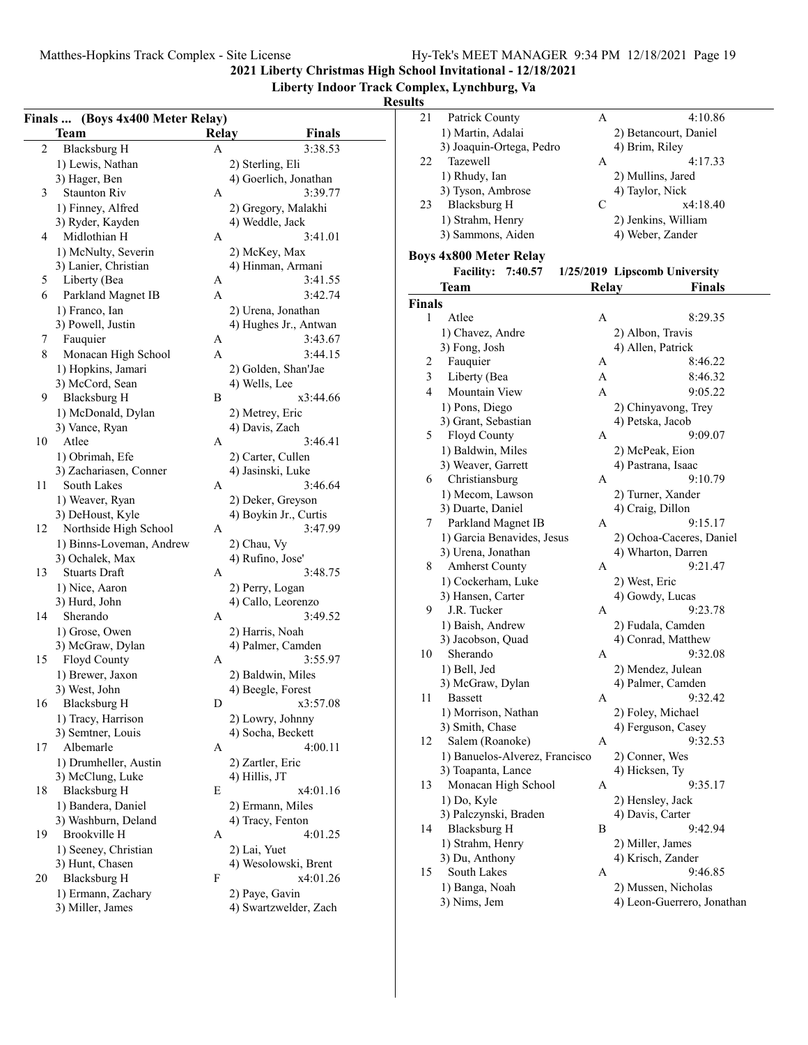**Liberty Indoor Track Complex, Lynchburg, Va**

|                | Finals  (Boys 4x400 Meter Relay)   |              |                                            |  |  |
|----------------|------------------------------------|--------------|--------------------------------------------|--|--|
|                | Team                               | <b>Relay</b> | Finals                                     |  |  |
| $\overline{c}$ | <b>Blacksburg H</b>                | Α            | 3:38.53                                    |  |  |
|                | 1) Lewis, Nathan                   |              | 2) Sterling, Eli                           |  |  |
|                | 3) Hager, Ben                      |              | 4) Goerlich, Jonathan                      |  |  |
| 3              | <b>Staunton Riv</b>                | А            | 3:39.77                                    |  |  |
|                | 1) Finney, Alfred                  |              | 2) Gregory, Malakhi                        |  |  |
|                | 3) Ryder, Kayden                   |              | 4) Weddle, Jack                            |  |  |
| 4              | Midlothian H                       | А            | 3:41.01                                    |  |  |
|                | 1) McNulty, Severin                |              | 2) McKey, Max                              |  |  |
|                | 3) Lanier, Christian               |              | 4) Hinman, Armani                          |  |  |
| 5              | Liberty (Bea                       | A            | 3:41.55                                    |  |  |
| 6              | Parkland Magnet IB                 | A            | 3:42.74                                    |  |  |
|                | 1) Franco, Ian                     |              | 2) Urena, Jonathan                         |  |  |
|                | 3) Powell, Justin                  |              | 4) Hughes Jr., Antwan                      |  |  |
| 7              | Fauquier                           | Α            | 3:43.67                                    |  |  |
| 8              | Monacan High School                | A            | 3:44.15                                    |  |  |
|                | 1) Hopkins, Jamari                 |              | 2) Golden, Shan'Jae                        |  |  |
|                | 3) McCord, Sean                    |              | 4) Wells, Lee                              |  |  |
| 9              | <b>Blacksburg H</b>                | В            | x3:44.66                                   |  |  |
|                | 1) McDonald, Dylan                 |              | 2) Metrey, Eric                            |  |  |
|                | 3) Vance, Ryan                     |              | 4) Davis, Zach                             |  |  |
| 10             | Atlee                              | А            | 3:46.41                                    |  |  |
|                | 1) Obrimah, Efe                    |              | 2) Carter, Cullen                          |  |  |
|                | 3) Zachariasen, Conner             |              | 4) Jasinski, Luke                          |  |  |
| 11             | South Lakes                        | А            | 3:46.64                                    |  |  |
|                |                                    |              |                                            |  |  |
|                | 1) Weaver, Ryan                    |              | 2) Deker, Greyson<br>4) Boykin Jr., Curtis |  |  |
| 12             | 3) DeHoust, Kyle                   | А            | 3:47.99                                    |  |  |
|                | Northside High School              |              |                                            |  |  |
|                | 1) Binns-Loveman, Andrew           |              | 2) Chau, Vy<br>4) Rufino, Jose'            |  |  |
| 13             | 3) Ochalek, Max<br>Stuarts Draft   | Α            | 3:48.75                                    |  |  |
|                |                                    |              |                                            |  |  |
|                | 1) Nice, Aaron                     |              | 2) Perry, Logan                            |  |  |
| 14             | 3) Hurd, John<br>Sherando          | А            | 4) Callo, Leorenzo<br>3:49.52              |  |  |
|                |                                    |              |                                            |  |  |
|                | 1) Grose, Owen<br>3) McGraw, Dylan |              | 2) Harris, Noah<br>4) Palmer, Camden       |  |  |
| 15             |                                    | A            | 3:55.97                                    |  |  |
|                | Floyd County<br>1) Brewer, Jaxon   |              | 2) Baldwin, Miles                          |  |  |
|                | 3) West, John                      |              |                                            |  |  |
|                | 16 Blacksburg H                    |              | 4) Beegle, Forest<br>x3:57.08              |  |  |
|                |                                    | D            |                                            |  |  |
|                | 1) Tracy, Harrison                 |              | 2) Lowry, Johnny                           |  |  |
|                | 3) Semtner, Louis<br>Albemarle     |              | 4) Socha, Beckett                          |  |  |
| 17             |                                    | А            | 4:00.11                                    |  |  |
|                | 1) Drumheller, Austin              |              | 2) Zartler, Eric                           |  |  |
|                | 3) McClung, Luke                   |              | 4) Hillis, JT                              |  |  |
| 18             | Blacksburg H                       | Е            | x4:01.16                                   |  |  |
|                | 1) Bandera, Daniel                 |              | 2) Ermann, Miles                           |  |  |
|                | 3) Washburn, Deland                |              | 4) Tracy, Fenton                           |  |  |
| 19             | Brookville H                       | Α            | 4:01.25                                    |  |  |
|                | 1) Seeney, Christian               |              | 2) Lai, Yuet                               |  |  |
|                | 3) Hunt, Chasen                    |              | 4) Wesolowski, Brent                       |  |  |
| 20             | <b>Blacksburg H</b>                | F            | x4:01.26                                   |  |  |
|                | 1) Ermann, Zachary                 |              | 2) Paye, Gavin                             |  |  |
|                | 3) Miller, James                   |              | 4) Swartzwelder, Zach                      |  |  |

| 21            | Patrick County                 | А     | 4:10.86                       |
|---------------|--------------------------------|-------|-------------------------------|
|               | 1) Martin, Adalai              |       | 2) Betancourt, Daniel         |
|               | 3) Joaquin-Ortega, Pedro       |       | 4) Brim, Riley                |
| 22            | Tazewell                       | А     | 4:17.33                       |
|               | 1) Rhudy, Ian                  |       | 2) Mullins, Jared             |
|               | 3) Tyson, Ambrose              |       | 4) Taylor, Nick               |
| 23            | <b>Blacksburg H</b>            | С     | x4:18.40                      |
|               |                                |       |                               |
|               | 1) Strahm, Henry               |       | 2) Jenkins, William           |
|               | 3) Sammons, Aiden              |       | 4) Weber, Zander              |
|               | <b>Boys 4x800 Meter Relay</b>  |       |                               |
|               | <b>Facility:</b><br>7:40.57    |       | 1/25/2019 Lipscomb University |
|               | Team                           | Relay | Finals                        |
| <b>Finals</b> |                                |       |                               |
| 1             | Atlee                          | Α     | 8:29.35                       |
|               |                                |       |                               |
|               | 1) Chavez, Andre               |       | 2) Albon, Travis              |
|               | 3) Fong, Josh                  |       | 4) Allen, Patrick             |
| 2             | Fauquier                       | Α     | 8:46.22                       |
| 3             | Liberty (Bea                   | А     | 8:46.32                       |
| 4             | Mountain View                  | A     | 9:05.22                       |
|               | 1) Pons, Diego                 |       | 2) Chinyavong, Trey           |
|               | 3) Grant, Sebastian            |       | 4) Petska, Jacob              |
| 5             | Floyd County                   | А     | 9:09.07                       |
|               | 1) Baldwin, Miles              |       | 2) McPeak, Eion               |
|               | 3) Weaver, Garrett             |       | 4) Pastrana, Isaac            |
| 6             | Christiansburg                 | А     | 9:10.79                       |
|               | 1) Mecom, Lawson               |       | 2) Turner, Xander             |
|               | 3) Duarte, Daniel              |       | 4) Craig, Dillon              |
| 7             | Parkland Magnet IB             | А     | 9:15.17                       |
|               | 1) Garcia Benavides, Jesus     |       | 2) Ochoa-Caceres, Daniel      |
|               | 3) Urena, Jonathan             |       | 4) Wharton, Darren            |
| 8             | <b>Amherst County</b>          | А     | 9:21.47                       |
|               | 1) Cockerham, Luke             |       | 2) West, Eric                 |
|               | 3) Hansen, Carter              |       | 4) Gowdy, Lucas               |
| 9             | J.R. Tucker                    | А     | 9:23.78                       |
|               |                                |       |                               |
|               | 1) Baish, Andrew               |       | 2) Fudala, Camden             |
|               | 3) Jacobson, Quad              |       | 4) Conrad, Matthew            |
| 10            | Sherando                       | Α     | 9:32.08                       |
|               | 1) Bell, Jed                   |       | 2) Mendez, Julean             |
|               | 3) McGraw, Dylan               |       | 4) Palmer, Camden             |
| 11            | Bassett                        | Α     | 9:32.42                       |
|               | 1) Morrison, Nathan            |       | 2) Foley, Michael             |
|               | 3) Smith, Chase                |       | 4) Ferguson, Casey            |
| 12            | Salem (Roanoke)                | А     | 9:32.53                       |
|               | 1) Banuelos-Alverez, Francisco |       | 2) Conner, Wes                |
|               | 3) Toapanta, Lance             |       | 4) Hicksen, Ty                |
| 13            | Monacan High School            | А     | 9:35.17                       |
|               | 1) Do, Kyle                    |       | 2) Hensley, Jack              |
|               | 3) Palczynski, Braden          |       | 4) Davis, Carter              |
| 14            | <b>Blacksburg H</b>            | В     | 9:42.94                       |
|               | 1) Strahm, Henry               |       | 2) Miller, James              |
|               | 3) Du, Anthony                 |       | 4) Krisch, Zander             |
| 15            | South Lakes                    | А     | 9:46.85                       |
|               | 1) Banga, Noah                 |       | 2) Mussen, Nicholas           |
|               |                                |       |                               |
|               | 3) Nims, Jem                   |       | 4) Leon-Guerrero, Jonathan    |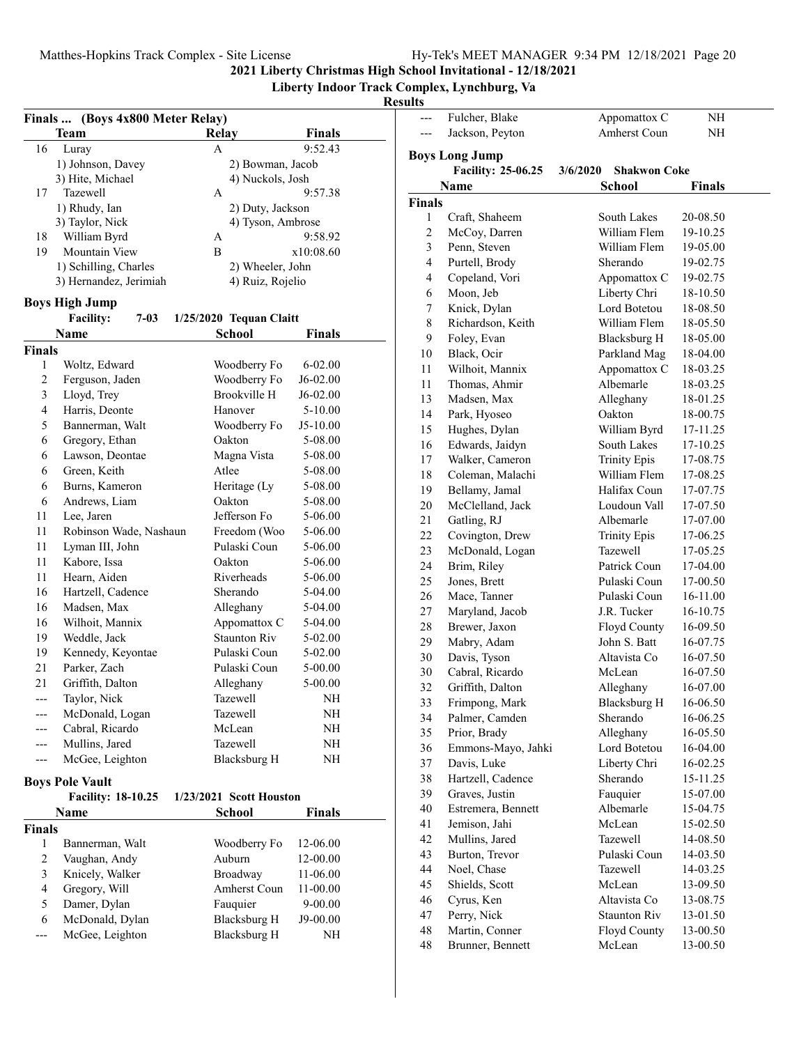--- Fulcher, Blake Appomattox C NH

**2021 Liberty Christmas High School Invitational - 12/18/2021**

**Liberty Indoor Track Complex, Lynchburg, Va**

| Finals  (Boys 4x800 Meter Relay) |                              |                         |             |  |  |  |  |
|----------------------------------|------------------------------|-------------------------|-------------|--|--|--|--|
|                                  | Team                         | <b>Relay</b>            | Finals      |  |  |  |  |
| 16                               | Luray                        | A                       | 9:52.43     |  |  |  |  |
|                                  | 1) Johnson, Davey            | 2) Bowman, Jacob        |             |  |  |  |  |
|                                  | 3) Hite, Michael             | 4) Nuckols, Josh        |             |  |  |  |  |
| 17                               | Tazewell                     | A                       | 9:57.38     |  |  |  |  |
|                                  | 1) Rhudy, Ian                | 2) Duty, Jackson        |             |  |  |  |  |
|                                  | 3) Taylor, Nick              | 4) Tyson, Ambrose       |             |  |  |  |  |
| 18                               | William Byrd                 | A                       | 9:58.92     |  |  |  |  |
| 19                               | <b>Mountain View</b>         | B                       | x10:08.60   |  |  |  |  |
|                                  | 1) Schilling, Charles        | 2) Wheeler, John        |             |  |  |  |  |
|                                  | 3) Hernandez, Jerimiah       | 4) Ruiz, Rojelio        |             |  |  |  |  |
|                                  | <b>Boys High Jump</b>        |                         |             |  |  |  |  |
|                                  | <b>Facility:</b><br>$7 - 03$ | 1/25/2020 Tequan Claitt |             |  |  |  |  |
|                                  | Name                         | School                  | Finals      |  |  |  |  |
| <b>Finals</b>                    |                              |                         |             |  |  |  |  |
| 1                                | Woltz, Edward                | Woodberry Fo            | $6 - 02.00$ |  |  |  |  |
| $\overline{c}$                   | Ferguson, Jaden              | Woodberry Fo            | $J6-02.00$  |  |  |  |  |
| 3                                | Lloyd, Trey                  | <b>Brookville H</b>     | J6-02.00    |  |  |  |  |
| $\overline{4}$                   | Harris, Deonte               | Hanover                 | 5-10.00     |  |  |  |  |
| 5                                | Bannerman, Walt              | Woodberry Fo            | J5-10.00    |  |  |  |  |
| 6                                | Gregory, Ethan               | Oakton                  | 5-08.00     |  |  |  |  |
| 6                                | Lawson, Deontae              | Magna Vista             | 5-08.00     |  |  |  |  |
| 6                                | Green, Keith                 | Atlee                   | 5-08.00     |  |  |  |  |
| 6                                | Burns, Kameron               | Heritage (Ly            | 5-08.00     |  |  |  |  |
| 6                                | Andrews, Liam                | Oakton                  | 5-08.00     |  |  |  |  |
| 11                               | Lee, Jaren                   | Jefferson Fo            | 5-06.00     |  |  |  |  |
| 11                               | Robinson Wade, Nashaun       | Freedom (Woo            | 5-06.00     |  |  |  |  |
| 11                               | Lyman III, John              | Pulaski Coun            | 5-06.00     |  |  |  |  |
| 11                               | Kabore, Issa                 | Oakton                  | 5-06.00     |  |  |  |  |
| 11                               | Hearn, Aiden                 | Riverheads              | 5-06.00     |  |  |  |  |
| 16                               | Hartzell, Cadence            | Sherando                | 5-04.00     |  |  |  |  |
| 16                               | Madsen, Max                  | Alleghany               | 5-04.00     |  |  |  |  |
| 16                               | Wilhoit, Mannix              | Appomattox C            | 5-04.00     |  |  |  |  |
| 19                               | Weddle, Jack                 | <b>Staunton Riv</b>     | 5-02.00     |  |  |  |  |
| 19                               | Kennedy, Keyontae            | Pulaski Coun            | 5-02.00     |  |  |  |  |
| 21                               | Parker, Zach                 | Pulaski Coun            | 5-00.00     |  |  |  |  |
| 21                               | Griffith, Dalton             | Alleghany               | 5-00.00     |  |  |  |  |
| ---                              | Taylor, Nick                 | Tazewell                | NΗ          |  |  |  |  |
|                                  | McDonald, Logan              | Tazewell                | NΗ          |  |  |  |  |
|                                  | Cabral, Ricardo              | McLean                  | NΗ          |  |  |  |  |
|                                  | Mullins, Jared               | Tazewell                | NH          |  |  |  |  |
| ---                              | McGee, Leighton              | <b>Blacksburg H</b>     | NH          |  |  |  |  |
|                                  | <b>Boys Pole Vault</b>       |                         |             |  |  |  |  |
|                                  | <b>Facility: 18-10.25</b>    | 1/23/2021 Scott Houston |             |  |  |  |  |
|                                  | Name                         | School                  | Finals      |  |  |  |  |
| <b>Finals</b>                    |                              |                         |             |  |  |  |  |
| 1                                | Bannerman, Walt              | Woodberry Fo            | 12-06.00    |  |  |  |  |
| $\overline{c}$                   | Vaughan, Andy                | Auburn                  | 12-00.00    |  |  |  |  |
| 3                                | Knicely, Walker              | Broadway                | 11-06.00    |  |  |  |  |
| $\overline{4}$                   | Gregory, Will                | Amherst Coun            | 11-00.00    |  |  |  |  |
| 5                                | Damer, Dylan                 | Fauquier                | 9-00.00     |  |  |  |  |
| 6                                | McDonald, Dylan              | <b>Blacksburg H</b>     | J9-00.00    |  |  |  |  |
| --                               | McGee, Leighton              | <b>Blacksburg H</b>     | NΗ          |  |  |  |  |
|                                  |                              |                         |             |  |  |  |  |
|                                  |                              |                         |             |  |  |  |  |

|                | Jackson, Peyton       | Amherst Coun                    | NΗ       |
|----------------|-----------------------|---------------------------------|----------|
|                | <b>Boys Long Jump</b> |                                 |          |
|                | Facility: 25-06.25    | <b>Shakwon Coke</b><br>3/6/2020 |          |
|                | Name                  | School                          | Finals   |
| <b>Finals</b>  |                       |                                 |          |
| 1              | Craft, Shaheem        | South Lakes                     | 20-08.50 |
| $\overline{c}$ | McCoy, Darren         | William Flem                    | 19-10.25 |
| 3              | Penn, Steven          | William Flem                    | 19-05.00 |
| $\overline{4}$ | Purtell, Brody        | Sherando                        | 19-02.75 |
| $\overline{4}$ | Copeland, Vori        | Appomattox C                    | 19-02.75 |
| 6              | Moon, Jeb             | Liberty Chri                    | 18-10.50 |
| 7              | Knick, Dylan          | Lord Botetou                    | 18-08.50 |
| $\,$ $\,$      | Richardson, Keith     | William Flem                    | 18-05.50 |
| 9              | Foley, Evan           | <b>Blacksburg H</b>             | 18-05.00 |
| 10             | Black, Ocir           | Parkland Mag                    | 18-04.00 |
| 11             | Wilhoit, Mannix       | Appomattox C                    | 18-03.25 |
| 11             | Thomas, Ahmir         | Albemarle                       | 18-03.25 |
| 13             | Madsen, Max           | Alleghany                       | 18-01.25 |
| 14             | Park, Hyoseo          | Oakton                          | 18-00.75 |
| 15             | Hughes, Dylan         | William Byrd                    | 17-11.25 |
| 16             | Edwards, Jaidyn       | South Lakes                     | 17-10.25 |
| 17             | Walker, Cameron       | <b>Trinity Epis</b>             | 17-08.75 |
| 18             | Coleman, Malachi      | William Flem                    | 17-08.25 |
| 19             | Bellamy, Jamal        | Halifax Coun                    | 17-07.75 |
| 20             | McClelland, Jack      | Loudoun Vall                    | 17-07.50 |
| 21             | Gatling, RJ           | Albemarle                       | 17-07.00 |
| 22             | Covington, Drew       | <b>Trinity Epis</b>             | 17-06.25 |
| 23             | McDonald, Logan       | Tazewell                        | 17-05.25 |
| 24             | Brim, Riley           | Patrick Coun                    | 17-04.00 |
| 25             | Jones, Brett          | Pulaski Coun                    | 17-00.50 |
| 26             | Mace, Tanner          | Pulaski Coun                    | 16-11.00 |
| 27             | Maryland, Jacob       | J.R. Tucker                     | 16-10.75 |
| 28             | Brewer, Jaxon         | Floyd County                    | 16-09.50 |
| 29             | Mabry, Adam           | John S. Batt                    | 16-07.75 |
| 30             | Davis, Tyson          | Altavista Co                    | 16-07.50 |
| 30             | Cabral, Ricardo       | McLean                          | 16-07.50 |
| 32             | Griffith, Dalton      | Alleghany                       | 16-07.00 |
| 33             | Frimpong, Mark        | <b>Blacksburg H</b>             | 16-06.50 |
| 34             | Palmer, Camden        | Sherando                        | 16-06.25 |
| 35             | Prior, Brady          | Alleghany                       | 16-05.50 |
| 36             | Emmons-Mayo, Jahki    | Lord Botetou                    | 16-04.00 |
| 37             | Davis, Luke           | Liberty Chri                    | 16-02.25 |
| 38             | Hartzell, Cadence     | Sherando                        | 15-11.25 |
| 39             | Graves, Justin        | Fauquier                        | 15-07.00 |
| 40             | Estremera, Bennett    | Albemarle                       | 15-04.75 |
| 41             | Jemison, Jahi         | McLean                          | 15-02.50 |
| 42             | Mullins, Jared        | Tazewell                        | 14-08.50 |
| 43             | Burton, Trevor        | Pulaski Coun                    | 14-03.50 |
| 44             | Noel, Chase           | Tazewell                        | 14-03.25 |
| 45             | Shields, Scott        | McLean                          | 13-09.50 |
| 46             | Cyrus, Ken            | Altavista Co                    | 13-08.75 |
| 47             | Perry, Nick           | <b>Staunton Riv</b>             | 13-01.50 |
| 48             | Martin, Conner        | Floyd County                    | 13-00.50 |
| 48             | Brunner, Bennett      | McLean                          | 13-00.50 |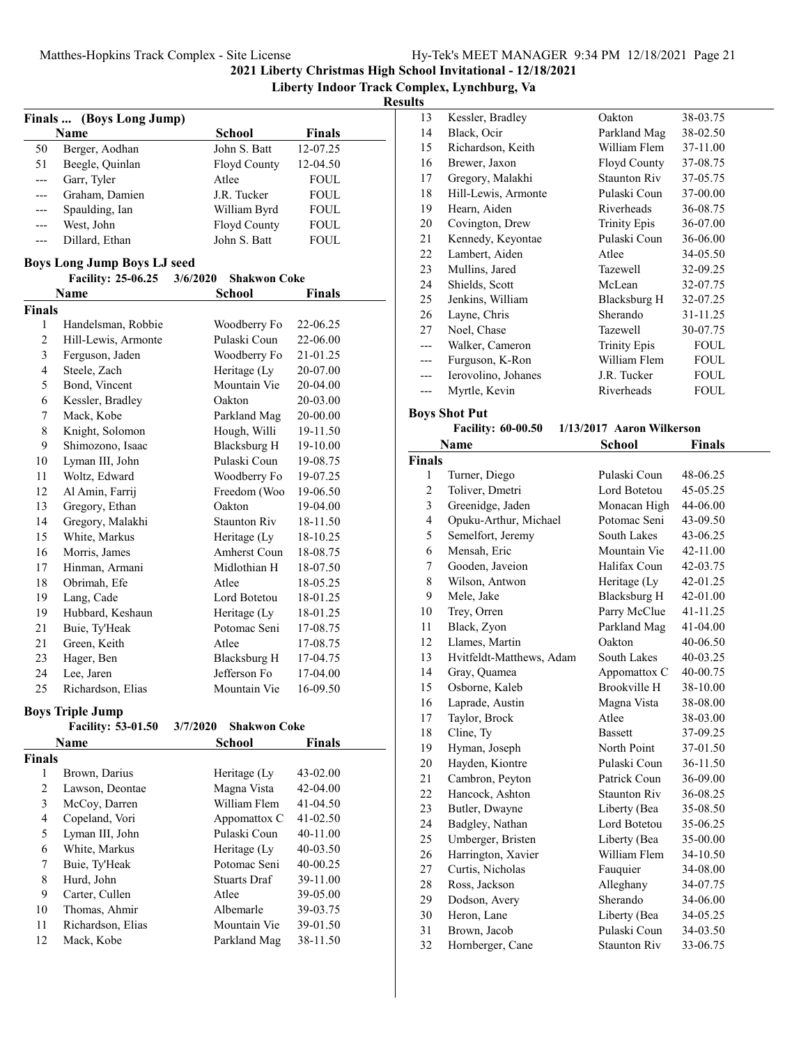**Liberty Indoor Track Complex, Lynchburg, Va**

#### **Results**

| <b>Finals</b>           | (Boys Long Jump)                   |                                 |               |  |  |  |  |
|-------------------------|------------------------------------|---------------------------------|---------------|--|--|--|--|
|                         | Name                               | <b>School</b>                   | <b>Finals</b> |  |  |  |  |
| 50                      | Berger, Aodhan                     | John S. Batt                    | 12-07.25      |  |  |  |  |
| 51                      | Beegle, Quinlan                    | Floyd County                    | 12-04.50      |  |  |  |  |
| $---$                   | Garr, Tyler                        | Atlee                           | FOUL          |  |  |  |  |
| ---                     | Graham, Damien                     | J.R. Tucker                     | <b>FOUL</b>   |  |  |  |  |
| ---                     | Spaulding, Ian                     | William Byrd                    | FOUL          |  |  |  |  |
| ---                     | West, John                         | Floyd County                    | FOUL          |  |  |  |  |
| ---                     | Dillard, Ethan                     | John S. Batt                    | <b>FOUL</b>   |  |  |  |  |
|                         | <b>Boys Long Jump Boys LJ seed</b> |                                 |               |  |  |  |  |
|                         | <b>Facility: 25-06.25</b>          | 3/6/2020<br><b>Shakwon Coke</b> |               |  |  |  |  |
|                         | <b>Name</b>                        | <b>School</b>                   | <b>Finals</b> |  |  |  |  |
| <b>Finals</b>           |                                    |                                 |               |  |  |  |  |
| 1                       | Handelsman, Robbie                 | Woodberry Fo                    | 22-06.25      |  |  |  |  |
| $\overline{c}$          | Hill-Lewis, Armonte                | Pulaski Coun                    | 22-06.00      |  |  |  |  |
| 3                       | Ferguson, Jaden                    | Woodberry Fo                    | 21-01.25      |  |  |  |  |
| $\overline{\mathbf{4}}$ | Steele, Zach                       | Heritage (Ly                    | 20-07.00      |  |  |  |  |
| 5                       | Bond, Vincent                      | Mountain Vie                    | 20-04.00      |  |  |  |  |
| 6                       | Kessler, Bradley                   | Oakton                          | 20-03.00      |  |  |  |  |
| 7                       | Mack, Kobe                         | Parkland Mag                    | 20-00.00      |  |  |  |  |
| 8                       | Knight, Solomon                    | Hough, Willi                    | 19-11.50      |  |  |  |  |
| 9                       | Shimozono, Isaac                   | <b>Blacksburg H</b>             | 19-10.00      |  |  |  |  |
| 10                      | Lyman III, John                    | Pulaski Coun                    | 19-08.75      |  |  |  |  |
| 11                      | Woltz, Edward                      | Woodberry Fo                    | 19-07.25      |  |  |  |  |
| 12                      | Al Amin, Farrij                    | Freedom (Woo                    | 19-06.50      |  |  |  |  |
| 13                      | Gregory, Ethan                     | Oakton                          | 19-04.00      |  |  |  |  |
| 14                      | Gregory, Malakhi                   | <b>Staunton Riv</b>             | 18-11.50      |  |  |  |  |
| 15                      | White, Markus                      | Heritage (Ly                    | 18-10.25      |  |  |  |  |
| 16                      | Morris, James                      | <b>Amherst Coun</b>             | 18-08.75      |  |  |  |  |
| 17                      | Hinman, Armani                     | Midlothian H                    | 18-07.50      |  |  |  |  |
| 18                      | Obrimah, Efe                       | Atlee                           | 18-05.25      |  |  |  |  |
| 19                      | Lang, Cade                         | Lord Botetou                    | 18-01.25      |  |  |  |  |
| 19                      | Hubbard, Keshaun                   | Heritage (Ly                    | 18-01.25      |  |  |  |  |
| 21                      | Buie, Ty'Heak                      | Potomac Seni                    | 17-08.75      |  |  |  |  |
| 21                      | Green, Keith                       | Atlee                           | 17-08.75      |  |  |  |  |
| 23                      | Hager, Ben                         | Blacksburg H                    | 17-04.75      |  |  |  |  |
| 24                      | Lee, Jaren                         | Jefferson Fo                    | 17-04.00      |  |  |  |  |
| 25                      | Richardson, Elias                  | Mountain Vie                    | 16-09.50      |  |  |  |  |
|                         |                                    |                                 |               |  |  |  |  |
|                         | <b>Boys Triple Jump</b>            |                                 |               |  |  |  |  |
|                         | <b>Facility: 53-01.50</b>          | <b>Shakwon Coke</b><br>3/7/2020 |               |  |  |  |  |
|                         | Name                               | School                          | <b>Finals</b> |  |  |  |  |
| <b>Finals</b>           |                                    |                                 |               |  |  |  |  |
| 1                       | Brown, Darius                      | Heritage (Ly                    | 43-02.00      |  |  |  |  |

2 42-04.00 Lawson, Deontae Magna Vista 3 McCoy, Darren William Flem 41-04.50 4 Copeland, Vori Appomattox C 41-02.50 5 Lyman III, John Pulaski Coun 40-11.00 6 White, Markus Heritage (Ly  $40-03.50$ 7 Buie, Ty'Heak Potomac Seni 40-00.25 8 Hurd, John Stuarts Draf 39-11.00 9 Carter, Cullen Atlee 39-05.00 10 Thomas, Ahmir Albemarle 39-03.75 11 Richardson, Elias Mountain Vie 39-01.50 12 Mack, Kobe Parkland Mag 38-11.50

| Finals |                           |                           |             |
|--------|---------------------------|---------------------------|-------------|
|        | Name                      | School                    | Finals      |
|        | <b>Facility: 60-00.50</b> | 1/13/2017 Aaron Wilkerson |             |
|        | <b>Boys Shot Put</b>      |                           |             |
| ---    | Myrtle, Kevin             | Riverheads                | FOUL        |
| ---    | Ierovolino, Johanes       | J.R. Tucker               | <b>FOUL</b> |
| ---    | Furguson, K-Ron           | William Flem              | FOUL        |
|        | Walker, Cameron           | <b>Trinity Epis</b>       | <b>FOUL</b> |
| 27     | Noel, Chase               | <b>Tazewell</b>           | 30-07.75    |
| 26     | Layne, Chris              | Sherando                  | 31-11.25    |
| 25     | Jenkins, William          | Blacksburg H              | 32-07.25    |
| 24     | Shields, Scott            | McLean                    | 32-07.75    |
| 23     | Mullins, Jared            | Tazewell                  | 32-09.25    |
| 22     | Lambert, Aiden            | Atlee                     | 34-05.50    |
| 21     | Kennedy, Keyontae         | Pulaski Coun              | 36-06.00    |
| 20     | Covington, Drew           | <b>Trinity Epis</b>       | 36-07.00    |
| 19     | Hearn, Aiden              | <b>Riverheads</b>         | 36-08.75    |
| 18     | Hill-Lewis, Armonte       | Pulaski Coun              | 37-00.00    |
| 17     | Gregory, Malakhi          | Staunton Riv              | 37-05.75    |
| 16     | Brewer, Jaxon             | Floyd County              | 37-08.75    |
| 15     | Richardson, Keith         | William Flem              | 37-11.00    |
| 14     | Black, Ocir               | Parkland Mag              | 38-02.50    |
| 13     | Kessler, Bradley          | Oakton                    | 38-03.75    |

| <b>Finals</b> |                          |                     |          |
|---------------|--------------------------|---------------------|----------|
| $\mathbf{1}$  | Turner, Diego            | Pulaski Coun        | 48-06.25 |
| 2             | Toliver, Dmetri          | Lord Botetou        | 45-05.25 |
| 3             | Greenidge, Jaden         | Monacan High        | 44-06.00 |
| 4             | Opuku-Arthur, Michael    | Potomac Seni        | 43-09.50 |
| 5             | Semelfort, Jeremy        | South Lakes         | 43-06.25 |
| 6             | Mensah, Eric             | Mountain Vie        | 42-11.00 |
| 7             | Gooden, Javeion          | Halifax Coun        | 42-03.75 |
| 8             | Wilson, Antwon           | Heritage (Ly        | 42-01.25 |
| 9             | Mele, Jake               | <b>Blacksburg H</b> | 42-01.00 |
| 10            | Trey, Orren              | Parry McClue        | 41-11.25 |
| 11            | Black, Zyon              | Parkland Mag        | 41-04.00 |
| 12            | Llames, Martin           | Oakton              | 40-06.50 |
| 13            | Hvitfeldt-Matthews, Adam | South Lakes         | 40-03.25 |
| 14            | Gray, Quamea             | Appomattox C        | 40-00.75 |
| 15            | Osborne, Kaleb           | Brookville H        | 38-10.00 |
| 16            | Laprade, Austin          | Magna Vista         | 38-08.00 |
| 17            | Taylor, Brock            | Atlee               | 38-03.00 |
| 18            | Cline, Ty                | <b>Bassett</b>      | 37-09.25 |
| 19            | Hyman, Joseph            | North Point         | 37-01.50 |
| 20            | Hayden, Kiontre          | Pulaski Coun        | 36-11.50 |
| 21            | Cambron, Peyton          | Patrick Coun        | 36-09.00 |
| 22            | Hancock, Ashton          | <b>Staunton Riv</b> | 36-08.25 |
| 23            | Butler, Dwayne           | Liberty (Bea        | 35-08.50 |
| 24            | Badgley, Nathan          | Lord Botetou        | 35-06.25 |
| 25            | Umberger, Bristen        | Liberty (Bea        | 35-00.00 |
| 26            | Harrington, Xavier       | William Flem        | 34-10.50 |
| 27            | Curtis, Nicholas         | Fauquier            | 34-08.00 |
| 28            | Ross, Jackson            | Alleghany           | 34-07.75 |
| 29            | Dodson, Avery            | Sherando            | 34-06.00 |
| 30            | Heron, Lane              | Liberty (Bea        | 34-05.25 |
| 31            | Brown, Jacob             | Pulaski Coun        | 34-03.50 |
| 32            | Hornberger, Cane         | <b>Staunton Riv</b> | 33-06.75 |